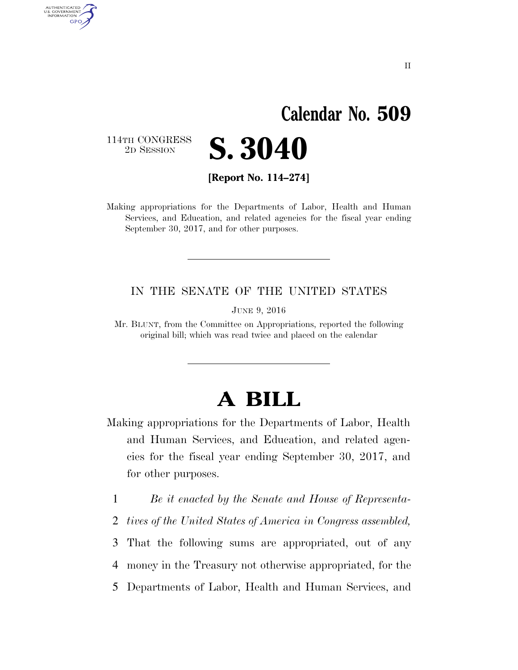# **Calendar No. 509**

114TH CONGRESS<br>2D SESSION

AUTHENTICATED<br>U.S. GOVERNMENT<br>INFORMATION

**GPO** 



**[Report No. 114–274]** 

Making appropriations for the Departments of Labor, Health and Human Services, and Education, and related agencies for the fiscal year ending September 30, 2017, and for other purposes.

#### IN THE SENATE OF THE UNITED STATES

JUNE 9, 2016

Mr. BLUNT, from the Committee on Appropriations, reported the following original bill; which was read twice and placed on the calendar

## **A BILL**

- Making appropriations for the Departments of Labor, Health and Human Services, and Education, and related agencies for the fiscal year ending September 30, 2017, and for other purposes.
	- 1 *Be it enacted by the Senate and House of Representa-*
	- 2 *tives of the United States of America in Congress assembled,*

3 That the following sums are appropriated, out of any 4 money in the Treasury not otherwise appropriated, for the

5 Departments of Labor, Health and Human Services, and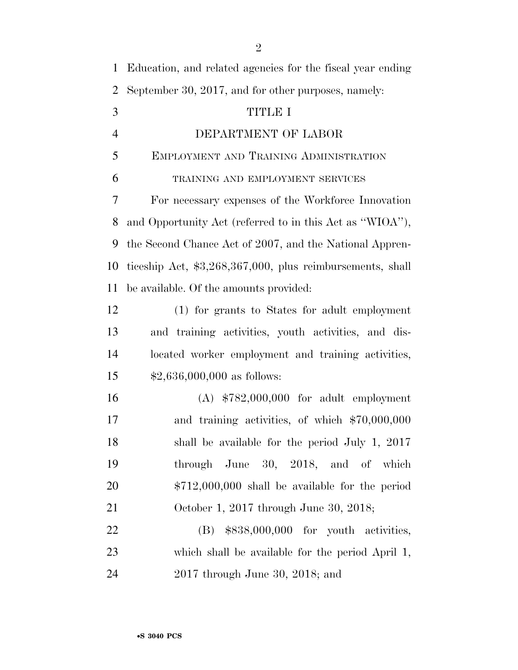| $\mathbf{1}$   | Education, and related agencies for the fiscal year ending |
|----------------|------------------------------------------------------------|
| $\overline{2}$ | September 30, 2017, and for other purposes, namely:        |
| 3              | <b>TITLE I</b>                                             |
| $\overline{4}$ | DEPARTMENT OF LABOR                                        |
| 5              | EMPLOYMENT AND TRAINING ADMINISTRATION                     |
| 6              | TRAINING AND EMPLOYMENT SERVICES                           |
| 7              | For necessary expenses of the Workforce Innovation         |
| 8              | and Opportunity Act (referred to in this Act as "WIOA"),   |
| 9              | the Second Chance Act of 2007, and the National Appren-    |
| 10             | ticeship Act, \$3,268,367,000, plus reimbursements, shall  |
| 11             | be available. Of the amounts provided:                     |
| 12             | (1) for grants to States for adult employment              |
| 13             | and training activities, youth activities, and dis-        |
| 14             | located worker employment and training activities,         |
| 15             | $$2,636,000,000$ as follows:                               |
| 16             | $(A)$ \$782,000,000 for adult employment                   |
| 17             | and training activities, of which \$70,000,000             |
| 18             | shall be available for the period July 1, 2017             |
| 19             | through June $30, 2018,$ and of which                      |
| 20             | $$712,000,000$ shall be available for the period           |
| 21             | October 1, 2017 through June 30, 2018;                     |
| 22             | $(B)$ \$838,000,000 for youth activities,                  |
| 23             | which shall be available for the period April 1,           |
| 24             | $2017$ through June 30, $2018$ ; and                       |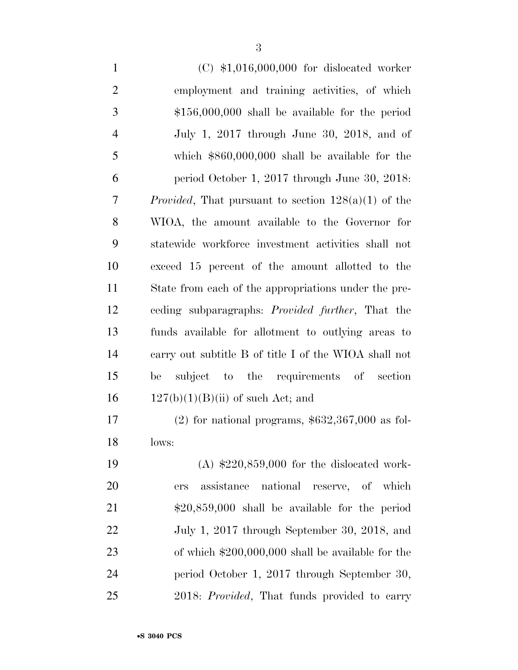| $\mathbf{1}$   | $(C)$ \$1,016,000,000 for dislocated worker                   |
|----------------|---------------------------------------------------------------|
| $\mathbf{2}$   | employment and training activities, of which                  |
| 3              | $$156,000,000$ shall be available for the period              |
| $\overline{4}$ | July 1, 2017 through June 30, 2018, and of                    |
| 5              | which $$860,000,000$ shall be available for the               |
| 6              | period October 1, 2017 through June 30, 2018:                 |
| 7              | <i>Provided</i> , That pursuant to section $128(a)(1)$ of the |
| 8              | WIOA, the amount available to the Governor for                |
| 9              | statewide workforce investment activities shall not           |
| 10             | exceed 15 percent of the amount allotted to the               |
| 11             | State from each of the appropriations under the pre-          |
| 12             | ceding subparagraphs: <i>Provided further</i> , That the      |
| 13             | funds available for allotment to outlying areas to            |
| 14             | carry out subtitle B of title I of the WIOA shall not         |
| 15             | subject to the requirements of<br>be<br>section               |
| 16             | $127(b)(1)(B)(ii)$ of such Act; and                           |
| 17             | $(2)$ for national programs, \$632,367,000 as fol-            |

lows:

 (A) \$220,859,000 for the dislocated work- ers assistance national reserve, of which \$20,859,000 shall be available for the period July 1, 2017 through September 30, 2018, and of which \$200,000,000 shall be available for the period October 1, 2017 through September 30, 2018: *Provided*, That funds provided to carry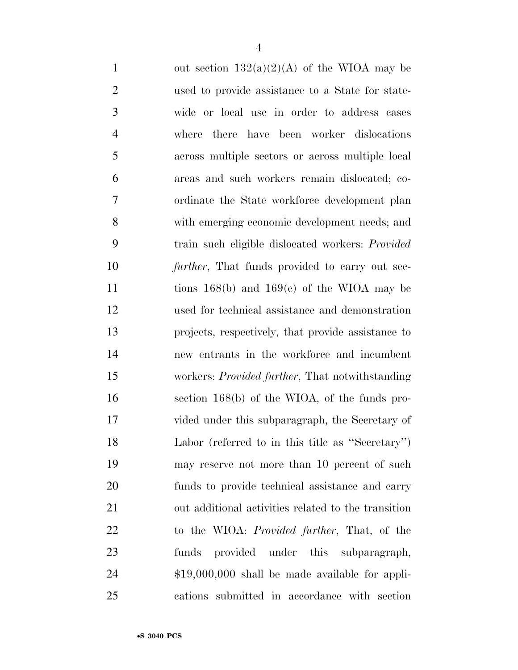| $\mathbf{1}$   | out section $132(a)(2)(A)$ of the WIOA may be           |
|----------------|---------------------------------------------------------|
| $\overline{2}$ | used to provide assistance to a State for state-        |
| 3              | wide or local use in order to address cases             |
| $\overline{4}$ | there have been worker dislocations<br>where            |
| 5              | across multiple sectors or across multiple local        |
| 6              | areas and such workers remain dislocated; co-           |
| 7              | ordinate the State workforce development plan           |
| 8              | with emerging economic development needs; and           |
| 9              | train such eligible dislocated workers: Provided        |
| 10             | <i>further</i> , That funds provided to carry out sec-  |
| 11             | tions $168(b)$ and $169(c)$ of the WIOA may be          |
| 12             | used for technical assistance and demonstration         |
| 13             | projects, respectively, that provide assistance to      |
| 14             | new entrants in the workforce and incumbent             |
| 15             | workers: <i>Provided further</i> , That notwithstanding |
| 16             | section $168(b)$ of the WIOA, of the funds pro-         |
| 17             | vided under this subparagraph, the Secretary of         |
| 18             | Labor (referred to in this title as "Secretary")        |
| 19             | may reserve not more than 10 percent of such            |
| 20             | funds to provide technical assistance and carry         |
| 21             | out additional activities related to the transition     |
| 22             | to the WIOA: <i>Provided further</i> , That, of the     |
| 23             | provided under this subparagraph,<br>funds              |
| 24             | $$19,000,000$ shall be made available for appli-        |
| 25             | cations submitted in accordance with section            |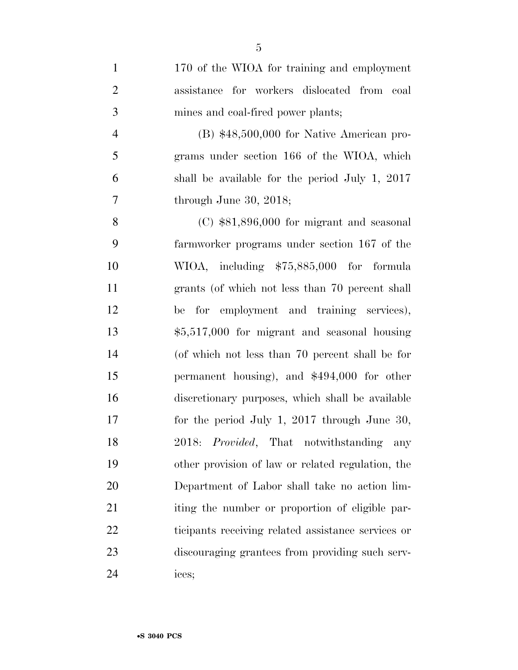170 of the WIOA for training and employment assistance for workers dislocated from coal mines and coal-fired power plants; (B) \$48,500,000 for Native American pro- grams under section 166 of the WIOA, which shall be available for the period July 1, 2017 7 through June 30, 2018; (C) \$81,896,000 for migrant and seasonal farmworker programs under section 167 of the WIOA, including \$75,885,000 for formula grants (of which not less than 70 percent shall be for employment and training services), \$5,517,000 for migrant and seasonal housing (of which not less than 70 percent shall be for permanent housing), and \$494,000 for other discretionary purposes, which shall be available for the period July 1, 2017 through June 30, 2018: *Provided*, That notwithstanding any other provision of law or related regulation, the Department of Labor shall take no action lim-21 iting the number or proportion of eligible par- ticipants receiving related assistance services or discouraging grantees from providing such serv-ices;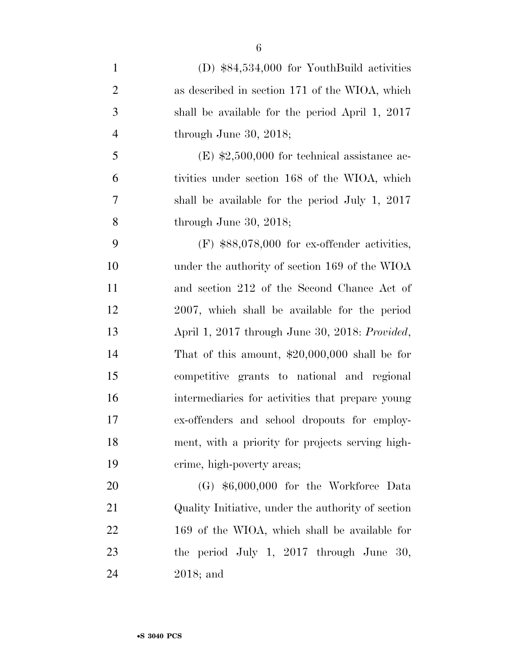(D) \$84,534,000 for YouthBuild activities as described in section 171 of the WIOA, which shall be available for the period April 1, 2017 through June 30, 2018; 5 (E)  $\text{$}2,500,000$  for technical assistance ac- tivities under section 168 of the WIOA, which shall be available for the period July 1, 2017 through June 30, 2018; (F) \$88,078,000 for ex-offender activities, under the authority of section 169 of the WIOA and section 212 of the Second Chance Act of 2007, which shall be available for the period April 1, 2017 through June 30, 2018: *Provided*, That of this amount, \$20,000,000 shall be for competitive grants to national and regional intermediaries for activities that prepare young ex-offenders and school dropouts for employ- ment, with a priority for projects serving high- crime, high-poverty areas; (G) \$6,000,000 for the Workforce Data Quality Initiative, under the authority of section 169 of the WIOA, which shall be available for

23 the period July 1, 2017 through June 30, 2018; and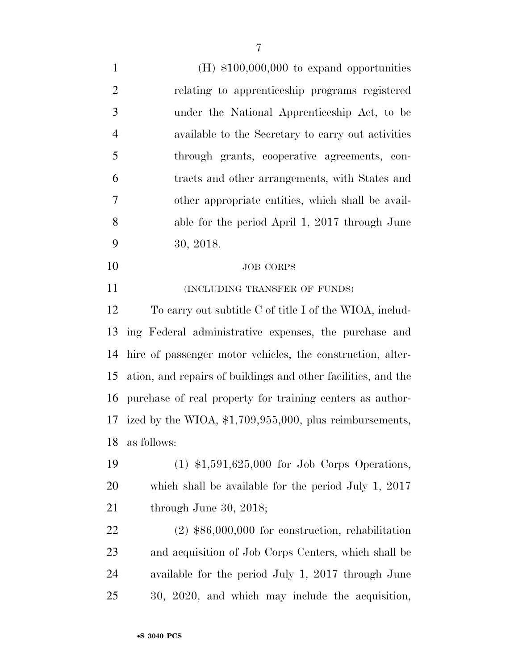(H) \$100,000,000 to expand opportunities relating to apprenticeship programs registered under the National Apprenticeship Act, to be available to the Secretary to carry out activities through grants, cooperative agreements, con- tracts and other arrangements, with States and other appropriate entities, which shall be avail- able for the period April 1, 2017 through June 30, 2018. JOB CORPS **INCLUDING TRANSFER OF FUNDS**  To carry out subtitle C of title I of the WIOA, includ- ing Federal administrative expenses, the purchase and hire of passenger motor vehicles, the construction, alter- ation, and repairs of buildings and other facilities, and the purchase of real property for training centers as author- ized by the WIOA, \$1,709,955,000, plus reimbursements, as follows: (1) \$1,591,625,000 for Job Corps Operations, which shall be available for the period July 1, 2017 through June 30, 2018;

 (2) \$86,000,000 for construction, rehabilitation and acquisition of Job Corps Centers, which shall be available for the period July 1, 2017 through June 30, 2020, and which may include the acquisition,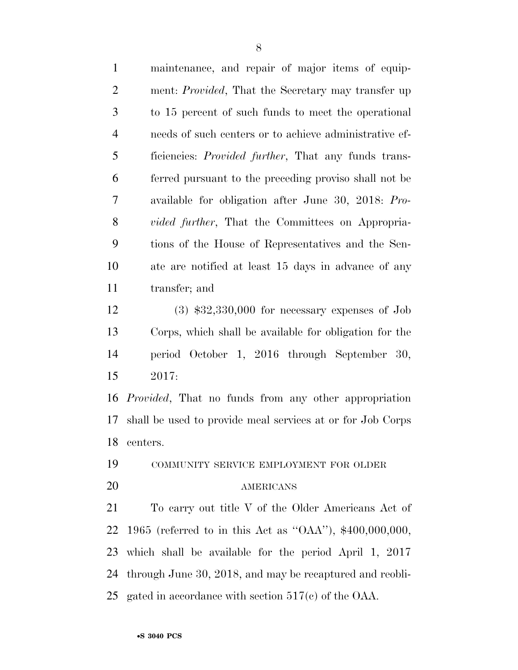| $\mathbf{1}$   | maintenance, and repair of major items of equip-             |
|----------------|--------------------------------------------------------------|
| $\overline{2}$ | ment: <i>Provided</i> , That the Secretary may transfer up   |
| 3              | to 15 percent of such funds to meet the operational          |
| $\overline{4}$ | needs of such centers or to achieve administrative ef-       |
| 5              | ficiencies: <i>Provided further</i> , That any funds trans-  |
| 6              | ferred pursuant to the preceding proviso shall not be        |
| $\tau$         | available for obligation after June 30, 2018: Pro-           |
| 8              | <i>vided further</i> , That the Committees on Appropria-     |
| 9              | tions of the House of Representatives and the Sen-           |
| 10             | ate are notified at least 15 days in advance of any          |
| 11             | transfer; and                                                |
| 12             | $(3)$ \$32,330,000 for necessary expenses of Job             |
| 13             | Corps, which shall be available for obligation for the       |
| 14             | period October 1, 2016 through September 30,                 |
| 15             | 2017:                                                        |
| 16             | <i>Provided</i> , That no funds from any other appropriation |
| 17             | shall be used to provide meal services at or for Job Corps   |
| 18             | centers.                                                     |
| 19             | COMMUNITY SERVICE EMPLOYMENT FOR OLDER                       |
| 20             | AMERICANS                                                    |
| 21             | To carry out title V of the Older Americans Act of           |
| 22             | 1965 (referred to in this Act as "OAA"), $$400,000,000$ ,    |
| 23             | which shall be available for the period April $1, 2017$      |
| 24             | through June 30, 2018, and may be recaptured and reobli-     |
| 25             | gated in accordance with section $517(c)$ of the OAA.        |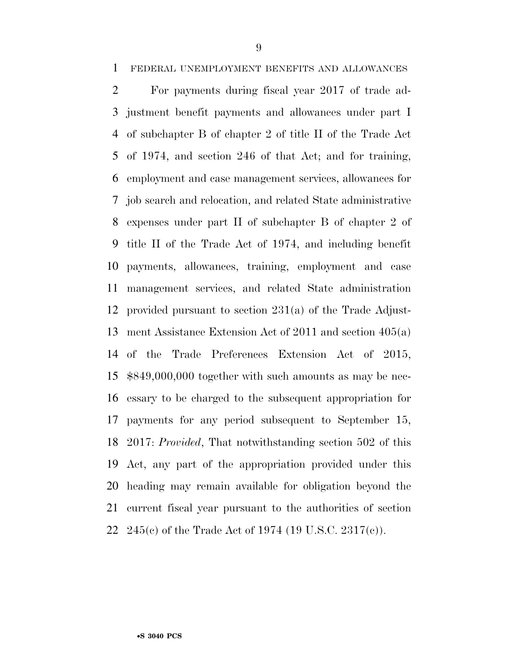FEDERAL UNEMPLOYMENT BENEFITS AND ALLOWANCES

 For payments during fiscal year 2017 of trade ad- justment benefit payments and allowances under part I of subchapter B of chapter 2 of title II of the Trade Act of 1974, and section 246 of that Act; and for training, employment and case management services, allowances for job search and relocation, and related State administrative expenses under part II of subchapter B of chapter 2 of title II of the Trade Act of 1974, and including benefit payments, allowances, training, employment and case management services, and related State administration provided pursuant to section 231(a) of the Trade Adjust- ment Assistance Extension Act of 2011 and section 405(a) of the Trade Preferences Extension Act of 2015, \$849,000,000 together with such amounts as may be nec- essary to be charged to the subsequent appropriation for payments for any period subsequent to September 15, 2017: *Provided*, That notwithstanding section 502 of this Act, any part of the appropriation provided under this heading may remain available for obligation beyond the current fiscal year pursuant to the authorities of section 245(c) of the Trade Act of 1974 (19 U.S.C. 2317(c)).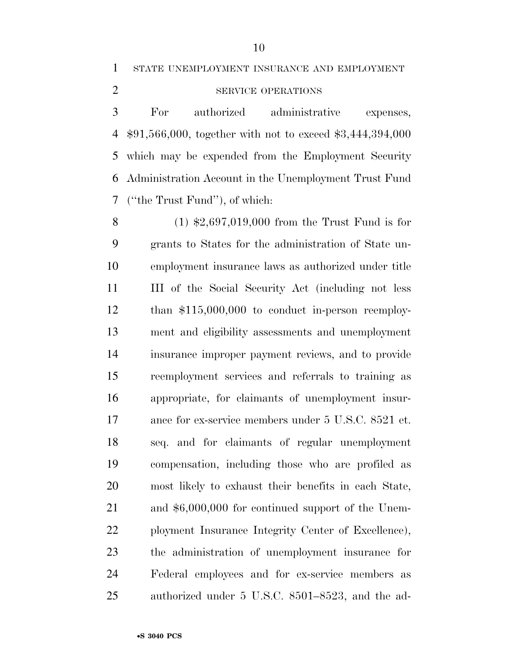STATE UNEMPLOYMENT INSURANCE AND EMPLOYMENT

## 2 SERVICE OPERATIONS

 For authorized administrative expenses, \$91,566,000, together with not to exceed \$3,444,394,000 which may be expended from the Employment Security Administration Account in the Unemployment Trust Fund (''the Trust Fund''), of which:

 (1) \$2,697,019,000 from the Trust Fund is for grants to States for the administration of State un- employment insurance laws as authorized under title III of the Social Security Act (including not less than \$115,000,000 to conduct in-person reemploy- ment and eligibility assessments and unemployment insurance improper payment reviews, and to provide reemployment services and referrals to training as appropriate, for claimants of unemployment insur- ance for ex-service members under 5 U.S.C. 8521 et. seq. and for claimants of regular unemployment compensation, including those who are profiled as most likely to exhaust their benefits in each State, and \$6,000,000 for continued support of the Unem- ployment Insurance Integrity Center of Excellence), the administration of unemployment insurance for Federal employees and for ex-service members as authorized under 5 U.S.C. 8501–8523, and the ad-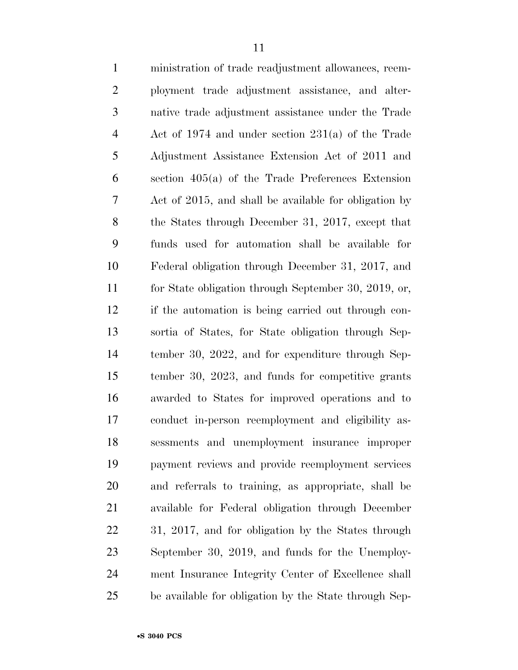| $\mathbf{1}$   | ministration of trade readjustment allowances, reem-  |
|----------------|-------------------------------------------------------|
| $\overline{2}$ | ployment trade adjustment assistance, and alter-      |
| 3              | native trade adjustment assistance under the Trade    |
| $\overline{4}$ | Act of 1974 and under section $231(a)$ of the Trade   |
| 5              | Adjustment Assistance Extension Act of 2011 and       |
| 6              | section $405(a)$ of the Trade Preferences Extension   |
| 7              | Act of 2015, and shall be available for obligation by |
| 8              | the States through December 31, 2017, except that     |
| 9              | funds used for automation shall be available for      |
| 10             | Federal obligation through December 31, 2017, and     |
| 11             | for State obligation through September 30, 2019, or,  |
| 12             | if the automation is being carried out through con-   |
| 13             | sortia of States, for State obligation through Sep-   |
| 14             | tember 30, 2022, and for expenditure through Sep-     |
| 15             | tember 30, 2023, and funds for competitive grants     |
| 16             | awarded to States for improved operations and to      |
| 17             | conduct in-person reemployment and eligibility as-    |
| 18             | sessments and unemployment insurance improper         |
| 19             | payment reviews and provide reemployment services     |
| <b>20</b>      | and referrals to training, as appropriate, shall be   |
| 21             | available for Federal obligation through December     |
| 22             | 31, 2017, and for obligation by the States through    |
| 23             | September 30, 2019, and funds for the Unemploy-       |
| 24             | ment Insurance Integrity Center of Excellence shall   |
| 25             | be available for obligation by the State through Sep- |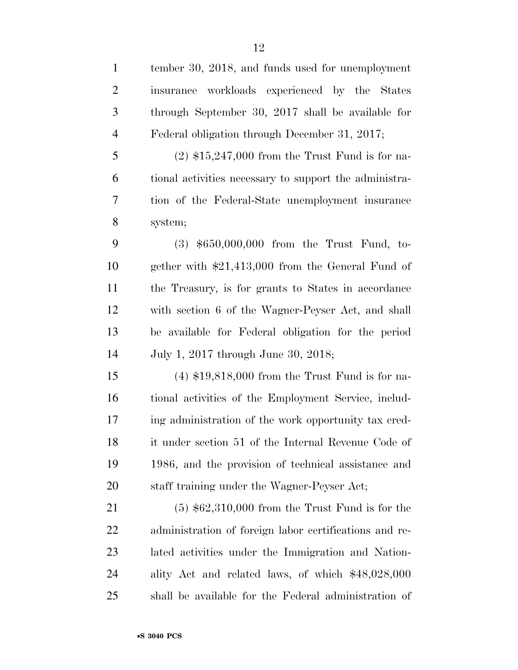| $\mathbf{1}$   | tember 30, 2018, and funds used for unemployment       |
|----------------|--------------------------------------------------------|
| $\overline{2}$ | insurance workloads experienced by the States          |
| 3              | through September 30, 2017 shall be available for      |
| $\overline{4}$ | Federal obligation through December 31, 2017;          |
| 5              | $(2)$ \$15,247,000 from the Trust Fund is for na-      |
| 6              | tional activities necessary to support the administra- |
| 7              | tion of the Federal-State unemployment insurance       |
| $8\,$          | system;                                                |
| 9              | $(3)$ \$650,000,000 from the Trust Fund, to-           |
| 10             | gether with $$21,413,000$ from the General Fund of     |
| 11             | the Treasury, is for grants to States in accordance    |
| 12             | with section 6 of the Wagner-Peyser Act, and shall     |
| 13             | be available for Federal obligation for the period     |
| 14             | July 1, 2017 through June 30, 2018;                    |
| 15             | $(4)$ \$19,818,000 from the Trust Fund is for na-      |
| 16             | tional activities of the Employment Service, includ-   |
| 17             | ing administration of the work opportunity tax cred-   |
| 18             | it under section 51 of the Internal Revenue Code of    |
| 19             | 1986, and the provision of technical assistance and    |
| 20             | staff training under the Wagner-Peyser Act;            |
| 21             | $(5)$ \$62,310,000 from the Trust Fund is for the      |
| 22             | administration of foreign labor certifications and re- |
| 23             | lated activities under the Immigration and Nation-     |
| 24             | ality Act and related laws, of which \$48,028,000      |
| 25             | shall be available for the Federal administration of   |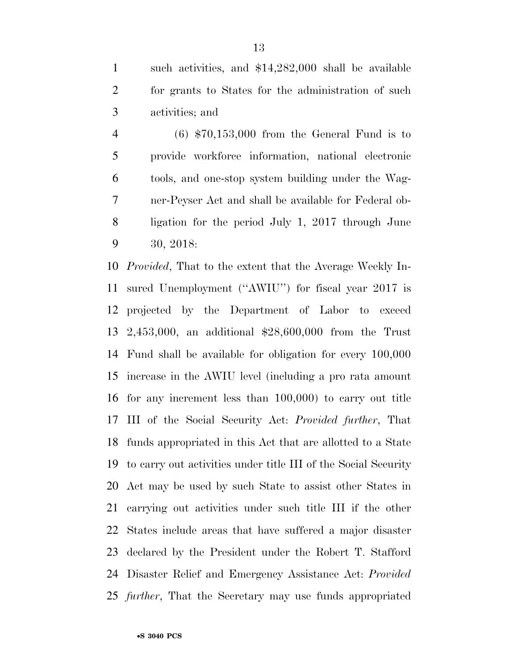such activities, and \$14,282,000 shall be available for grants to States for the administration of such activities; and

 (6) \$70,153,000 from the General Fund is to provide workforce information, national electronic tools, and one-stop system building under the Wag- ner-Peyser Act and shall be available for Federal ob- ligation for the period July 1, 2017 through June 30, 2018:

 *Provided*, That to the extent that the Average Weekly In- sured Unemployment (''AWIU'') for fiscal year 2017 is projected by the Department of Labor to exceed 2,453,000, an additional \$28,600,000 from the Trust Fund shall be available for obligation for every 100,000 increase in the AWIU level (including a pro rata amount for any increment less than 100,000) to carry out title III of the Social Security Act: *Provided further*, That funds appropriated in this Act that are allotted to a State to carry out activities under title III of the Social Security Act may be used by such State to assist other States in carrying out activities under such title III if the other States include areas that have suffered a major disaster declared by the President under the Robert T. Stafford Disaster Relief and Emergency Assistance Act: *Provided further*, That the Secretary may use funds appropriated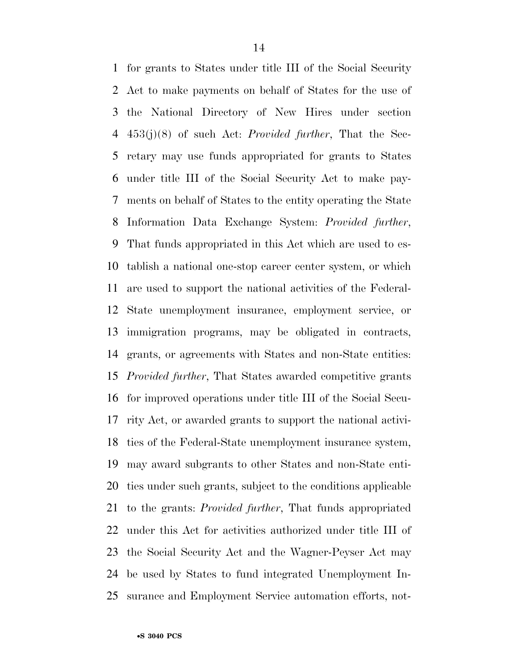for grants to States under title III of the Social Security Act to make payments on behalf of States for the use of the National Directory of New Hires under section 453(j)(8) of such Act: *Provided further*, That the Sec- retary may use funds appropriated for grants to States under title III of the Social Security Act to make pay- ments on behalf of States to the entity operating the State Information Data Exchange System: *Provided further*, That funds appropriated in this Act which are used to es- tablish a national one-stop career center system, or which are used to support the national activities of the Federal- State unemployment insurance, employment service, or immigration programs, may be obligated in contracts, grants, or agreements with States and non-State entities: *Provided further*, That States awarded competitive grants for improved operations under title III of the Social Secu- rity Act, or awarded grants to support the national activi- ties of the Federal-State unemployment insurance system, may award subgrants to other States and non-State enti- ties under such grants, subject to the conditions applicable to the grants: *Provided further*, That funds appropriated under this Act for activities authorized under title III of the Social Security Act and the Wagner-Peyser Act may be used by States to fund integrated Unemployment In-surance and Employment Service automation efforts, not-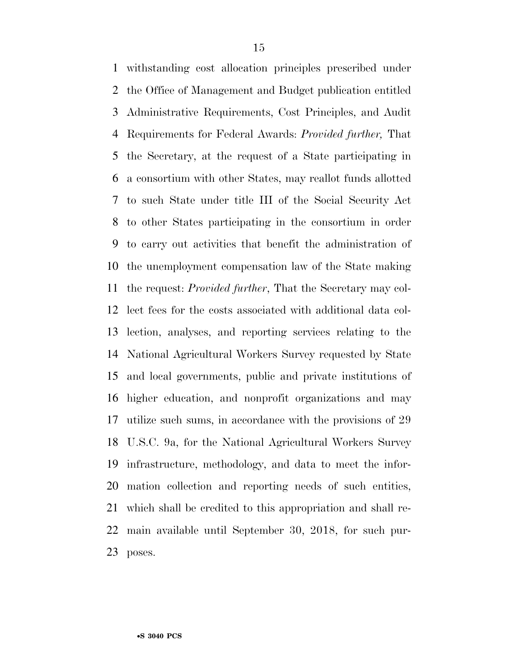withstanding cost allocation principles prescribed under the Office of Management and Budget publication entitled Administrative Requirements, Cost Principles, and Audit Requirements for Federal Awards: *Provided further,* That the Secretary, at the request of a State participating in a consortium with other States, may reallot funds allotted to such State under title III of the Social Security Act to other States participating in the consortium in order to carry out activities that benefit the administration of the unemployment compensation law of the State making the request: *Provided further*, That the Secretary may col- lect fees for the costs associated with additional data col- lection, analyses, and reporting services relating to the National Agricultural Workers Survey requested by State and local governments, public and private institutions of higher education, and nonprofit organizations and may utilize such sums, in accordance with the provisions of 29 U.S.C. 9a, for the National Agricultural Workers Survey infrastructure, methodology, and data to meet the infor- mation collection and reporting needs of such entities, which shall be credited to this appropriation and shall re- main available until September 30, 2018, for such pur-poses.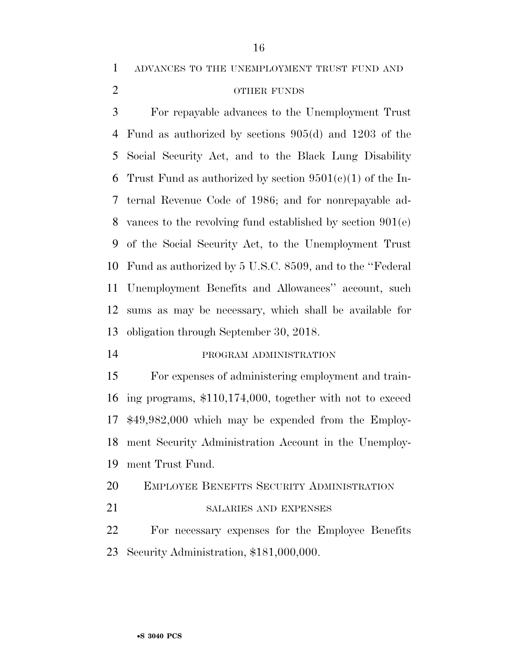ADVANCES TO THE UNEMPLOYMENT TRUST FUND AND

## OTHER FUNDS

 For repayable advances to the Unemployment Trust Fund as authorized by sections 905(d) and 1203 of the Social Security Act, and to the Black Lung Disability 6 Trust Fund as authorized by section  $9501(e)(1)$  of the In- ternal Revenue Code of 1986; and for nonrepayable ad- vances to the revolving fund established by section 901(e) of the Social Security Act, to the Unemployment Trust Fund as authorized by 5 U.S.C. 8509, and to the ''Federal Unemployment Benefits and Allowances'' account, such sums as may be necessary, which shall be available for obligation through September 30, 2018.

#### PROGRAM ADMINISTRATION

 For expenses of administering employment and train- ing programs, \$110,174,000, together with not to exceed \$49,982,000 which may be expended from the Employ- ment Security Administration Account in the Unemploy-ment Trust Fund.

EMPLOYEE BENEFITS SECURITY ADMINISTRATION

21 SALARIES AND EXPENSES

 For necessary expenses for the Employee Benefits Security Administration, \$181,000,000.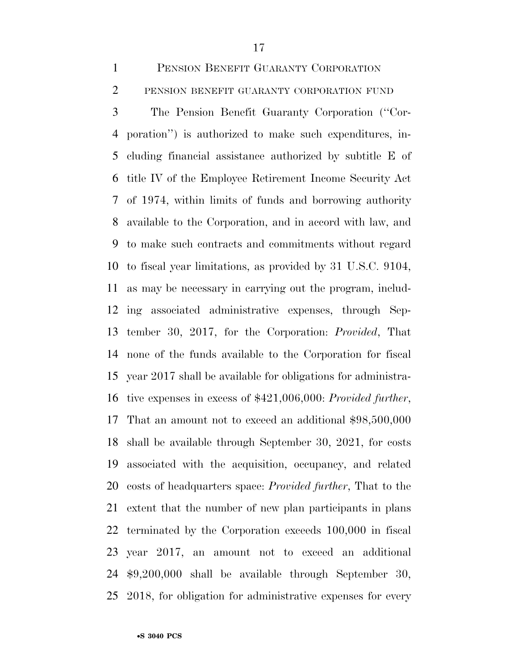PENSION BENEFIT GUARANTY CORPORATION PENSION BENEFIT GUARANTY CORPORATION FUND

 The Pension Benefit Guaranty Corporation (''Cor- poration'') is authorized to make such expenditures, in- cluding financial assistance authorized by subtitle E of title IV of the Employee Retirement Income Security Act of 1974, within limits of funds and borrowing authority available to the Corporation, and in accord with law, and to make such contracts and commitments without regard to fiscal year limitations, as provided by 31 U.S.C. 9104, as may be necessary in carrying out the program, includ- ing associated administrative expenses, through Sep- tember 30, 2017, for the Corporation: *Provided*, That none of the funds available to the Corporation for fiscal year 2017 shall be available for obligations for administra- tive expenses in excess of \$421,006,000: *Provided further*, That an amount not to exceed an additional \$98,500,000 shall be available through September 30, 2021, for costs associated with the acquisition, occupancy, and related costs of headquarters space: *Provided further*, That to the extent that the number of new plan participants in plans terminated by the Corporation exceeds 100,000 in fiscal year 2017, an amount not to exceed an additional \$9,200,000 shall be available through September 30, 2018, for obligation for administrative expenses for every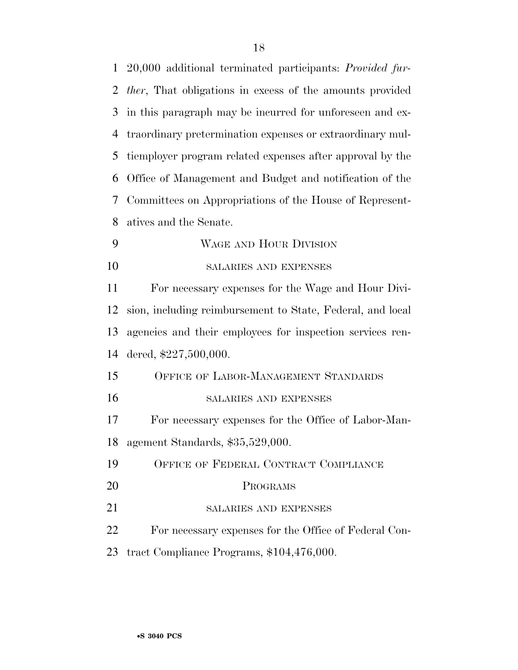| $\mathbf{1}$   | 20,000 additional terminated participants: Provided fur-         |
|----------------|------------------------------------------------------------------|
| $\overline{2}$ | <i>ther</i> , That obligations in excess of the amounts provided |
| 3              | in this paragraph may be incurred for unforeseen and ex-         |
| $\overline{4}$ | traordinary pretermination expenses or extraordinary mul-        |
| 5              | tiemployer program related expenses after approval by the        |
| 6              | Office of Management and Budget and notification of the          |
| 7              | Committees on Appropriations of the House of Represent-          |
| 8              | atives and the Senate.                                           |
| 9              | WAGE AND HOUR DIVISION                                           |
| 10             | SALARIES AND EXPENSES                                            |
| 11             | For necessary expenses for the Wage and Hour Divi-               |
| 12             | sion, including reimbursement to State, Federal, and local       |
| 13             | agencies and their employees for inspection services ren-        |
| 14             | dered, \$227,500,000.                                            |
| 15             | OFFICE OF LABOR-MANAGEMENT STANDARDS                             |
| 16             | SALARIES AND EXPENSES                                            |
| 17             | For necessary expenses for the Office of Labor-Man-              |
| 18             | agement Standards, \$35,529,000.                                 |
| 19             | OFFICE OF FEDERAL CONTRACT COMPLIANCE                            |
| 20             | PROGRAMS                                                         |
| 21             | SALARIES AND EXPENSES                                            |
| 22             | For necessary expenses for the Office of Federal Con-            |
| 23             | tract Compliance Programs, \$104,476,000.                        |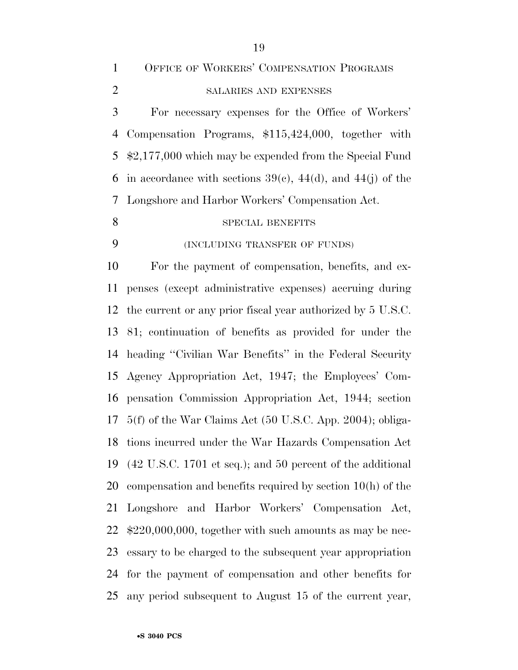OFFICE OF WORKERS' COMPENSATION PROGRAMS SALARIES AND EXPENSES

 For necessary expenses for the Office of Workers' Compensation Programs, \$115,424,000, together with \$2,177,000 which may be expended from the Special Fund 6 in accordance with sections  $39(e)$ ,  $44(d)$ , and  $44(j)$  of the Longshore and Harbor Workers' Compensation Act.

#### 8 SPECIAL BENEFITS

#### (INCLUDING TRANSFER OF FUNDS)

 For the payment of compensation, benefits, and ex- penses (except administrative expenses) accruing during the current or any prior fiscal year authorized by 5 U.S.C. 81; continuation of benefits as provided for under the heading ''Civilian War Benefits'' in the Federal Security Agency Appropriation Act, 1947; the Employees' Com- pensation Commission Appropriation Act, 1944; section 5(f) of the War Claims Act (50 U.S.C. App. 2004); obliga- tions incurred under the War Hazards Compensation Act (42 U.S.C. 1701 et seq.); and 50 percent of the additional compensation and benefits required by section 10(h) of the Longshore and Harbor Workers' Compensation Act, \$220,000,000, together with such amounts as may be nec- essary to be charged to the subsequent year appropriation for the payment of compensation and other benefits for any period subsequent to August 15 of the current year,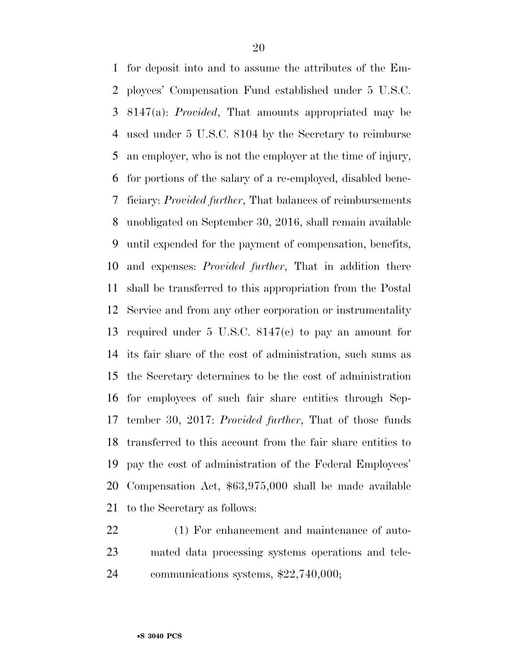for deposit into and to assume the attributes of the Em- ployees' Compensation Fund established under 5 U.S.C. 8147(a): *Provided*, That amounts appropriated may be used under 5 U.S.C. 8104 by the Secretary to reimburse an employer, who is not the employer at the time of injury, for portions of the salary of a re-employed, disabled bene- ficiary: *Provided further*, That balances of reimbursements unobligated on September 30, 2016, shall remain available until expended for the payment of compensation, benefits, and expenses: *Provided further*, That in addition there shall be transferred to this appropriation from the Postal Service and from any other corporation or instrumentality required under 5 U.S.C. 8147(c) to pay an amount for its fair share of the cost of administration, such sums as the Secretary determines to be the cost of administration for employees of such fair share entities through Sep- tember 30, 2017: *Provided further*, That of those funds transferred to this account from the fair share entities to pay the cost of administration of the Federal Employees' Compensation Act, \$63,975,000 shall be made available to the Secretary as follows:

 (1) For enhancement and maintenance of auto- mated data processing systems operations and tele-communications systems, \$22,740,000;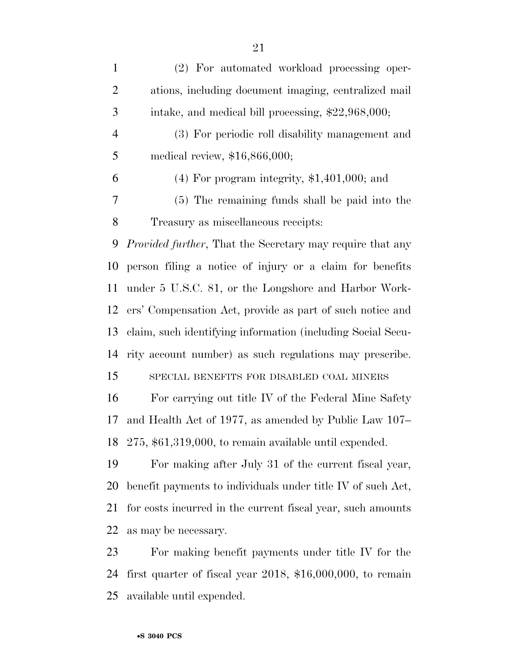(2) For automated workload processing oper- ations, including document imaging, centralized mail intake, and medical bill processing, \$22,968,000; (3) For periodic roll disability management and medical review, \$16,866,000; 6 (4) For program integrity,  $$1,401,000$ ; and (5) The remaining funds shall be paid into the Treasury as miscellaneous receipts: *Provided further*, That the Secretary may require that any person filing a notice of injury or a claim for benefits under 5 U.S.C. 81, or the Longshore and Harbor Work- ers' Compensation Act, provide as part of such notice and claim, such identifying information (including Social Secu- rity account number) as such regulations may prescribe. SPECIAL BENEFITS FOR DISABLED COAL MINERS For carrying out title IV of the Federal Mine Safety and Health Act of 1977, as amended by Public Law 107– 275, \$61,319,000, to remain available until expended. For making after July 31 of the current fiscal year, benefit payments to individuals under title IV of such Act, for costs incurred in the current fiscal year, such amounts as may be necessary.

 For making benefit payments under title IV for the first quarter of fiscal year 2018, \$16,000,000, to remain available until expended.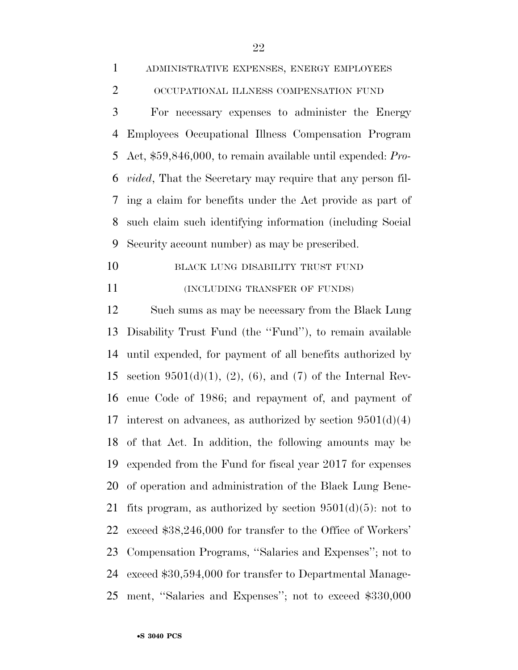For necessary expenses to administer the Energy Employees Occupational Illness Compensation Program Act, \$59,846,000, to remain available until expended: *Pro- vided*, That the Secretary may require that any person fil- ing a claim for benefits under the Act provide as part of such claim such identifying information (including Social Security account number) as may be prescribed.

10 BLACK LUNG DISABILITY TRUST FUND 11 (INCLUDING TRANSFER OF FUNDS)

 Such sums as may be necessary from the Black Lung Disability Trust Fund (the ''Fund''), to remain available until expended, for payment of all benefits authorized by 15 section  $9501(d)(1)$ ,  $(2)$ ,  $(6)$ , and  $(7)$  of the Internal Rev- enue Code of 1986; and repayment of, and payment of 17 interest on advances, as authorized by section  $9501(d)(4)$  of that Act. In addition, the following amounts may be expended from the Fund for fiscal year 2017 for expenses of operation and administration of the Black Lung Bene-21 fits program, as authorized by section  $9501(d)(5)$ : not to exceed \$38,246,000 for transfer to the Office of Workers' Compensation Programs, ''Salaries and Expenses''; not to exceed \$30,594,000 for transfer to Departmental Manage-ment, ''Salaries and Expenses''; not to exceed \$330,000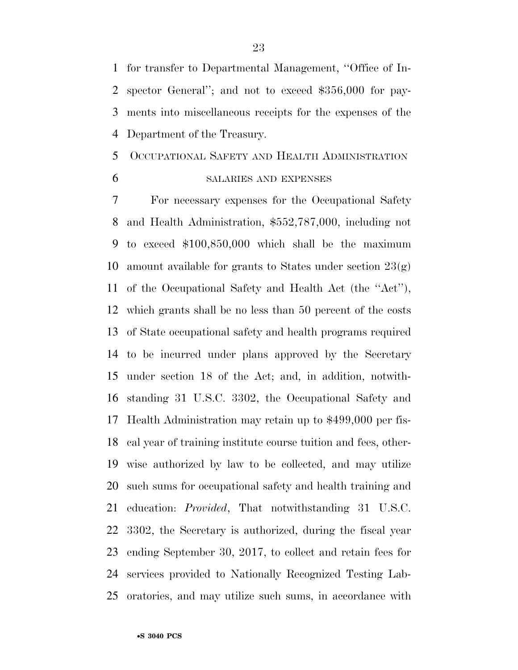for transfer to Departmental Management, ''Office of In- spector General''; and not to exceed \$356,000 for pay- ments into miscellaneous receipts for the expenses of the Department of the Treasury.

## OCCUPATIONAL SAFETY AND HEALTH ADMINISTRATION

## SALARIES AND EXPENSES

 For necessary expenses for the Occupational Safety and Health Administration, \$552,787,000, including not to exceed \$100,850,000 which shall be the maximum 10 amount available for grants to States under section  $23(g)$  of the Occupational Safety and Health Act (the ''Act''), which grants shall be no less than 50 percent of the costs of State occupational safety and health programs required to be incurred under plans approved by the Secretary under section 18 of the Act; and, in addition, notwith- standing 31 U.S.C. 3302, the Occupational Safety and Health Administration may retain up to \$499,000 per fis- cal year of training institute course tuition and fees, other- wise authorized by law to be collected, and may utilize such sums for occupational safety and health training and education: *Provided*, That notwithstanding 31 U.S.C. 3302, the Secretary is authorized, during the fiscal year ending September 30, 2017, to collect and retain fees for services provided to Nationally Recognized Testing Lab-oratories, and may utilize such sums, in accordance with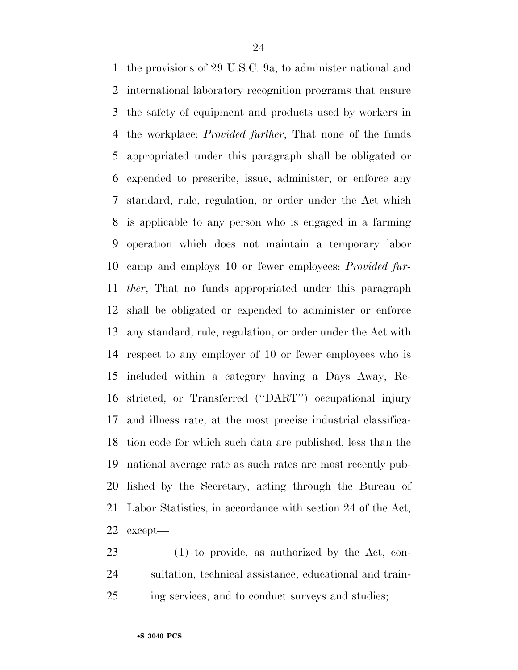the provisions of 29 U.S.C. 9a, to administer national and international laboratory recognition programs that ensure the safety of equipment and products used by workers in the workplace: *Provided further*, That none of the funds appropriated under this paragraph shall be obligated or expended to prescribe, issue, administer, or enforce any standard, rule, regulation, or order under the Act which is applicable to any person who is engaged in a farming operation which does not maintain a temporary labor camp and employs 10 or fewer employees: *Provided fur- ther*, That no funds appropriated under this paragraph shall be obligated or expended to administer or enforce any standard, rule, regulation, or order under the Act with respect to any employer of 10 or fewer employees who is included within a category having a Days Away, Re- stricted, or Transferred (''DART'') occupational injury and illness rate, at the most precise industrial classifica- tion code for which such data are published, less than the national average rate as such rates are most recently pub- lished by the Secretary, acting through the Bureau of Labor Statistics, in accordance with section 24 of the Act, except—

 (1) to provide, as authorized by the Act, con- sultation, technical assistance, educational and train-ing services, and to conduct surveys and studies;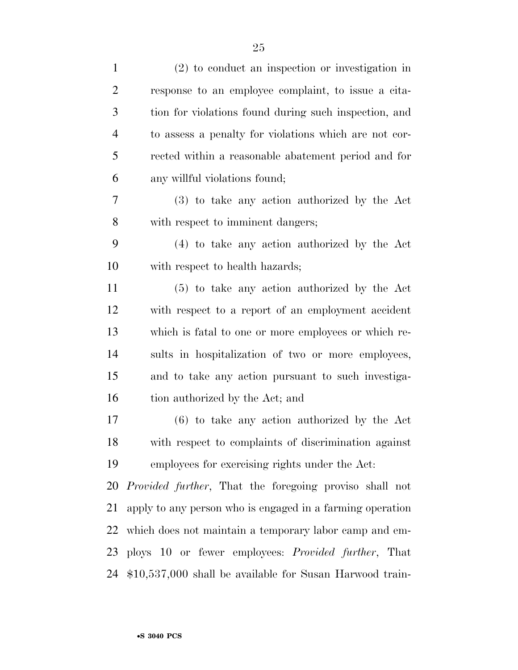| $\mathbf{1}$   | $(2)$ to conduct an inspection or investigation in             |
|----------------|----------------------------------------------------------------|
| $\overline{2}$ | response to an employee complaint, to issue a cita-            |
| 3              | tion for violations found during such inspection, and          |
| $\overline{4}$ | to assess a penalty for violations which are not cor-          |
| 5              | rected within a reasonable abatement period and for            |
| 6              | any willful violations found;                                  |
| 7              | (3) to take any action authorized by the Act                   |
| 8              | with respect to imminent dangers;                              |
| 9              | (4) to take any action authorized by the Act                   |
| 10             | with respect to health hazards;                                |
| 11             | (5) to take any action authorized by the Act                   |
| 12             | with respect to a report of an employment accident             |
| 13             | which is fatal to one or more employees or which re-           |
| 14             | sults in hospitalization of two or more employees,             |
| 15             | and to take any action pursuant to such investiga-             |
| 16             | tion authorized by the Act; and                                |
| 17             | $(6)$ to take any action authorized by the Act                 |
| 18             | with respect to complaints of discrimination against           |
| 19             | employees for exercising rights under the Act:                 |
| 20             | <i>Provided further</i> , That the foregoing proviso shall not |
| 21             | apply to any person who is engaged in a farming operation      |
| 22             | which does not maintain a temporary labor camp and em-         |
| 23             | ploys 10 or fewer employees: <i>Provided further</i> , That    |
|                | 24 \$10,537,000 shall be available for Susan Harwood train-    |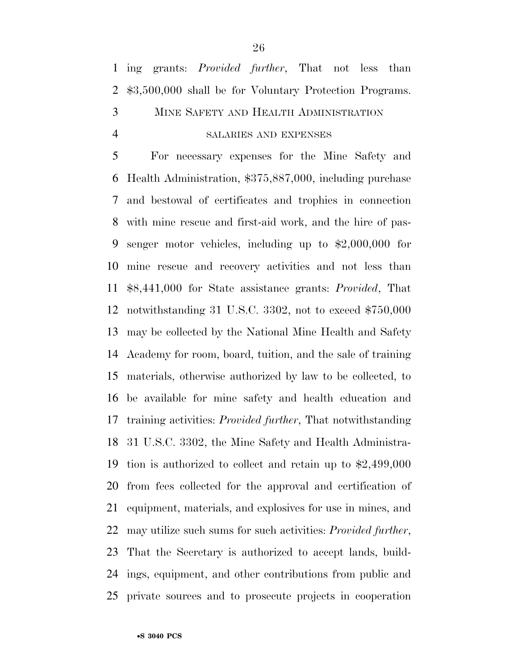## SALARIES AND EXPENSES

 For necessary expenses for the Mine Safety and Health Administration, \$375,887,000, including purchase and bestowal of certificates and trophies in connection with mine rescue and first-aid work, and the hire of pas- senger motor vehicles, including up to \$2,000,000 for mine rescue and recovery activities and not less than \$8,441,000 for State assistance grants: *Provided*, That notwithstanding 31 U.S.C. 3302, not to exceed \$750,000 may be collected by the National Mine Health and Safety Academy for room, board, tuition, and the sale of training materials, otherwise authorized by law to be collected, to be available for mine safety and health education and training activities: *Provided further*, That notwithstanding 31 U.S.C. 3302, the Mine Safety and Health Administra- tion is authorized to collect and retain up to \$2,499,000 from fees collected for the approval and certification of equipment, materials, and explosives for use in mines, and may utilize such sums for such activities: *Provided further*, That the Secretary is authorized to accept lands, build- ings, equipment, and other contributions from public and private sources and to prosecute projects in cooperation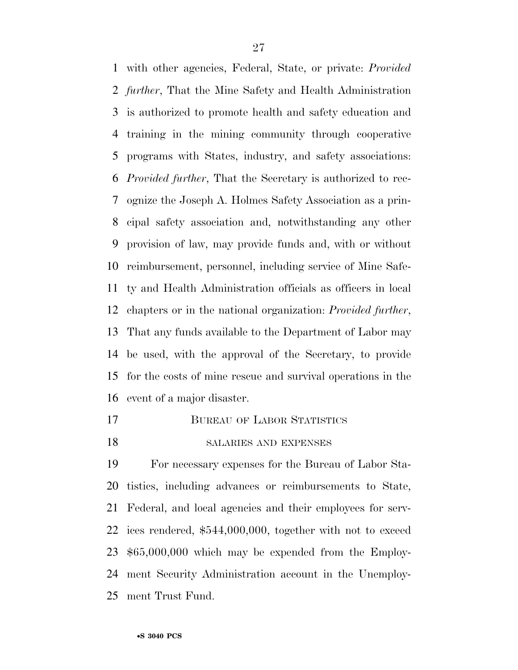with other agencies, Federal, State, or private: *Provided further*, That the Mine Safety and Health Administration is authorized to promote health and safety education and training in the mining community through cooperative programs with States, industry, and safety associations: *Provided further*, That the Secretary is authorized to rec- ognize the Joseph A. Holmes Safety Association as a prin- cipal safety association and, notwithstanding any other provision of law, may provide funds and, with or without reimbursement, personnel, including service of Mine Safe- ty and Health Administration officials as officers in local chapters or in the national organization: *Provided further*, That any funds available to the Department of Labor may be used, with the approval of the Secretary, to provide for the costs of mine rescue and survival operations in the event of a major disaster.

17 BUREAU OF LABOR STATISTICS

## 18 SALARIES AND EXPENSES

 For necessary expenses for the Bureau of Labor Sta- tistics, including advances or reimbursements to State, Federal, and local agencies and their employees for serv- ices rendered, \$544,000,000, together with not to exceed \$65,000,000 which may be expended from the Employ- ment Security Administration account in the Unemploy-ment Trust Fund.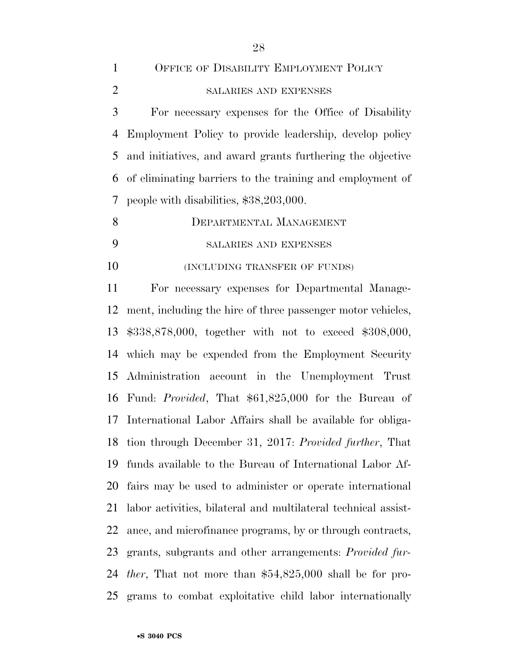| 1              | OFFICE OF DISABILITY EMPLOYMENT POLICY                      |
|----------------|-------------------------------------------------------------|
| $\overline{2}$ | <b>SALARIES AND EXPENSES</b>                                |
| 3              | For necessary expenses for the Office of Disability         |
| 4              | Employment Policy to provide leadership, develop policy     |
| 5              | and initiatives, and award grants furthering the objective  |
| 6              | of eliminating barriers to the training and employment of   |
| $\tau$         | people with disabilities, \$38,203,000.                     |
| 8              | DEPARTMENTAL MANAGEMENT                                     |
| 9              | SALARIES AND EXPENSES                                       |
| 10             | (INCLUDING TRANSFER OF FUNDS)                               |
| 11             | For necessary expenses for Departmental Manage-             |
| 12             | ment, including the hire of three passenger motor vehicles, |
| 13             | $$338,878,000$ , together with not to exceed $$308,000$ ,   |
|                | 14 which may be expended from the Employment Security       |
|                | 15 Administration account in the Unemployment Trust         |

 ment, including the hire of three passenger motor vehicles, \$338,878,000, together with not to exceed \$308,000, which may be expended from the Employment Security Administration account in the Unemployment Trust Fund: *Provided*, That \$61,825,000 for the Bureau of International Labor Affairs shall be available for obliga- tion through December 31, 2017: *Provided further*, That funds available to the Bureau of International Labor Af- fairs may be used to administer or operate international labor activities, bilateral and multilateral technical assist- ance, and microfinance programs, by or through contracts, grants, subgrants and other arrangements: *Provided fur- ther*, That not more than \$54,825,000 shall be for pro-grams to combat exploitative child labor internationally

•**S 3040 PCS**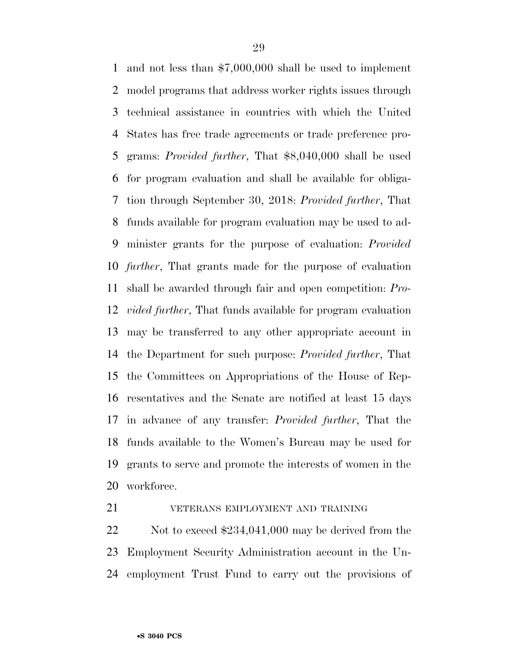and not less than \$7,000,000 shall be used to implement model programs that address worker rights issues through technical assistance in countries with which the United States has free trade agreements or trade preference pro- grams: *Provided further*, That \$8,040,000 shall be used for program evaluation and shall be available for obliga- tion through September 30, 2018: *Provided further*, That funds available for program evaluation may be used to ad- minister grants for the purpose of evaluation: *Provided further*, That grants made for the purpose of evaluation shall be awarded through fair and open competition: *Pro- vided further*, That funds available for program evaluation may be transferred to any other appropriate account in the Department for such purpose: *Provided further*, That the Committees on Appropriations of the House of Rep- resentatives and the Senate are notified at least 15 days in advance of any transfer: *Provided further*, That the funds available to the Women's Bureau may be used for grants to serve and promote the interests of women in the workforce.

## VETERANS EMPLOYMENT AND TRAINING

22 Not to exceed \$234,041,000 may be derived from the Employment Security Administration account in the Un-employment Trust Fund to carry out the provisions of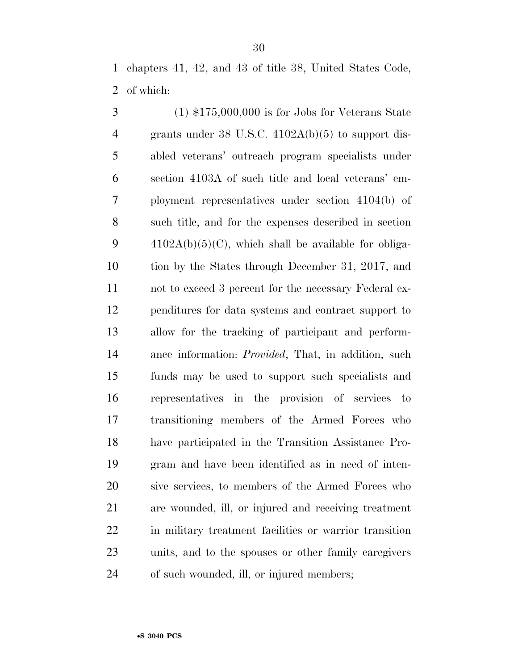chapters 41, 42, and 43 of title 38, United States Code, of which:

 (1) \$175,000,000 is for Jobs for Veterans State grants under 38 U.S.C. 4102A(b)(5) to support dis- abled veterans' outreach program specialists under section 4103A of such title and local veterans' em- ployment representatives under section 4104(b) of such title, and for the expenses described in section  $4102A(b)(5)(C)$ , which shall be available for obliga- tion by the States through December 31, 2017, and not to exceed 3 percent for the necessary Federal ex- penditures for data systems and contract support to allow for the tracking of participant and perform- ance information: *Provided*, That, in addition, such funds may be used to support such specialists and representatives in the provision of services to transitioning members of the Armed Forces who have participated in the Transition Assistance Pro- gram and have been identified as in need of inten- sive services, to members of the Armed Forces who are wounded, ill, or injured and receiving treatment in military treatment facilities or warrior transition units, and to the spouses or other family caregivers of such wounded, ill, or injured members;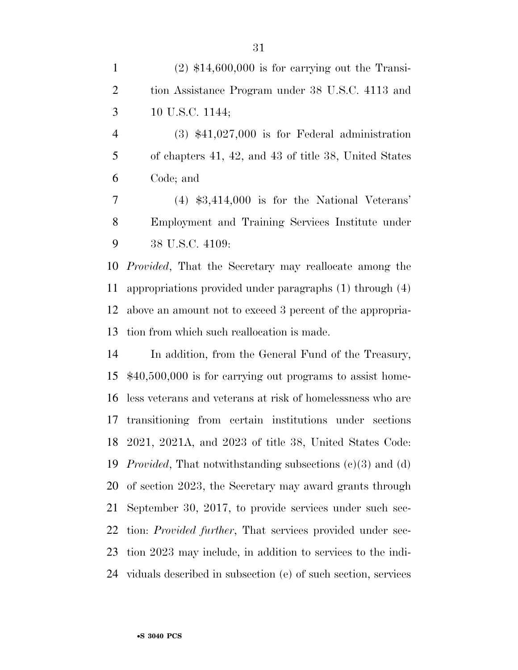(3) \$41,027,000 is for Federal administration of chapters 41, 42, and 43 of title 38, United States Code; and

 (4) \$3,414,000 is for the National Veterans' Employment and Training Services Institute under 38 U.S.C. 4109:

 *Provided*, That the Secretary may reallocate among the appropriations provided under paragraphs (1) through (4) above an amount not to exceed 3 percent of the appropria-tion from which such reallocation is made.

 In addition, from the General Fund of the Treasury, \$40,500,000 is for carrying out programs to assist home- less veterans and veterans at risk of homelessness who are transitioning from certain institutions under sections 2021, 2021A, and 2023 of title 38, United States Code: *Provided*, That notwithstanding subsections (c)(3) and (d) of section 2023, the Secretary may award grants through September 30, 2017, to provide services under such sec- tion: *Provided further*, That services provided under sec- tion 2023 may include, in addition to services to the indi-viduals described in subsection (e) of such section, services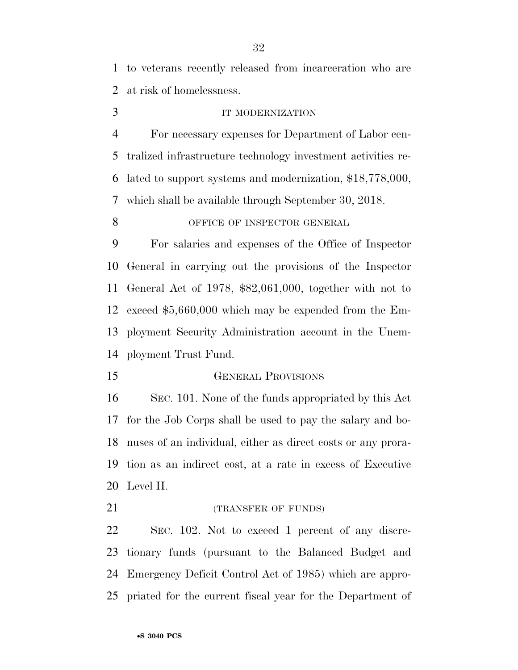to veterans recently released from incarceration who are at risk of homelessness.

## 3 IT MODERNIZATION

 For necessary expenses for Department of Labor cen- tralized infrastructure technology investment activities re- lated to support systems and modernization, \$18,778,000, which shall be available through September 30, 2018.

## 8 OFFICE OF INSPECTOR GENERAL

 For salaries and expenses of the Office of Inspector General in carrying out the provisions of the Inspector General Act of 1978, \$82,061,000, together with not to exceed \$5,660,000 which may be expended from the Em- ployment Security Administration account in the Unem-ployment Trust Fund.

**GENERAL PROVISIONS** 

 SEC. 101. None of the funds appropriated by this Act for the Job Corps shall be used to pay the salary and bo- nuses of an individual, either as direct costs or any prora- tion as an indirect cost, at a rate in excess of Executive Level II.

21 (TRANSFER OF FUNDS)

 SEC. 102. Not to exceed 1 percent of any discre- tionary funds (pursuant to the Balanced Budget and Emergency Deficit Control Act of 1985) which are appro-priated for the current fiscal year for the Department of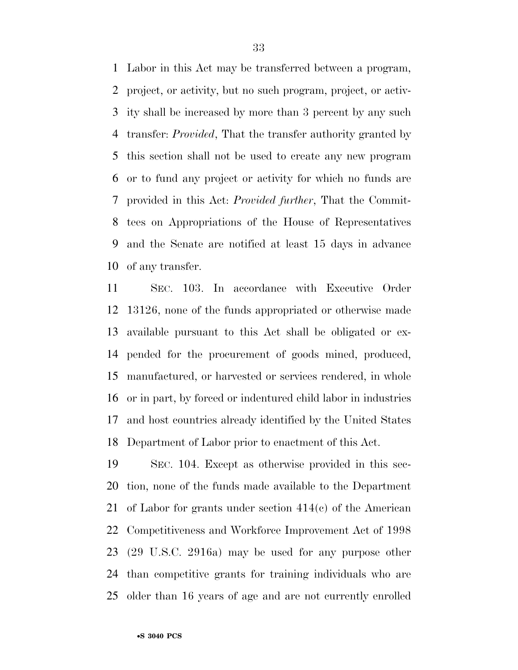Labor in this Act may be transferred between a program, project, or activity, but no such program, project, or activ- ity shall be increased by more than 3 percent by any such transfer: *Provided*, That the transfer authority granted by this section shall not be used to create any new program or to fund any project or activity for which no funds are provided in this Act: *Provided further*, That the Commit- tees on Appropriations of the House of Representatives and the Senate are notified at least 15 days in advance of any transfer.

 SEC. 103. In accordance with Executive Order 13126, none of the funds appropriated or otherwise made available pursuant to this Act shall be obligated or ex- pended for the procurement of goods mined, produced, manufactured, or harvested or services rendered, in whole or in part, by forced or indentured child labor in industries and host countries already identified by the United States Department of Labor prior to enactment of this Act.

 SEC. 104. Except as otherwise provided in this sec- tion, none of the funds made available to the Department of Labor for grants under section 414(c) of the American Competitiveness and Workforce Improvement Act of 1998 (29 U.S.C. 2916a) may be used for any purpose other than competitive grants for training individuals who are older than 16 years of age and are not currently enrolled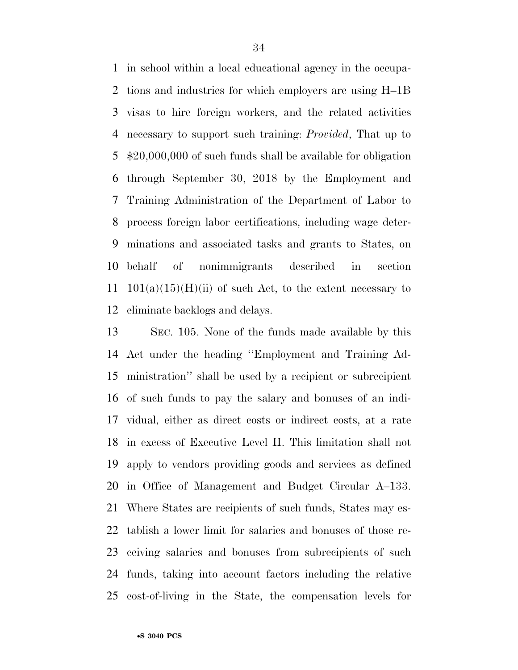in school within a local educational agency in the occupa- tions and industries for which employers are using H–1B visas to hire foreign workers, and the related activities necessary to support such training: *Provided*, That up to \$20,000,000 of such funds shall be available for obligation through September 30, 2018 by the Employment and Training Administration of the Department of Labor to process foreign labor certifications, including wage deter- minations and associated tasks and grants to States, on behalf of nonimmigrants described in section 11 101(a)(15)(H)(ii) of such Act, to the extent necessary to eliminate backlogs and delays.

 SEC. 105. None of the funds made available by this Act under the heading ''Employment and Training Ad- ministration'' shall be used by a recipient or subrecipient of such funds to pay the salary and bonuses of an indi- vidual, either as direct costs or indirect costs, at a rate in excess of Executive Level II. This limitation shall not apply to vendors providing goods and services as defined in Office of Management and Budget Circular A–133. Where States are recipients of such funds, States may es- tablish a lower limit for salaries and bonuses of those re- ceiving salaries and bonuses from subrecipients of such funds, taking into account factors including the relative cost-of-living in the State, the compensation levels for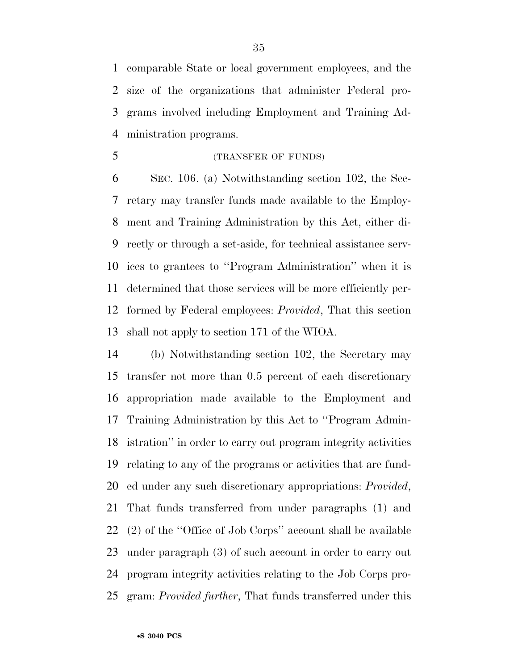comparable State or local government employees, and the size of the organizations that administer Federal pro- grams involved including Employment and Training Ad-ministration programs.

(TRANSFER OF FUNDS)

 SEC. 106. (a) Notwithstanding section 102, the Sec- retary may transfer funds made available to the Employ- ment and Training Administration by this Act, either di- rectly or through a set-aside, for technical assistance serv- ices to grantees to ''Program Administration'' when it is determined that those services will be more efficiently per- formed by Federal employees: *Provided*, That this section shall not apply to section 171 of the WIOA.

 (b) Notwithstanding section 102, the Secretary may transfer not more than 0.5 percent of each discretionary appropriation made available to the Employment and Training Administration by this Act to ''Program Admin- istration'' in order to carry out program integrity activities relating to any of the programs or activities that are fund- ed under any such discretionary appropriations: *Provided*, That funds transferred from under paragraphs (1) and (2) of the ''Office of Job Corps'' account shall be available under paragraph (3) of such account in order to carry out program integrity activities relating to the Job Corps pro-gram: *Provided further*, That funds transferred under this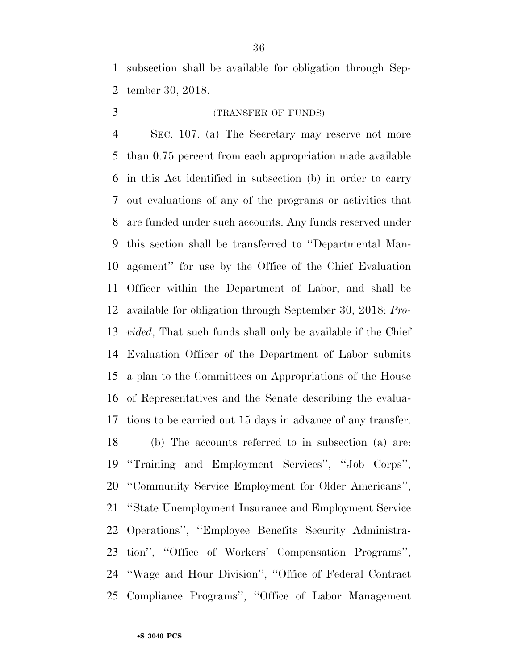subsection shall be available for obligation through Sep-tember 30, 2018.

## (TRANSFER OF FUNDS)

 SEC. 107. (a) The Secretary may reserve not more than 0.75 percent from each appropriation made available in this Act identified in subsection (b) in order to carry out evaluations of any of the programs or activities that are funded under such accounts. Any funds reserved under this section shall be transferred to ''Departmental Man- agement'' for use by the Office of the Chief Evaluation Officer within the Department of Labor, and shall be available for obligation through September 30, 2018: *Pro- vided*, That such funds shall only be available if the Chief Evaluation Officer of the Department of Labor submits a plan to the Committees on Appropriations of the House of Representatives and the Senate describing the evalua- tions to be carried out 15 days in advance of any transfer. (b) The accounts referred to in subsection (a) are: ''Training and Employment Services'', ''Job Corps'', ''Community Service Employment for Older Americans'', ''State Unemployment Insurance and Employment Service Operations'', ''Employee Benefits Security Administra- tion'', ''Office of Workers' Compensation Programs'', ''Wage and Hour Division'', ''Office of Federal Contract Compliance Programs'', ''Office of Labor Management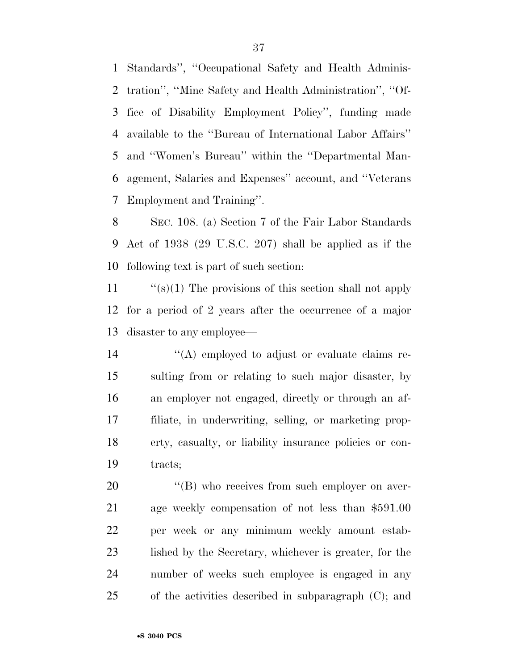Standards'', ''Occupational Safety and Health Adminis- tration'', ''Mine Safety and Health Administration'', ''Of- fice of Disability Employment Policy'', funding made available to the ''Bureau of International Labor Affairs'' and ''Women's Bureau'' within the ''Departmental Man- agement, Salaries and Expenses'' account, and ''Veterans Employment and Training''.

 SEC. 108. (a) Section 7 of the Fair Labor Standards Act of 1938 (29 U.S.C. 207) shall be applied as if the following text is part of such section:

 ''(s)(1) The provisions of this section shall not apply for a period of 2 years after the occurrence of a major disaster to any employee—

 ''(A) employed to adjust or evaluate claims re- sulting from or relating to such major disaster, by an employer not engaged, directly or through an af- filiate, in underwriting, selling, or marketing prop- erty, casualty, or liability insurance policies or con-tracts;

 $\langle$  (B) who receives from such employer on aver- age weekly compensation of not less than \$591.00 per week or any minimum weekly amount estab- lished by the Secretary, whichever is greater, for the number of weeks such employee is engaged in any of the activities described in subparagraph (C); and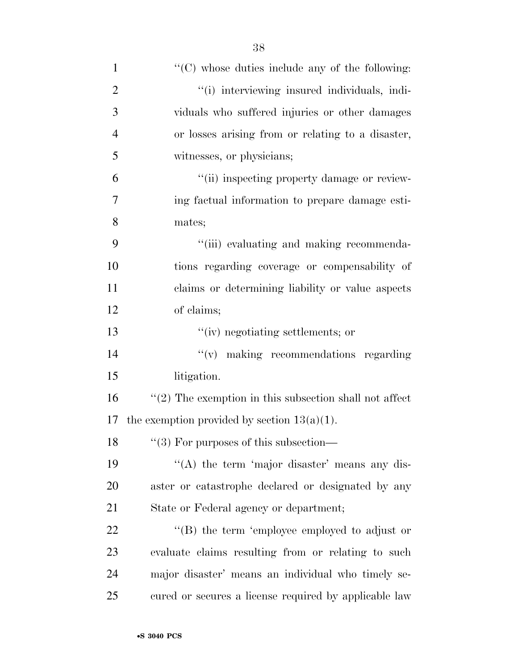| $\mathbf{1}$   | $\lq\lq$ (C) whose duties include any of the following:    |
|----------------|------------------------------------------------------------|
| $\overline{2}$ | "(i) interviewing insured individuals, indi-               |
| 3              | viduals who suffered injuries or other damages             |
| $\overline{4}$ | or losses arising from or relating to a disaster,          |
| 5              | witnesses, or physicians;                                  |
| 6              | "(ii) inspecting property damage or review-                |
| 7              | ing factual information to prepare damage esti-            |
| 8              | mates;                                                     |
| 9              | "(iii) evaluating and making recommenda-                   |
| 10             | tions regarding coverage or compensability of              |
| 11             | claims or determining liability or value aspects           |
| 12             | of claims;                                                 |
| 13             | "(iv) negotiating settlements; or                          |
| 14             | $``(v)$ making recommendations regarding                   |
| 15             | litigation.                                                |
| 16             | $\lq(2)$ The exemption in this subsection shall not affect |
| 17             | the exemption provided by section $13(a)(1)$ .             |
| 18             | $``(3)$ For purposes of this subsection—                   |
| 19             | "(A) the term 'major disaster' means any dis-              |
| 20             | aster or catastrophe declared or designated by any         |
| 21             | State or Federal agency or department;                     |
| 22             | $\lq\lq$ the term 'employee employed to adjust or          |
| 23             | evaluate claims resulting from or relating to such         |
| 24             | major disaster' means an individual who timely se-         |
| 25             | cured or secures a license required by applicable law      |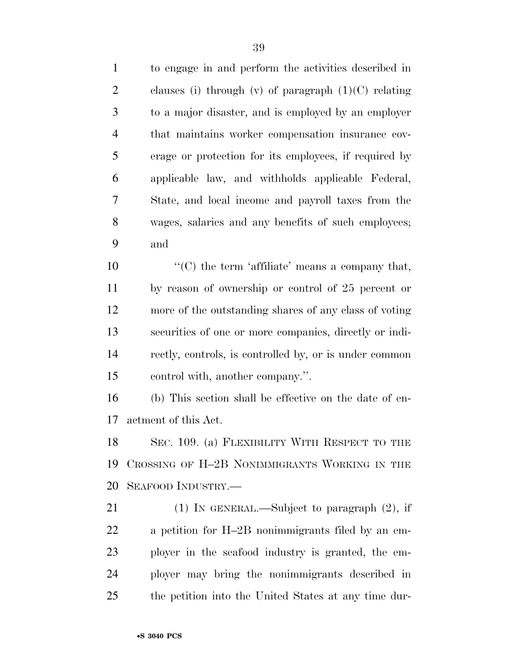to engage in and perform the activities described in 2 clauses (i) through (v) of paragraph  $(1)(C)$  relating to a major disaster, and is employed by an employer that maintains worker compensation insurance cov- erage or protection for its employees, if required by applicable law, and withholds applicable Federal, State, and local income and payroll taxes from the wages, salaries and any benefits of such employees; and

 $\langle ^{\prime}(C) \rangle$  the term 'affiliate' means a company that, by reason of ownership or control of 25 percent or more of the outstanding shares of any class of voting securities of one or more companies, directly or indi- rectly, controls, is controlled by, or is under common control with, another company.''.

 (b) This section shall be effective on the date of en-actment of this Act.

 SEC. 109. (a) FLEXIBILITY WITH RESPECT TO THE CROSSING OF H–2B NONIMMIGRANTS WORKING IN THE SEAFOOD INDUSTRY.—

 (1) IN GENERAL.—Subject to paragraph (2), if a petition for H–2B nonimmigrants filed by an em- ployer in the seafood industry is granted, the em- ployer may bring the nonimmigrants described in the petition into the United States at any time dur-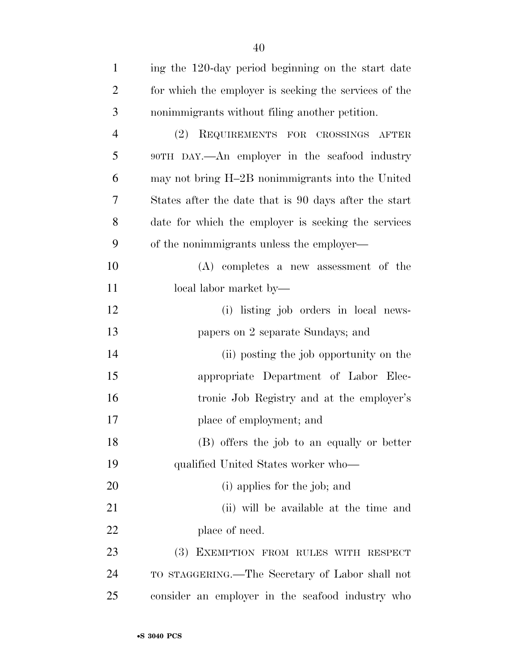| $\mathbf{1}$   | ing the 120-day period beginning on the start date    |
|----------------|-------------------------------------------------------|
| 2              | for which the employer is seeking the services of the |
| 3 <sup>1</sup> | nonimmigrants without filing another petition.        |
| 4              | REQUIREMENTS FOR CROSSINGS AFTER<br>(2)               |

 90TH DAY.—An employer in the seafood industry may not bring H–2B nonimmigrants into the United States after the date that is 90 days after the start date for which the employer is seeking the services of the nonimmigrants unless the employer—

- (A) completes a new assessment of the 11 local labor market by—
- (i) listing job orders in local news- papers on 2 separate Sundays; and (ii) posting the job opportunity on the
- appropriate Department of Labor Elec- tronic Job Registry and at the employer's place of employment; and
- (B) offers the job to an equally or better qualified United States worker who—
- (i) applies for the job; and
- (ii) will be available at the time and 22 place of need.
- (3) EXEMPTION FROM RULES WITH RESPECT TO STAGGERING.—The Secretary of Labor shall not consider an employer in the seafood industry who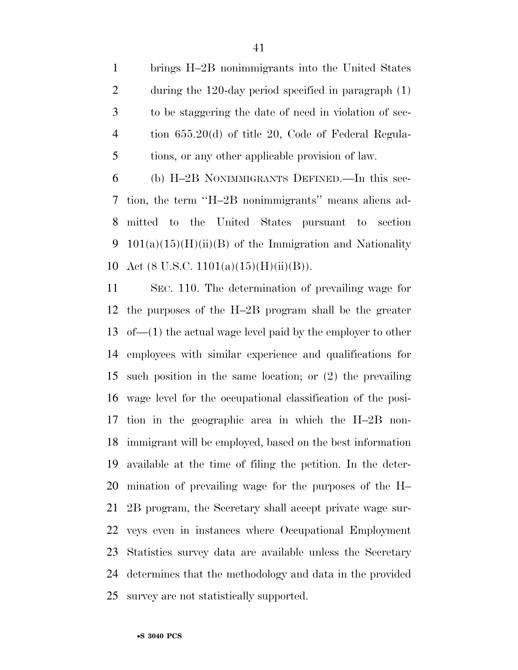brings H–2B nonimmigrants into the United States during the 120-day period specified in paragraph (1) to be staggering the date of need in violation of sec- tion 655.20(d) of title 20, Code of Federal Regula-tions, or any other applicable provision of law.

 (b) H–2B NONIMMIGRANTS DEFINED.—In this sec- tion, the term ''H–2B nonimmigrants'' means aliens ad- mitted to the United States pursuant to section 9 101(a)(15)(H)(ii)(B) of the Immigration and Nationality 10 Act (8 U.S.C. 1101(a)(15)(H)(ii)(B)).

 SEC. 110. The determination of prevailing wage for the purposes of the H–2B program shall be the greater of—(1) the actual wage level paid by the employer to other employees with similar experience and qualifications for such position in the same location; or (2) the prevailing wage level for the occupational classification of the posi- tion in the geographic area in which the H–2B non- immigrant will be employed, based on the best information available at the time of filing the petition. In the deter- mination of prevailing wage for the purposes of the H– 2B program, the Secretary shall accept private wage sur- veys even in instances where Occupational Employment Statistics survey data are available unless the Secretary determines that the methodology and data in the provided survey are not statistically supported.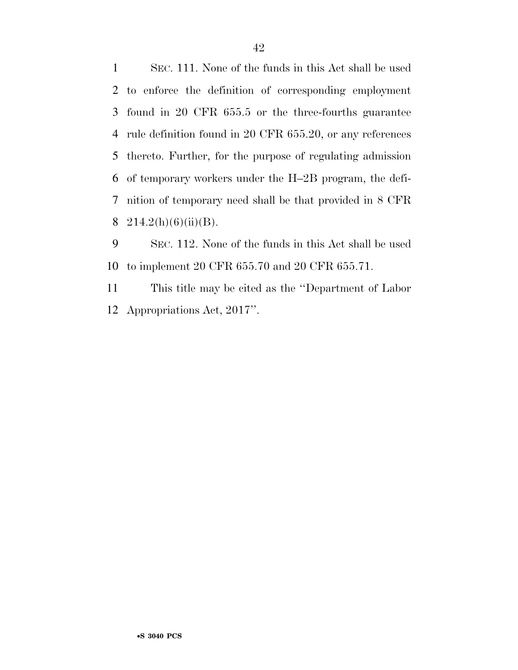SEC. 111. None of the funds in this Act shall be used to enforce the definition of corresponding employment found in 20 CFR 655.5 or the three-fourths guarantee rule definition found in 20 CFR 655.20, or any references thereto. Further, for the purpose of regulating admission of temporary workers under the H–2B program, the defi- nition of temporary need shall be that provided in 8 CFR 8 214.2(h)(6)(ii)(B).

 SEC. 112. None of the funds in this Act shall be used to implement 20 CFR 655.70 and 20 CFR 655.71.

 This title may be cited as the ''Department of Labor Appropriations Act, 2017''.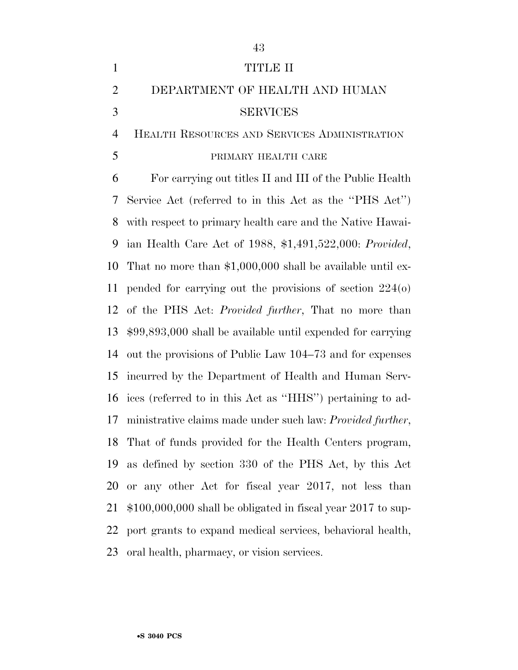|                | 43                                                                    |
|----------------|-----------------------------------------------------------------------|
| $\mathbf{1}$   | TITLE II                                                              |
| $\overline{2}$ | DEPARTMENT OF HEALTH AND HUMAN                                        |
| 3              | <b>SERVICES</b>                                                       |
| 4              | HEALTH RESOURCES AND SERVICES ADMINISTRATION                          |
| 5              | PRIMARY HEALTH CARE                                                   |
| 6              | For carrying out titles II and III of the Public Health               |
| 7              | Service Act (referred to in this Act as the "PHS Act")                |
| 8              | with respect to primary health care and the Native Hawai-             |
| 9              | ian Health Care Act of 1988, \$1,491,522,000: Provided,               |
| 10             | That no more than $$1,000,000$ shall be available until ex-           |
| 11             | pended for carrying out the provisions of section $224(0)$            |
| 12             | of the PHS Act: <i>Provided further</i> , That no more than           |
| 13             | $$99,893,000$ shall be available until expended for carrying          |
| 14             | out the provisions of Public Law 104–73 and for expenses              |
| 15             | incurred by the Department of Health and Human Serv-                  |
| 16             | ices (referred to in this Act as "HHS") pertaining to ad-             |
|                | 17 ministrative claims made under such law: <i>Provided further</i> , |
| 18             | That of funds provided for the Health Centers program,                |
| 19             | as defined by section 330 of the PHS Act, by this Act                 |
| 20             | or any other Act for fiscal year 2017, not less than                  |
| 21             | $$100,000,000$ shall be obligated in fiscal year 2017 to sup-         |
| 22             | port grants to expand medical services, behavioral health,            |
| 23             | oral health, pharmacy, or vision services.                            |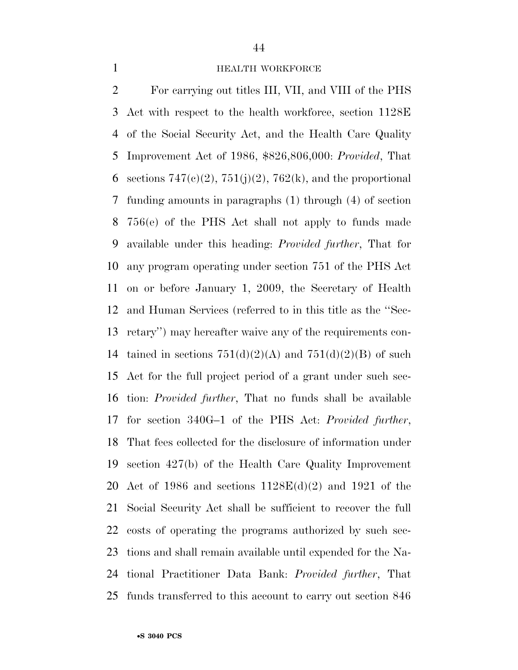#### **HEALTH WORKFORCE**

 For carrying out titles III, VII, and VIII of the PHS Act with respect to the health workforce, section 1128E of the Social Security Act, and the Health Care Quality Improvement Act of 1986, \$826,806,000: *Provided*, That 6 sections  $747(e)(2)$ ,  $751(j)(2)$ ,  $762(k)$ , and the proportional funding amounts in paragraphs (1) through (4) of section 756(e) of the PHS Act shall not apply to funds made available under this heading: *Provided further*, That for any program operating under section 751 of the PHS Act on or before January 1, 2009, the Secretary of Health and Human Services (referred to in this title as the ''Sec- retary'') may hereafter waive any of the requirements con-14 tained in sections  $751(d)(2)(A)$  and  $751(d)(2)(B)$  of such Act for the full project period of a grant under such sec- tion: *Provided further*, That no funds shall be available for section 340G–1 of the PHS Act: *Provided further*, That fees collected for the disclosure of information under section 427(b) of the Health Care Quality Improvement Act of 1986 and sections 1128E(d)(2) and 1921 of the Social Security Act shall be sufficient to recover the full costs of operating the programs authorized by such sec- tions and shall remain available until expended for the Na- tional Practitioner Data Bank: *Provided further*, That funds transferred to this account to carry out section 846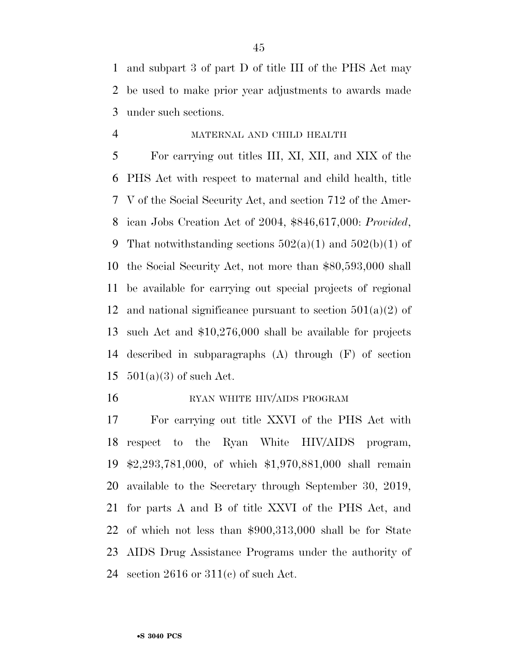and subpart 3 of part D of title III of the PHS Act may be used to make prior year adjustments to awards made under such sections.

### MATERNAL AND CHILD HEALTH

 For carrying out titles III, XI, XII, and XIX of the PHS Act with respect to maternal and child health, title V of the Social Security Act, and section 712 of the Amer- ican Jobs Creation Act of 2004, \$846,617,000: *Provided*, 9 That notwithstanding sections  $502(a)(1)$  and  $502(b)(1)$  of the Social Security Act, not more than \$80,593,000 shall be available for carrying out special projects of regional 12 and national significance pursuant to section  $501(a)(2)$  of such Act and \$10,276,000 shall be available for projects described in subparagraphs (A) through (F) of section  $501(a)(3)$  of such Act.

#### 16 RYAN WHITE HIV/AIDS PROGRAM

 For carrying out title XXVI of the PHS Act with respect to the Ryan White HIV/AIDS program, \$2,293,781,000, of which \$1,970,881,000 shall remain available to the Secretary through September 30, 2019, for parts A and B of title XXVI of the PHS Act, and of which not less than \$900,313,000 shall be for State AIDS Drug Assistance Programs under the authority of 24 section or  $311(c)$  of such Act.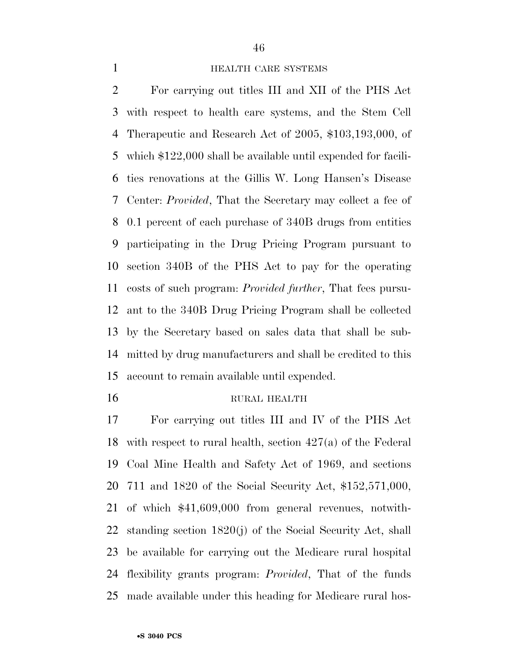## 

#### **HEALTH CARE SYSTEMS**

 For carrying out titles III and XII of the PHS Act with respect to health care systems, and the Stem Cell Therapeutic and Research Act of 2005, \$103,193,000, of which \$122,000 shall be available until expended for facili- ties renovations at the Gillis W. Long Hansen's Disease Center: *Provided*, That the Secretary may collect a fee of 0.1 percent of each purchase of 340B drugs from entities participating in the Drug Pricing Program pursuant to section 340B of the PHS Act to pay for the operating costs of such program: *Provided further*, That fees pursu- ant to the 340B Drug Pricing Program shall be collected by the Secretary based on sales data that shall be sub- mitted by drug manufacturers and shall be credited to this account to remain available until expended.

#### RURAL HEALTH

 For carrying out titles III and IV of the PHS Act with respect to rural health, section 427(a) of the Federal Coal Mine Health and Safety Act of 1969, and sections 711 and 1820 of the Social Security Act, \$152,571,000, of which \$41,609,000 from general revenues, notwith- standing section 1820(j) of the Social Security Act, shall be available for carrying out the Medicare rural hospital flexibility grants program: *Provided*, That of the funds made available under this heading for Medicare rural hos-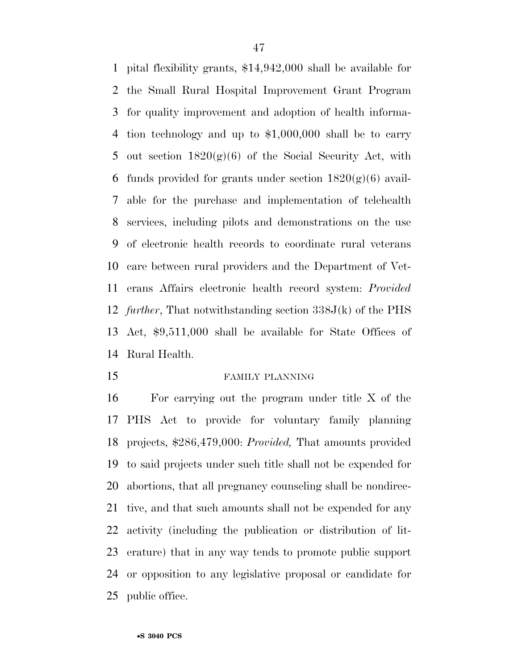pital flexibility grants, \$14,942,000 shall be available for the Small Rural Hospital Improvement Grant Program for quality improvement and adoption of health informa- tion technology and up to \$1,000,000 shall be to carry 5 out section  $1820(g)(6)$  of the Social Security Act, with 6 funds provided for grants under section  $1820(g)(6)$  avail- able for the purchase and implementation of telehealth services, including pilots and demonstrations on the use of electronic health records to coordinate rural veterans care between rural providers and the Department of Vet- erans Affairs electronic health record system: *Provided further*, That notwithstanding section 338J(k) of the PHS Act, \$9,511,000 shall be available for State Offices of Rural Health.

#### FAMILY PLANNING

 For carrying out the program under title X of the PHS Act to provide for voluntary family planning projects, \$286,479,000: *Provided,* That amounts provided to said projects under such title shall not be expended for abortions, that all pregnancy counseling shall be nondirec- tive, and that such amounts shall not be expended for any activity (including the publication or distribution of lit- erature) that in any way tends to promote public support or opposition to any legislative proposal or candidate for public office.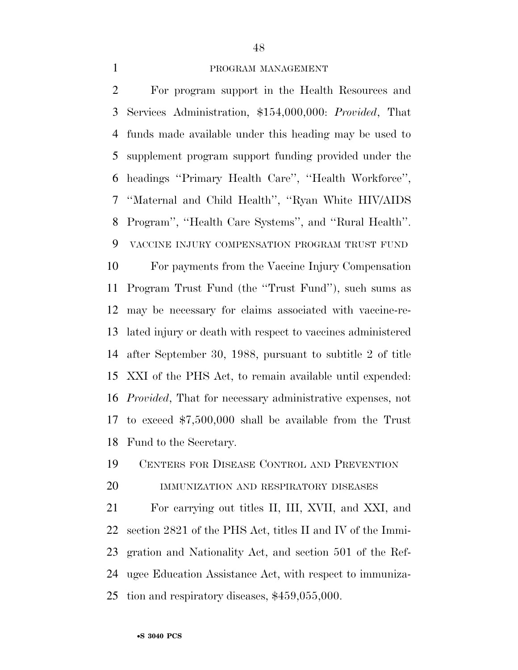#### PROGRAM MANAGEMENT

 For program support in the Health Resources and Services Administration, \$154,000,000: *Provided*, That funds made available under this heading may be used to supplement program support funding provided under the headings ''Primary Health Care'', ''Health Workforce'', ''Maternal and Child Health'', ''Ryan White HIV/AIDS Program'', ''Health Care Systems'', and ''Rural Health''. VACCINE INJURY COMPENSATION PROGRAM TRUST FUND For payments from the Vaccine Injury Compensation Program Trust Fund (the ''Trust Fund''), such sums as may be necessary for claims associated with vaccine-re- lated injury or death with respect to vaccines administered after September 30, 1988, pursuant to subtitle 2 of title XXI of the PHS Act, to remain available until expended: *Provided*, That for necessary administrative expenses, not to exceed \$7,500,000 shall be available from the Trust Fund to the Secretary.

CENTERS FOR DISEASE CONTROL AND PREVENTION

IMMUNIZATION AND RESPIRATORY DISEASES

 For carrying out titles II, III, XVII, and XXI, and section 2821 of the PHS Act, titles II and IV of the Immi- gration and Nationality Act, and section 501 of the Ref- ugee Education Assistance Act, with respect to immuniza-tion and respiratory diseases, \$459,055,000.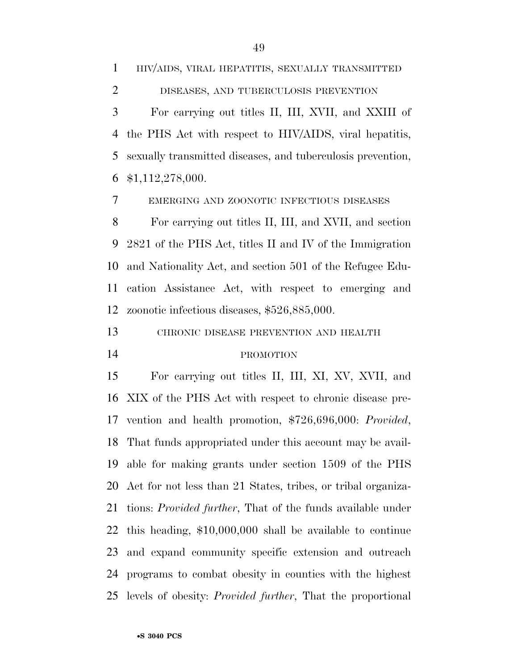HIV/AIDS, VIRAL HEPATITIS, SEXUALLY TRANSMITTED DISEASES, AND TUBERCULOSIS PREVENTION For carrying out titles II, III, XVII, and XXIII of the PHS Act with respect to HIV/AIDS, viral hepatitis, sexually transmitted diseases, and tuberculosis prevention, \$1,112,278,000.

EMERGING AND ZOONOTIC INFECTIOUS DISEASES

 For carrying out titles II, III, and XVII, and section 2821 of the PHS Act, titles II and IV of the Immigration and Nationality Act, and section 501 of the Refugee Edu- cation Assistance Act, with respect to emerging and zoonotic infectious diseases, \$526,885,000.

CHRONIC DISEASE PREVENTION AND HEALTH

#### PROMOTION

 For carrying out titles II, III, XI, XV, XVII, and XIX of the PHS Act with respect to chronic disease pre- vention and health promotion, \$726,696,000: *Provided*, That funds appropriated under this account may be avail- able for making grants under section 1509 of the PHS Act for not less than 21 States, tribes, or tribal organiza- tions: *Provided further*, That of the funds available under this heading, \$10,000,000 shall be available to continue and expand community specific extension and outreach programs to combat obesity in counties with the highest levels of obesity: *Provided further*, That the proportional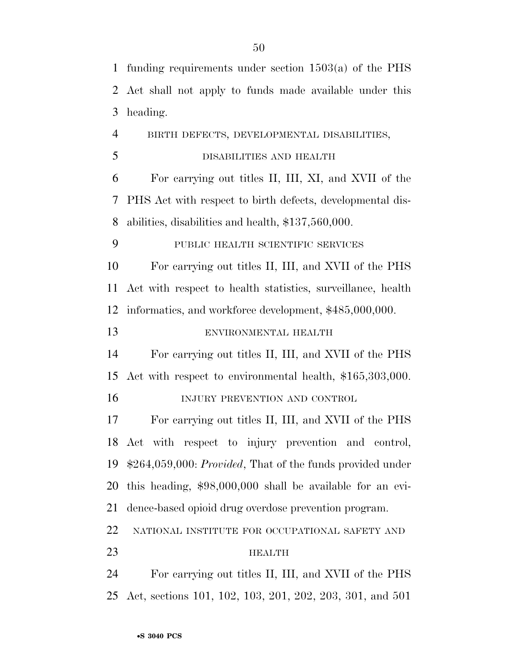funding requirements under section 1503(a) of the PHS Act shall not apply to funds made available under this heading. BIRTH DEFECTS, DEVELOPMENTAL DISABILITIES, DISABILITIES AND HEALTH For carrying out titles II, III, XI, and XVII of the PHS Act with respect to birth defects, developmental dis- abilities, disabilities and health, \$137,560,000. PUBLIC HEALTH SCIENTIFIC SERVICES For carrying out titles II, III, and XVII of the PHS Act with respect to health statistics, surveillance, health informatics, and workforce development, \$485,000,000. ENVIRONMENTAL HEALTH For carrying out titles II, III, and XVII of the PHS Act with respect to environmental health, \$165,303,000. INJURY PREVENTION AND CONTROL For carrying out titles II, III, and XVII of the PHS Act with respect to injury prevention and control, \$264,059,000: *Provided*, That of the funds provided under this heading, \$98,000,000 shall be available for an evi- dence-based opioid drug overdose prevention program. NATIONAL INSTITUTE FOR OCCUPATIONAL SAFETY AND HEALTH For carrying out titles II, III, and XVII of the PHS Act, sections 101, 102, 103, 201, 202, 203, 301, and 501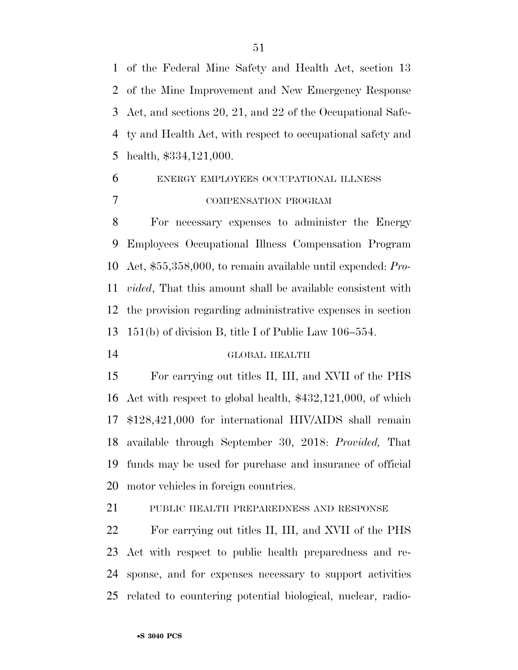of the Federal Mine Safety and Health Act, section 13 of the Mine Improvement and New Emergency Response Act, and sections 20, 21, and 22 of the Occupational Safe- ty and Health Act, with respect to occupational safety and health, \$334,121,000.

# ENERGY EMPLOYEES OCCUPATIONAL ILLNESS COMPENSATION PROGRAM

 For necessary expenses to administer the Energy Employees Occupational Illness Compensation Program Act, \$55,358,000, to remain available until expended: *Pro- vided*, That this amount shall be available consistent with the provision regarding administrative expenses in section 151(b) of division B, title I of Public Law 106–554.

#### GLOBAL HEALTH

 For carrying out titles II, III, and XVII of the PHS Act with respect to global health, \$432,121,000, of which \$128,421,000 for international HIV/AIDS shall remain available through September 30, 2018: *Provided,* That funds may be used for purchase and insurance of official motor vehicles in foreign countries.

PUBLIC HEALTH PREPAREDNESS AND RESPONSE

 For carrying out titles II, III, and XVII of the PHS Act with respect to public health preparedness and re- sponse, and for expenses necessary to support activities related to countering potential biological, nuclear, radio-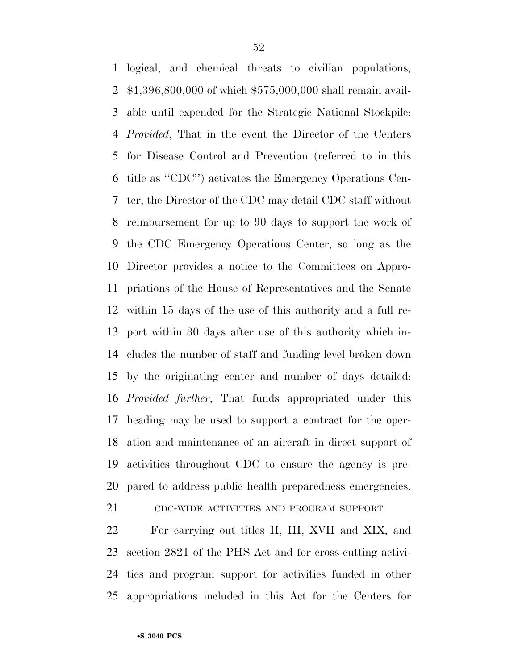logical, and chemical threats to civilian populations, \$1,396,800,000 of which \$575,000,000 shall remain avail- able until expended for the Strategic National Stockpile: *Provided*, That in the event the Director of the Centers for Disease Control and Prevention (referred to in this title as ''CDC'') activates the Emergency Operations Cen- ter, the Director of the CDC may detail CDC staff without reimbursement for up to 90 days to support the work of the CDC Emergency Operations Center, so long as the Director provides a notice to the Committees on Appro- priations of the House of Representatives and the Senate within 15 days of the use of this authority and a full re- port within 30 days after use of this authority which in- cludes the number of staff and funding level broken down by the originating center and number of days detailed: *Provided further*, That funds appropriated under this heading may be used to support a contract for the oper- ation and maintenance of an aircraft in direct support of activities throughout CDC to ensure the agency is pre-pared to address public health preparedness emergencies.

CDC-WIDE ACTIVITIES AND PROGRAM SUPPORT

 For carrying out titles II, III, XVII and XIX, and section 2821 of the PHS Act and for cross-cutting activi- ties and program support for activities funded in other appropriations included in this Act for the Centers for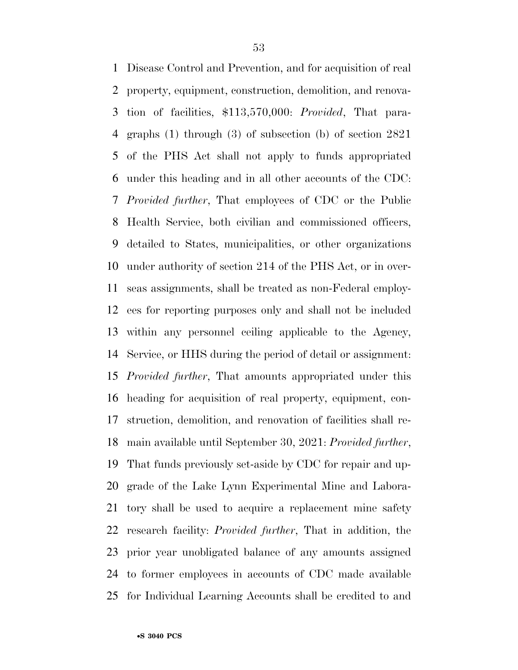Disease Control and Prevention, and for acquisition of real property, equipment, construction, demolition, and renova- tion of facilities, \$113,570,000: *Provided*, That para- graphs (1) through (3) of subsection (b) of section 2821 of the PHS Act shall not apply to funds appropriated under this heading and in all other accounts of the CDC: *Provided further*, That employees of CDC or the Public Health Service, both civilian and commissioned officers, detailed to States, municipalities, or other organizations under authority of section 214 of the PHS Act, or in over- seas assignments, shall be treated as non-Federal employ- ees for reporting purposes only and shall not be included within any personnel ceiling applicable to the Agency, Service, or HHS during the period of detail or assignment: *Provided further*, That amounts appropriated under this heading for acquisition of real property, equipment, con- struction, demolition, and renovation of facilities shall re- main available until September 30, 2021: *Provided further*, That funds previously set-aside by CDC for repair and up- grade of the Lake Lynn Experimental Mine and Labora- tory shall be used to acquire a replacement mine safety research facility: *Provided further*, That in addition, the prior year unobligated balance of any amounts assigned to former employees in accounts of CDC made available for Individual Learning Accounts shall be credited to and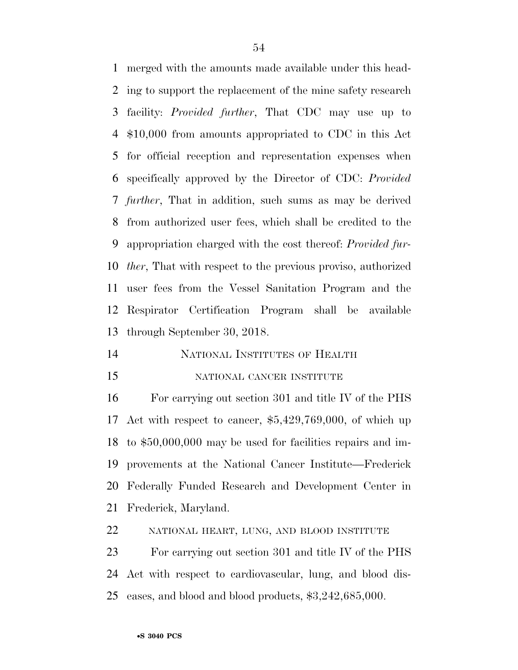merged with the amounts made available under this head- ing to support the replacement of the mine safety research facility: *Provided further*, That CDC may use up to \$10,000 from amounts appropriated to CDC in this Act for official reception and representation expenses when specifically approved by the Director of CDC: *Provided further*, That in addition, such sums as may be derived from authorized user fees, which shall be credited to the appropriation charged with the cost thereof: *Provided fur- ther*, That with respect to the previous proviso, authorized user fees from the Vessel Sanitation Program and the Respirator Certification Program shall be available through September 30, 2018.

#### NATIONAL INSTITUTES OF HEALTH

#### NATIONAL CANCER INSTITUTE

 For carrying out section 301 and title IV of the PHS Act with respect to cancer, \$5,429,769,000, of which up to \$50,000,000 may be used for facilities repairs and im- provements at the National Cancer Institute—Frederick Federally Funded Research and Development Center in Frederick, Maryland.

NATIONAL HEART, LUNG, AND BLOOD INSTITUTE

 For carrying out section 301 and title IV of the PHS Act with respect to cardiovascular, lung, and blood dis-eases, and blood and blood products, \$3,242,685,000.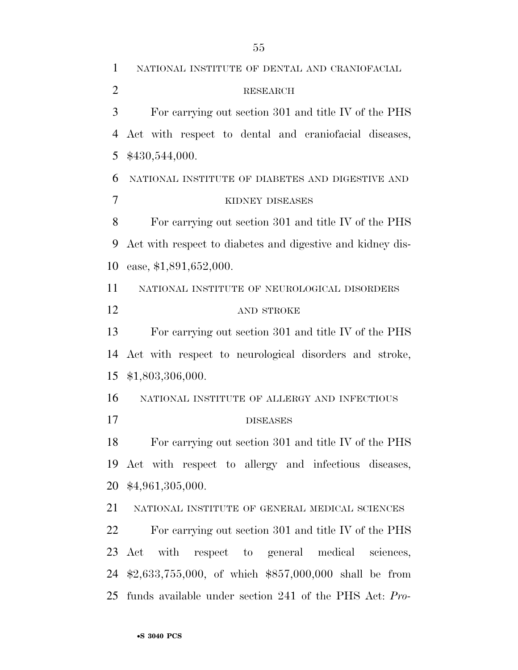NATIONAL INSTITUTE OF DENTAL AND CRANIOFACIAL RESEARCH For carrying out section 301 and title IV of the PHS Act with respect to dental and craniofacial diseases, \$430,544,000. NATIONAL INSTITUTE OF DIABETES AND DIGESTIVE AND KIDNEY DISEASES For carrying out section 301 and title IV of the PHS Act with respect to diabetes and digestive and kidney dis- ease, \$1,891,652,000. NATIONAL INSTITUTE OF NEUROLOGICAL DISORDERS AND STROKE For carrying out section 301 and title IV of the PHS Act with respect to neurological disorders and stroke, \$1,803,306,000. NATIONAL INSTITUTE OF ALLERGY AND INFECTIOUS DISEASES For carrying out section 301 and title IV of the PHS Act with respect to allergy and infectious diseases, \$4,961,305,000. NATIONAL INSTITUTE OF GENERAL MEDICAL SCIENCES For carrying out section 301 and title IV of the PHS Act with respect to general medical sciences, \$2,633,755,000, of which \$857,000,000 shall be from funds available under section 241 of the PHS Act: *Pro-*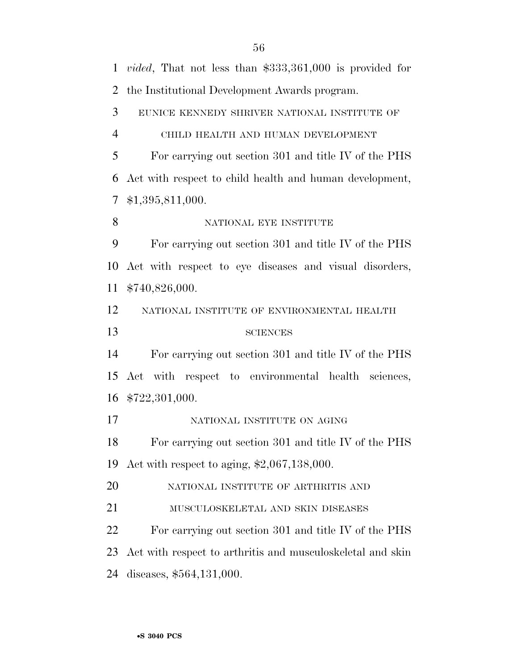| $\mathbf{1}$   | <i>vided</i> , That not less than $$333,361,000$ is provided for |
|----------------|------------------------------------------------------------------|
| $\overline{2}$ | the Institutional Development Awards program.                    |
| 3              | EUNICE KENNEDY SHRIVER NATIONAL INSTITUTE OF                     |
| $\overline{4}$ | CHILD HEALTH AND HUMAN DEVELOPMENT                               |
| 5              | For carrying out section 301 and title IV of the PHS             |
| 6              | Act with respect to child health and human development,          |
| 7              | \$1,395,811,000.                                                 |
| 8              | NATIONAL EYE INSTITUTE                                           |
| 9              | For carrying out section 301 and title IV of the PHS             |
| 10             | Act with respect to eye diseases and visual disorders,           |
| 11             | \$740,826,000.                                                   |
| 12             | NATIONAL INSTITUTE OF ENVIRONMENTAL HEALTH                       |
| 13             | <b>SCIENCES</b>                                                  |
| 14             | For carrying out section 301 and title IV of the PHS             |
| 15             | Act with respect to environmental health sciences,               |
|                | 16 \$722,301,000.                                                |
| 17             | NATIONAL INSTITUTE ON AGING                                      |
| 18             | For carrying out section 301 and title IV of the PHS             |
| 19             | Act with respect to aging, $$2,067,138,000$ .                    |
| 20             |                                                                  |
|                | NATIONAL INSTITUTE OF ARTHRITIS AND                              |
|                | MUSCULOSKELETAL AND SKIN DISEASES                                |
|                | For carrying out section 301 and title IV of the PHS             |
| 21<br>22<br>23 | Act with respect to arthritis and musculoskeletal and skin       |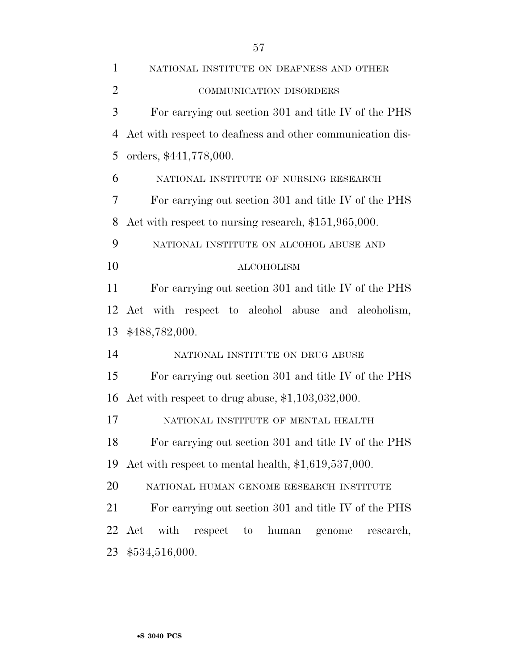| $\mathbf{1}$   | NATIONAL INSTITUTE ON DEAFNESS AND OTHER                     |
|----------------|--------------------------------------------------------------|
| $\overline{2}$ | COMMUNICATION DISORDERS                                      |
| 3              | For carrying out section 301 and title IV of the PHS         |
| $\overline{4}$ | Act with respect to deafness and other communication dis-    |
| 5              | orders, \$441,778,000.                                       |
| 6              | NATIONAL INSTITUTE OF NURSING RESEARCH                       |
| 7              | For carrying out section 301 and title IV of the PHS         |
| 8              | Act with respect to nursing research, \$151,965,000.         |
| 9              | NATIONAL INSTITUTE ON ALCOHOL ABUSE AND                      |
| 10             | <b>ALCOHOLISM</b>                                            |
| 11             | For carrying out section 301 and title IV of the PHS         |
| 12             | Act with respect to alcohol abuse and alcoholism,            |
| 13             | \$488,782,000.                                               |
| 14             | NATIONAL INSTITUTE ON DRUG ABUSE                             |
| 15             | For carrying out section 301 and title IV of the PHS         |
| 16             | Act with respect to drug abuse, $$1,103,032,000$ .           |
| 17             | NATIONAL INSTITUTE OF MENTAL HEALTH                          |
| 18             | For carrying out section 301 and title IV of the PHS         |
| 19             | Act with respect to mental health, $$1,619,537,000$ .        |
| 20             | NATIONAL HUMAN GENOME RESEARCH INSTITUTE                     |
| 21             | For carrying out section 301 and title IV of the PHS         |
| 22             | with<br>Act<br>respect<br>human<br>to<br>genome<br>research, |
| 23             | \$534,516,000.                                               |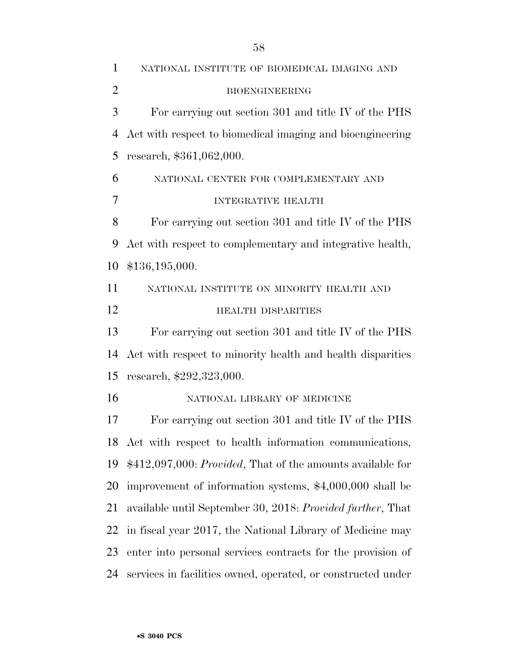NATIONAL INSTITUTE OF BIOMEDICAL IMAGING AND BIOENGINEERING For carrying out section 301 and title IV of the PHS Act with respect to biomedical imaging and bioengineering research, \$361,062,000. NATIONAL CENTER FOR COMPLEMENTARY AND INTEGRATIVE HEALTH For carrying out section 301 and title IV of the PHS Act with respect to complementary and integrative health, \$136,195,000. NATIONAL INSTITUTE ON MINORITY HEALTH AND **HEALTH DISPARITIES**  For carrying out section 301 and title IV of the PHS Act with respect to minority health and health disparities research, \$292,323,000. NATIONAL LIBRARY OF MEDICINE For carrying out section 301 and title IV of the PHS Act with respect to health information communications, \$412,097,000: *Provided*, That of the amounts available for improvement of information systems, \$4,000,000 shall be available until September 30, 2018: *Provided further*, That in fiscal year 2017, the National Library of Medicine may enter into personal services contracts for the provision of services in facilities owned, operated, or constructed under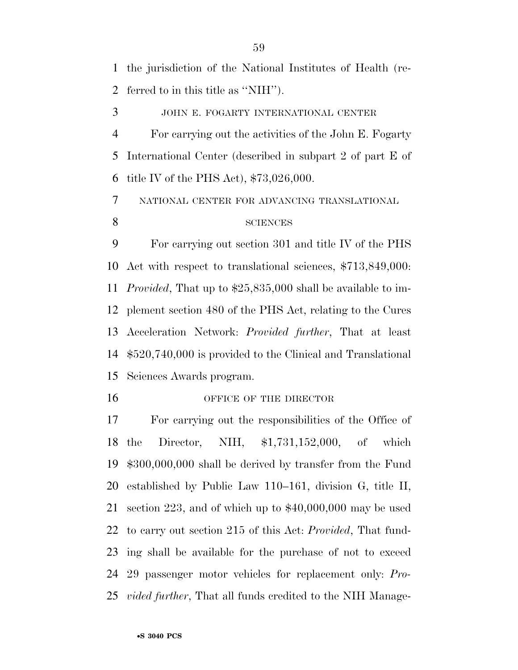the jurisdiction of the National Institutes of Health (re-ferred to in this title as ''NIH'').

JOHN E. FOGARTY INTERNATIONAL CENTER

 For carrying out the activities of the John E. Fogarty International Center (described in subpart 2 of part E of title IV of the PHS Act), \$73,026,000.

NATIONAL CENTER FOR ADVANCING TRANSLATIONAL

#### 8 SCIENCES

 For carrying out section 301 and title IV of the PHS Act with respect to translational sciences, \$713,849,000: *Provided*, That up to \$25,835,000 shall be available to im- plement section 480 of the PHS Act, relating to the Cures Acceleration Network: *Provided further*, That at least \$520,740,000 is provided to the Clinical and Translational Sciences Awards program.

#### 16 OFFICE OF THE DIRECTOR

 For carrying out the responsibilities of the Office of the Director, NIH, \$1,731,152,000, of which \$300,000,000 shall be derived by transfer from the Fund established by Public Law 110–161, division G, title II, section 223, and of which up to \$40,000,000 may be used to carry out section 215 of this Act: *Provided*, That fund- ing shall be available for the purchase of not to exceed 29 passenger motor vehicles for replacement only: *Pro-vided further*, That all funds credited to the NIH Manage-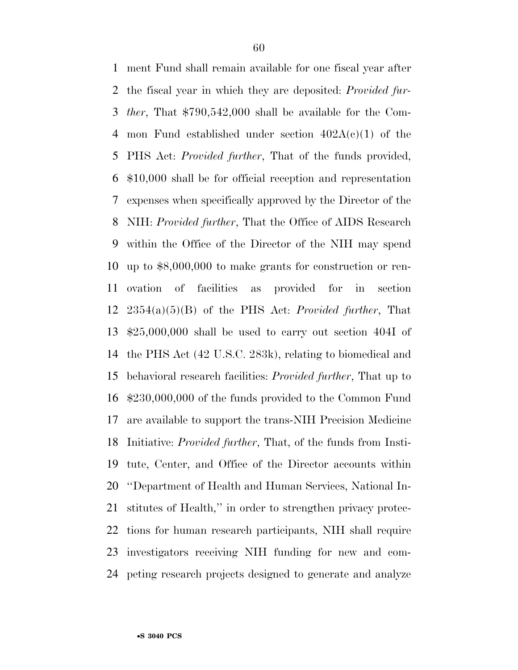ment Fund shall remain available for one fiscal year after the fiscal year in which they are deposited: *Provided fur- ther*, That \$790,542,000 shall be available for the Com-4 mon Fund established under section  $402A(c)(1)$  of the PHS Act: *Provided further*, That of the funds provided, \$10,000 shall be for official reception and representation expenses when specifically approved by the Director of the NIH: *Provided further*, That the Office of AIDS Research within the Office of the Director of the NIH may spend up to \$8,000,000 to make grants for construction or ren- ovation of facilities as provided for in section 2354(a)(5)(B) of the PHS Act: *Provided further*, That \$25,000,000 shall be used to carry out section 404I of the PHS Act (42 U.S.C. 283k), relating to biomedical and behavioral research facilities: *Provided further*, That up to \$230,000,000 of the funds provided to the Common Fund are available to support the trans-NIH Precision Medicine Initiative: *Provided further*, That, of the funds from Insti- tute, Center, and Office of the Director accounts within ''Department of Health and Human Services, National In- stitutes of Health,'' in order to strengthen privacy protec- tions for human research participants, NIH shall require investigators receiving NIH funding for new and com-peting research projects designed to generate and analyze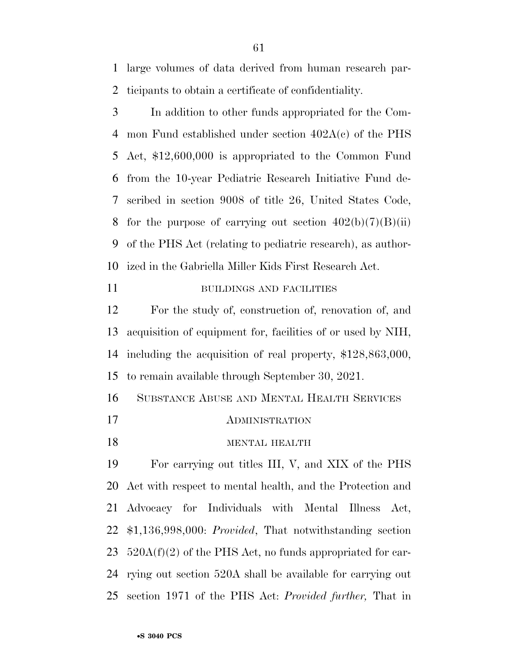large volumes of data derived from human research par-ticipants to obtain a certificate of confidentiality.

 In addition to other funds appropriated for the Com- mon Fund established under section 402A(c) of the PHS Act, \$12,600,000 is appropriated to the Common Fund from the 10-year Pediatric Research Initiative Fund de- scribed in section 9008 of title 26, United States Code, 8 for the purpose of carrying out section  $402(b)(7)(B)(ii)$  of the PHS Act (relating to pediatric research), as author-ized in the Gabriella Miller Kids First Research Act.

#### BUILDINGS AND FACILITIES

 For the study of, construction of, renovation of, and acquisition of equipment for, facilities of or used by NIH, including the acquisition of real property, \$128,863,000, to remain available through September 30, 2021.

SUBSTANCE ABUSE AND MENTAL HEALTH SERVICES

- ADMINISTRATION
- MENTAL HEALTH

 For carrying out titles III, V, and XIX of the PHS Act with respect to mental health, and the Protection and Advocacy for Individuals with Mental Illness Act, \$1,136,998,000: *Provided*, That notwithstanding section  $520A(f)(2)$  of the PHS Act, no funds appropriated for car- rying out section 520A shall be available for carrying out section 1971 of the PHS Act: *Provided further,* That in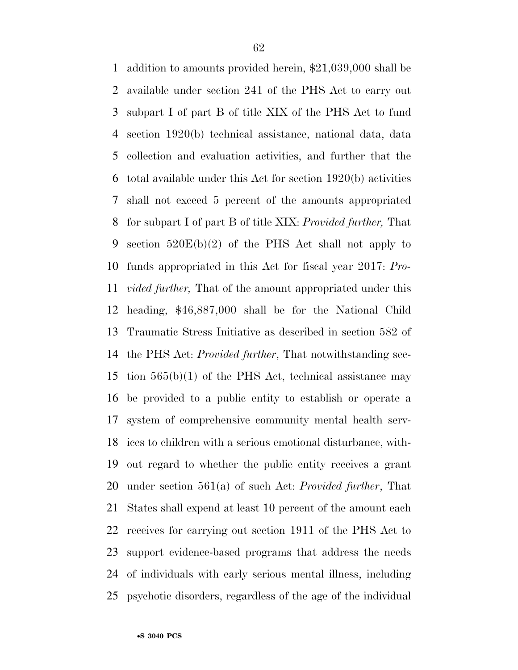addition to amounts provided herein, \$21,039,000 shall be available under section 241 of the PHS Act to carry out subpart I of part B of title XIX of the PHS Act to fund section 1920(b) technical assistance, national data, data collection and evaluation activities, and further that the total available under this Act for section 1920(b) activities shall not exceed 5 percent of the amounts appropriated for subpart I of part B of title XIX: *Provided further,* That section 520E(b)(2) of the PHS Act shall not apply to funds appropriated in this Act for fiscal year 2017: *Pro- vided further,* That of the amount appropriated under this heading, \$46,887,000 shall be for the National Child Traumatic Stress Initiative as described in section 582 of the PHS Act: *Provided further*, That notwithstanding sec-15 tion  $565(b)(1)$  of the PHS Act, technical assistance may be provided to a public entity to establish or operate a system of comprehensive community mental health serv- ices to children with a serious emotional disturbance, with- out regard to whether the public entity receives a grant under section 561(a) of such Act: *Provided further*, That States shall expend at least 10 percent of the amount each receives for carrying out section 1911 of the PHS Act to support evidence-based programs that address the needs of individuals with early serious mental illness, including psychotic disorders, regardless of the age of the individual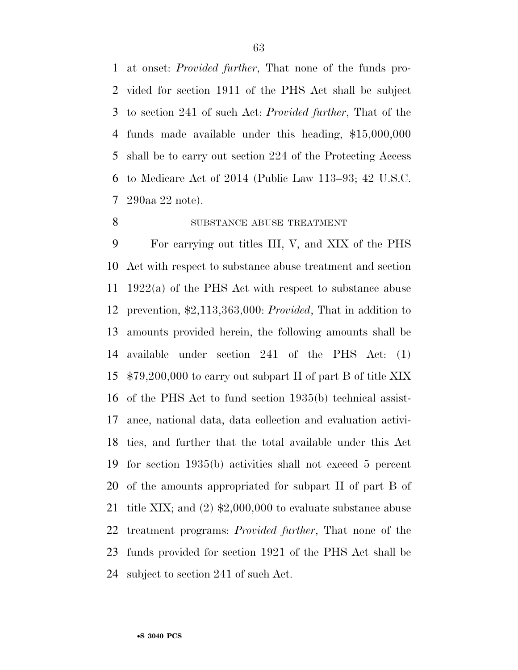at onset: *Provided further*, That none of the funds pro- vided for section 1911 of the PHS Act shall be subject to section 241 of such Act: *Provided further*, That of the funds made available under this heading, \$15,000,000 shall be to carry out section 224 of the Protecting Access to Medicare Act of 2014 (Public Law 113–93; 42 U.S.C. 290aa 22 note).

#### 8 SUBSTANCE ABUSE TREATMENT

 For carrying out titles III, V, and XIX of the PHS Act with respect to substance abuse treatment and section 1922(a) of the PHS Act with respect to substance abuse prevention, \$2,113,363,000: *Provided*, That in addition to amounts provided herein, the following amounts shall be available under section 241 of the PHS Act: (1) \$79,200,000 to carry out subpart II of part B of title XIX of the PHS Act to fund section 1935(b) technical assist- ance, national data, data collection and evaluation activi- ties, and further that the total available under this Act for section 1935(b) activities shall not exceed 5 percent of the amounts appropriated for subpart II of part B of title XIX; and (2) \$2,000,000 to evaluate substance abuse treatment programs: *Provided further*, That none of the funds provided for section 1921 of the PHS Act shall be subject to section 241 of such Act.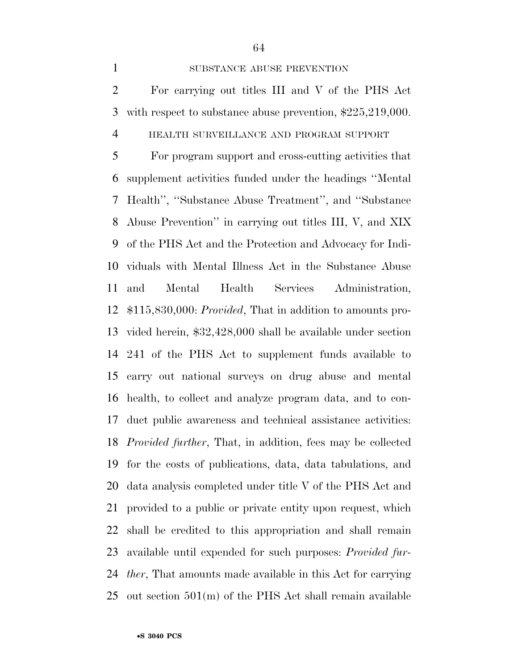#### 1 SUBSTANCE ABUSE PREVENTION

 For carrying out titles III and V of the PHS Act with respect to substance abuse prevention, \$225,219,000.

#### HEALTH SURVEILLANCE AND PROGRAM SUPPORT

 For program support and cross-cutting activities that supplement activities funded under the headings ''Mental Health'', ''Substance Abuse Treatment'', and ''Substance Abuse Prevention'' in carrying out titles III, V, and XIX of the PHS Act and the Protection and Advocacy for Indi- viduals with Mental Illness Act in the Substance Abuse and Mental Health Services Administration, \$115,830,000: *Provided*, That in addition to amounts pro- vided herein, \$32,428,000 shall be available under section 241 of the PHS Act to supplement funds available to carry out national surveys on drug abuse and mental health, to collect and analyze program data, and to con- duct public awareness and technical assistance activities: *Provided further*, That, in addition, fees may be collected for the costs of publications, data, data tabulations, and data analysis completed under title V of the PHS Act and provided to a public or private entity upon request, which shall be credited to this appropriation and shall remain available until expended for such purposes: *Provided fur- ther*, That amounts made available in this Act for carrying out section 501(m) of the PHS Act shall remain available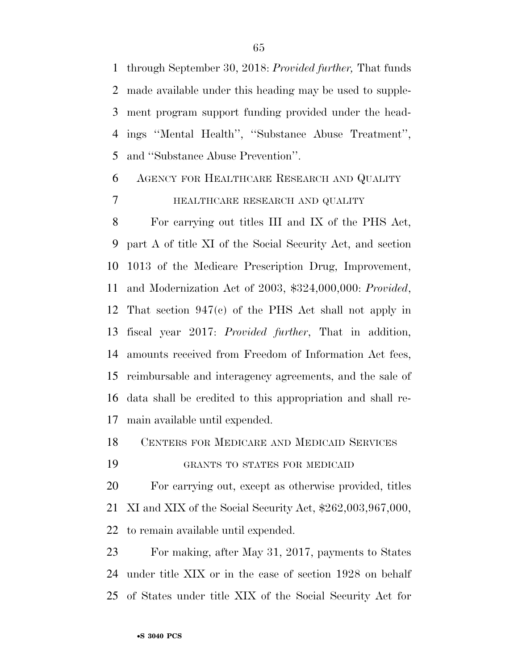through September 30, 2018: *Provided further,* That funds made available under this heading may be used to supple- ment program support funding provided under the head- ings ''Mental Health'', ''Substance Abuse Treatment'', and ''Substance Abuse Prevention''.

 AGENCY FOR HEALTHCARE RESEARCH AND QUALITY HEALTHCARE RESEARCH AND QUALITY

 For carrying out titles III and IX of the PHS Act, part A of title XI of the Social Security Act, and section 1013 of the Medicare Prescription Drug, Improvement, and Modernization Act of 2003, \$324,000,000: *Provided*, That section 947(c) of the PHS Act shall not apply in fiscal year 2017: *Provided further*, That in addition, amounts received from Freedom of Information Act fees, reimbursable and interagency agreements, and the sale of data shall be credited to this appropriation and shall re-main available until expended.

CENTERS FOR MEDICARE AND MEDICAID SERVICES

GRANTS TO STATES FOR MEDICAID

 For carrying out, except as otherwise provided, titles XI and XIX of the Social Security Act, \$262,003,967,000, to remain available until expended.

 For making, after May 31, 2017, payments to States under title XIX or in the case of section 1928 on behalf of States under title XIX of the Social Security Act for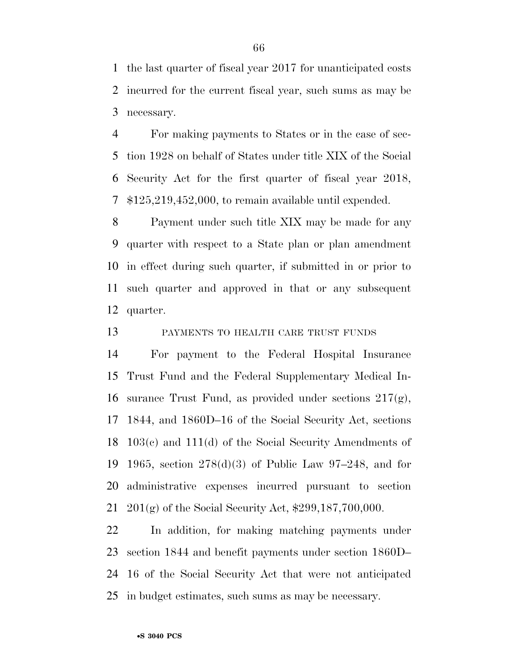the last quarter of fiscal year 2017 for unanticipated costs incurred for the current fiscal year, such sums as may be necessary.

 For making payments to States or in the case of sec- tion 1928 on behalf of States under title XIX of the Social Security Act for the first quarter of fiscal year 2018, \$125,219,452,000, to remain available until expended.

 Payment under such title XIX may be made for any quarter with respect to a State plan or plan amendment in effect during such quarter, if submitted in or prior to such quarter and approved in that or any subsequent quarter.

PAYMENTS TO HEALTH CARE TRUST FUNDS

 For payment to the Federal Hospital Insurance Trust Fund and the Federal Supplementary Medical In-16 surance Trust Fund, as provided under sections  $217(g)$ , 1844, and 1860D–16 of the Social Security Act, sections 103(c) and 111(d) of the Social Security Amendments of 1965, section 278(d)(3) of Public Law 97–248, and for administrative expenses incurred pursuant to section 201(g) of the Social Security Act, \$299,187,700,000.

 In addition, for making matching payments under section 1844 and benefit payments under section 1860D– 16 of the Social Security Act that were not anticipated in budget estimates, such sums as may be necessary.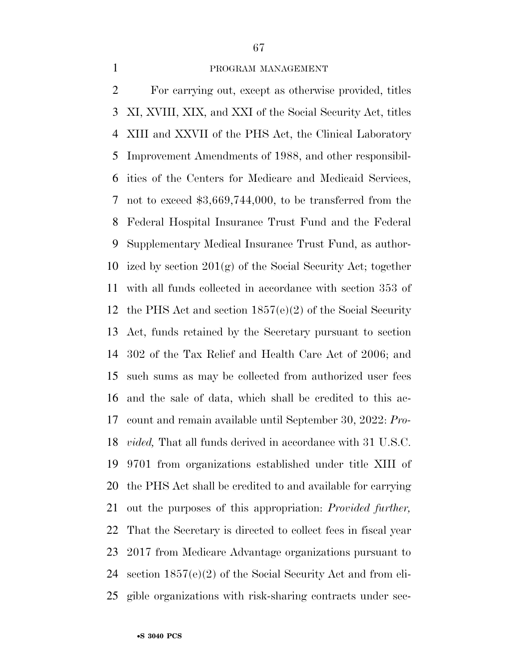#### PROGRAM MANAGEMENT

 For carrying out, except as otherwise provided, titles XI, XVIII, XIX, and XXI of the Social Security Act, titles XIII and XXVII of the PHS Act, the Clinical Laboratory Improvement Amendments of 1988, and other responsibil- ities of the Centers for Medicare and Medicaid Services, not to exceed \$3,669,744,000, to be transferred from the Federal Hospital Insurance Trust Fund and the Federal Supplementary Medical Insurance Trust Fund, as author-10 ized by section  $201(g)$  of the Social Security Act; together with all funds collected in accordance with section 353 of the PHS Act and section 1857(e)(2) of the Social Security Act, funds retained by the Secretary pursuant to section 302 of the Tax Relief and Health Care Act of 2006; and such sums as may be collected from authorized user fees and the sale of data, which shall be credited to this ac- count and remain available until September 30, 2022: *Pro- vided,* That all funds derived in accordance with 31 U.S.C. 9701 from organizations established under title XIII of the PHS Act shall be credited to and available for carrying out the purposes of this appropriation: *Provided further,*  That the Secretary is directed to collect fees in fiscal year 2017 from Medicare Advantage organizations pursuant to section 1857(e)(2) of the Social Security Act and from eli-gible organizations with risk-sharing contracts under sec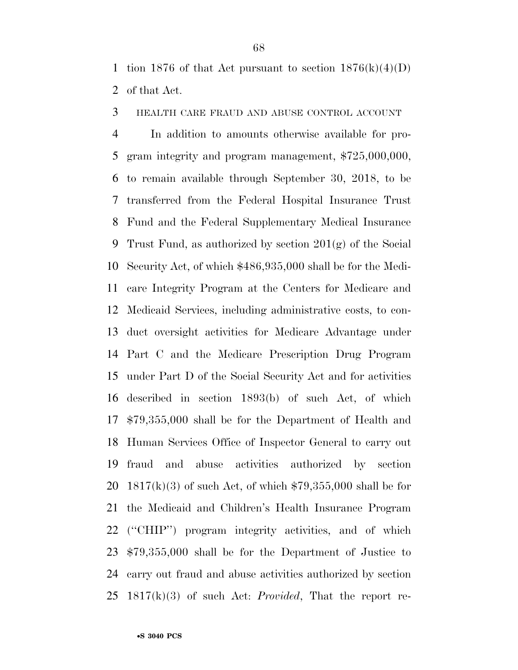1 tion 1876 of that Act pursuant to section  $1876(k)(4)(D)$ of that Act.

HEALTH CARE FRAUD AND ABUSE CONTROL ACCOUNT

 In addition to amounts otherwise available for pro- gram integrity and program management, \$725,000,000, to remain available through September 30, 2018, to be transferred from the Federal Hospital Insurance Trust Fund and the Federal Supplementary Medical Insurance Trust Fund, as authorized by section 201(g) of the Social Security Act, of which \$486,935,000 shall be for the Medi- care Integrity Program at the Centers for Medicare and Medicaid Services, including administrative costs, to con- duct oversight activities for Medicare Advantage under Part C and the Medicare Prescription Drug Program under Part D of the Social Security Act and for activities described in section 1893(b) of such Act, of which \$79,355,000 shall be for the Department of Health and Human Services Office of Inspector General to carry out fraud and abuse activities authorized by section 20 1817(k)(3) of such Act, of which  $$79,355,000$  shall be for the Medicaid and Children's Health Insurance Program (''CHIP'') program integrity activities, and of which \$79,355,000 shall be for the Department of Justice to carry out fraud and abuse activities authorized by section 1817(k)(3) of such Act: *Provided*, That the report re-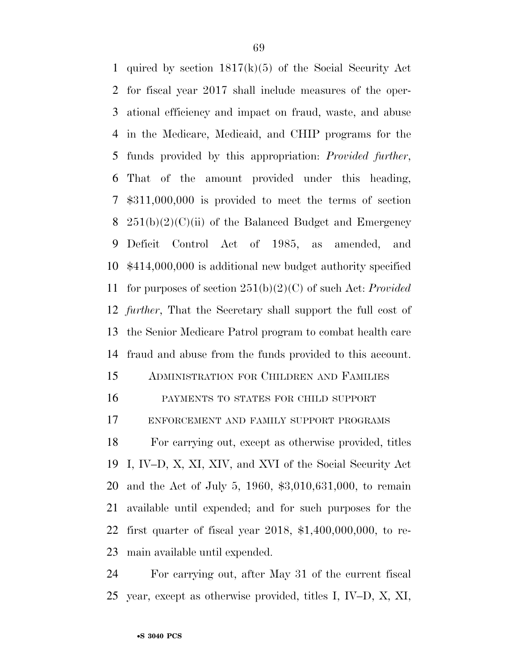quired by section 1817(k)(5) of the Social Security Act for fiscal year 2017 shall include measures of the oper- ational efficiency and impact on fraud, waste, and abuse in the Medicare, Medicaid, and CHIP programs for the funds provided by this appropriation: *Provided further*, That of the amount provided under this heading, \$311,000,000 is provided to meet the terms of section  $251(b)(2)(C)(ii)$  of the Balanced Budget and Emergency Deficit Control Act of 1985, as amended, and \$414,000,000 is additional new budget authority specified for purposes of section 251(b)(2)(C) of such Act: *Provided further*, That the Secretary shall support the full cost of the Senior Medicare Patrol program to combat health care fraud and abuse from the funds provided to this account.

- ADMINISTRATION FOR CHILDREN AND FAMILIES
- PAYMENTS TO STATES FOR CHILD SUPPORT

ENFORCEMENT AND FAMILY SUPPORT PROGRAMS

 For carrying out, except as otherwise provided, titles I, IV–D, X, XI, XIV, and XVI of the Social Security Act and the Act of July 5, 1960, \$3,010,631,000, to remain available until expended; and for such purposes for the first quarter of fiscal year 2018, \$1,400,000,000, to re-main available until expended.

 For carrying out, after May 31 of the current fiscal year, except as otherwise provided, titles I, IV–D, X, XI,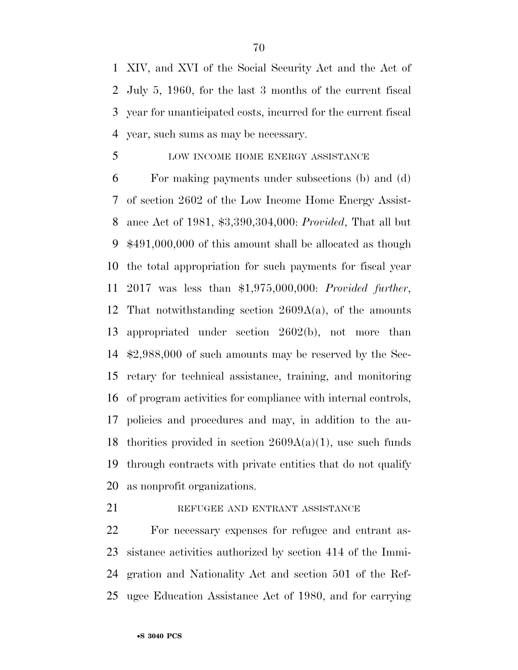XIV, and XVI of the Social Security Act and the Act of July 5, 1960, for the last 3 months of the current fiscal year for unanticipated costs, incurred for the current fiscal year, such sums as may be necessary.

#### 5 LOW INCOME HOME ENERGY ASSISTANCE

 For making payments under subsections (b) and (d) of section 2602 of the Low Income Home Energy Assist- ance Act of 1981, \$3,390,304,000: *Provided*, That all but \$491,000,000 of this amount shall be allocated as though the total appropriation for such payments for fiscal year 2017 was less than \$1,975,000,000: *Provided further*, That notwithstanding section 2609A(a), of the amounts appropriated under section 2602(b), not more than \$2,988,000 of such amounts may be reserved by the Sec- retary for technical assistance, training, and monitoring of program activities for compliance with internal controls, policies and procedures and may, in addition to the au-18 thorities provided in section  $2609A(a)(1)$ , use such funds through contracts with private entities that do not qualify as nonprofit organizations.

#### 21 REFUGEE AND ENTRANT ASSISTANCE

 For necessary expenses for refugee and entrant as- sistance activities authorized by section 414 of the Immi- gration and Nationality Act and section 501 of the Ref-ugee Education Assistance Act of 1980, and for carrying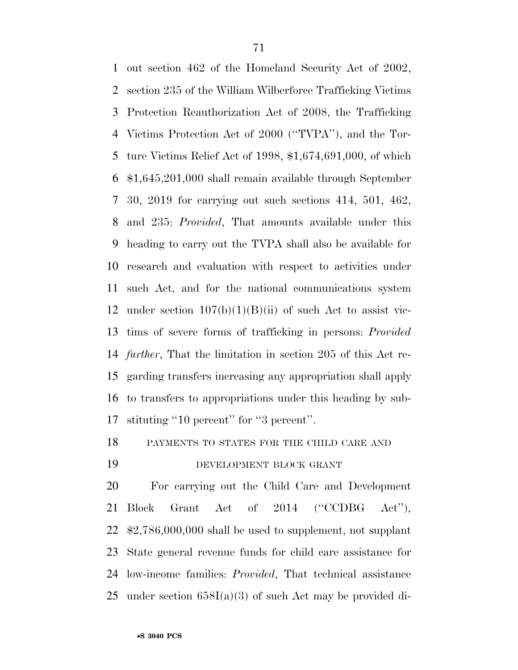out section 462 of the Homeland Security Act of 2002, section 235 of the William Wilberforce Trafficking Victims Protection Reauthorization Act of 2008, the Trafficking Victims Protection Act of 2000 (''TVPA''), and the Tor- ture Victims Relief Act of 1998, \$1,674,691,000, of which \$1,645,201,000 shall remain available through September 30, 2019 for carrying out such sections 414, 501, 462, and 235: *Provided*, That amounts available under this heading to carry out the TVPA shall also be available for research and evaluation with respect to activities under such Act, and for the national communications system 12 under section  $107(b)(1)(B)(ii)$  of such Act to assist vic- tims of severe forms of trafficking in persons: *Provided further*, That the limitation in section 205 of this Act re- garding transfers increasing any appropriation shall apply to transfers to appropriations under this heading by sub-stituting ''10 percent'' for ''3 percent''.

PAYMENTS TO STATES FOR THE CHILD CARE AND

#### DEVELOPMENT BLOCK GRANT

 For carrying out the Child Care and Development 21 Block Grant Act of 2014 ("CCDBG Act"), \$2,786,000,000 shall be used to supplement, not supplant State general revenue funds for child care assistance for low-income families: *Provided*, That technical assistance under section 658I(a)(3) of such Act may be provided di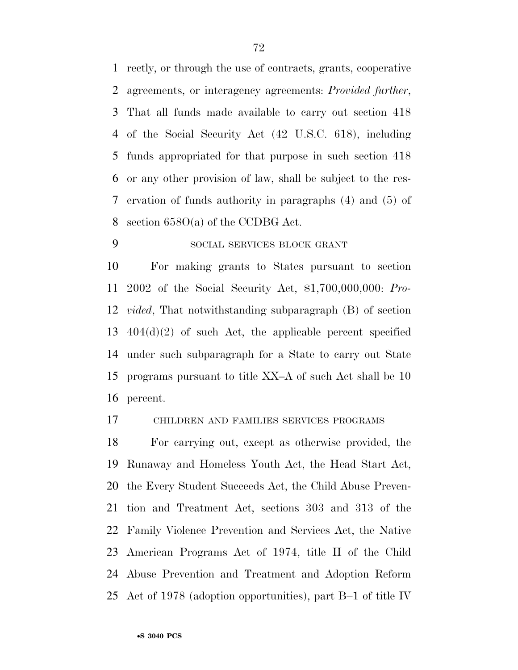rectly, or through the use of contracts, grants, cooperative agreements, or interagency agreements: *Provided further*, That all funds made available to carry out section 418 of the Social Security Act (42 U.S.C. 618), including funds appropriated for that purpose in such section 418 or any other provision of law, shall be subject to the res- ervation of funds authority in paragraphs (4) and (5) of section 658O(a) of the CCDBG Act.

#### SOCIAL SERVICES BLOCK GRANT

 For making grants to States pursuant to section 2002 of the Social Security Act, \$1,700,000,000: *Pro- vided*, That notwithstanding subparagraph (B) of section 404(d)(2) of such Act, the applicable percent specified under such subparagraph for a State to carry out State programs pursuant to title XX–A of such Act shall be 10 percent.

#### CHILDREN AND FAMILIES SERVICES PROGRAMS

 For carrying out, except as otherwise provided, the Runaway and Homeless Youth Act, the Head Start Act, the Every Student Succeeds Act, the Child Abuse Preven- tion and Treatment Act, sections 303 and 313 of the Family Violence Prevention and Services Act, the Native American Programs Act of 1974, title II of the Child Abuse Prevention and Treatment and Adoption Reform Act of 1978 (adoption opportunities), part B–1 of title IV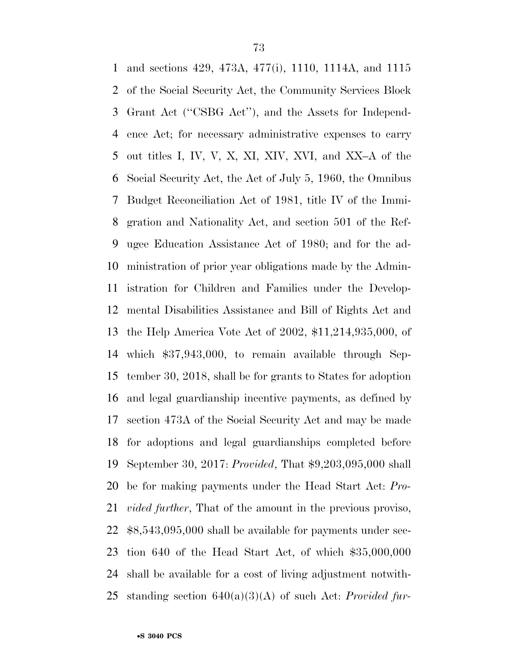and sections 429, 473A, 477(i), 1110, 1114A, and 1115 of the Social Security Act, the Community Services Block Grant Act (''CSBG Act''), and the Assets for Independ- ence Act; for necessary administrative expenses to carry out titles I, IV, V, X, XI, XIV, XVI, and XX–A of the Social Security Act, the Act of July 5, 1960, the Omnibus Budget Reconciliation Act of 1981, title IV of the Immi- gration and Nationality Act, and section 501 of the Ref- ugee Education Assistance Act of 1980; and for the ad- ministration of prior year obligations made by the Admin- istration for Children and Families under the Develop- mental Disabilities Assistance and Bill of Rights Act and the Help America Vote Act of 2002, \$11,214,935,000, of which \$37,943,000, to remain available through Sep- tember 30, 2018, shall be for grants to States for adoption and legal guardianship incentive payments, as defined by section 473A of the Social Security Act and may be made for adoptions and legal guardianships completed before September 30, 2017: *Provided*, That \$9,203,095,000 shall be for making payments under the Head Start Act: *Pro- vided further*, That of the amount in the previous proviso, \$8,543,095,000 shall be available for payments under sec- tion 640 of the Head Start Act, of which \$35,000,000 shall be available for a cost of living adjustment notwith-standing section 640(a)(3)(A) of such Act: *Provided fur-*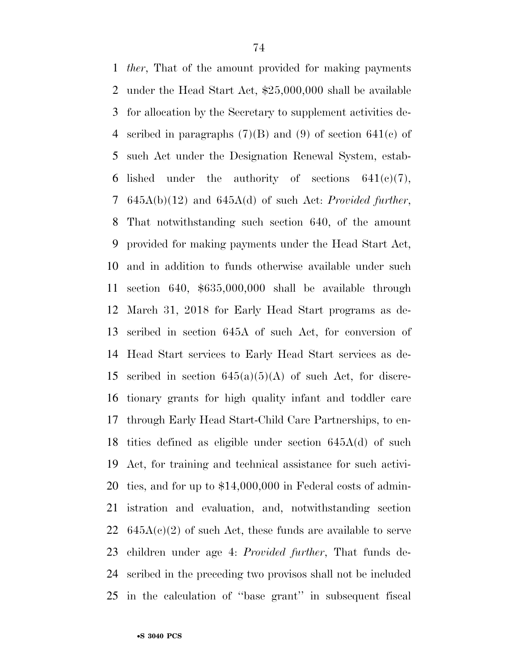*ther*, That of the amount provided for making payments under the Head Start Act, \$25,000,000 shall be available for allocation by the Secretary to supplement activities de-4 scribed in paragraphs  $(7)(B)$  and  $(9)$  of section  $641(c)$  of such Act under the Designation Renewal System, estab-6 lished under the authority of sections  $641(e)(7)$ , 645A(b)(12) and 645A(d) of such Act: *Provided further*, That notwithstanding such section 640, of the amount provided for making payments under the Head Start Act, and in addition to funds otherwise available under such section 640, \$635,000,000 shall be available through March 31, 2018 for Early Head Start programs as de- scribed in section 645A of such Act, for conversion of Head Start services to Early Head Start services as de-15 scribed in section  $645(a)(5)(A)$  of such Act, for discre- tionary grants for high quality infant and toddler care through Early Head Start-Child Care Partnerships, to en- tities defined as eligible under section 645A(d) of such Act, for training and technical assistance for such activi- ties, and for up to \$14,000,000 in Federal costs of admin- istration and evaluation, and, notwithstanding section  $645A(c)(2)$  of such Act, these funds are available to serve children under age 4: *Provided further*, That funds de- scribed in the preceding two provisos shall not be included in the calculation of ''base grant'' in subsequent fiscal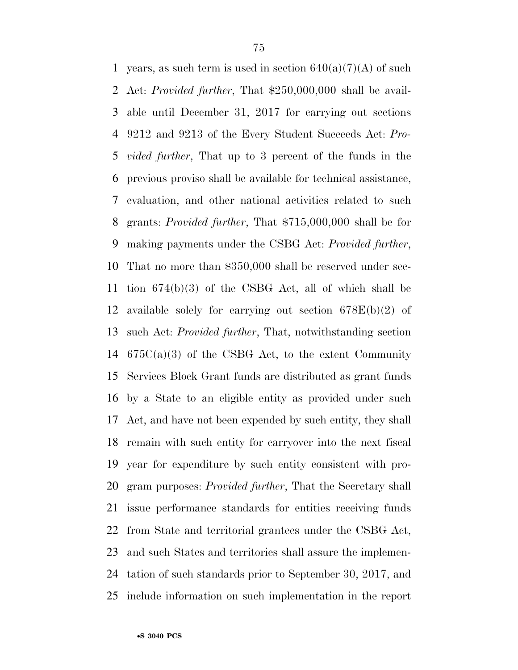1 years, as such term is used in section  $640(a)(7)(A)$  of such Act: *Provided further*, That \$250,000,000 shall be avail- able until December 31, 2017 for carrying out sections 9212 and 9213 of the Every Student Succeeds Act: *Pro- vided further*, That up to 3 percent of the funds in the previous proviso shall be available for technical assistance, evaluation, and other national activities related to such grants: *Provided further*, That \$715,000,000 shall be for making payments under the CSBG Act: *Provided further*, That no more than \$350,000 shall be reserved under sec- tion 674(b)(3) of the CSBG Act, all of which shall be available solely for carrying out section 678E(b)(2) of such Act: *Provided further*, That, notwithstanding section  $675C(a)(3)$  of the CSBG Act, to the extent Community Services Block Grant funds are distributed as grant funds by a State to an eligible entity as provided under such Act, and have not been expended by such entity, they shall remain with such entity for carryover into the next fiscal year for expenditure by such entity consistent with pro- gram purposes: *Provided further*, That the Secretary shall issue performance standards for entities receiving funds from State and territorial grantees under the CSBG Act, and such States and territories shall assure the implemen- tation of such standards prior to September 30, 2017, and include information on such implementation in the report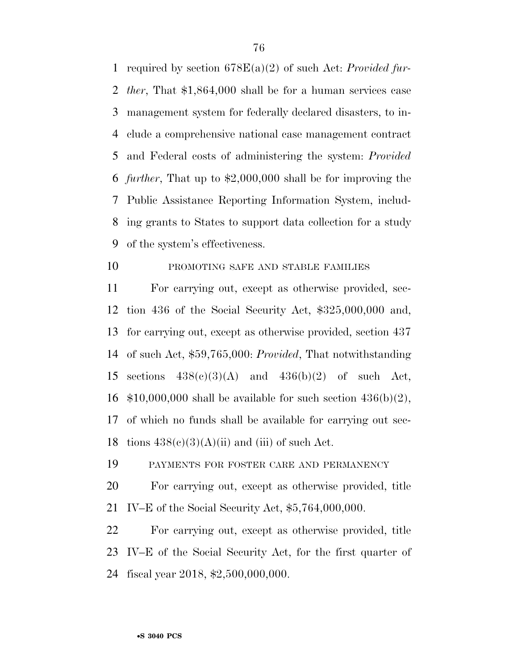required by section 678E(a)(2) of such Act: *Provided fur- ther*, That \$1,864,000 shall be for a human services case management system for federally declared disasters, to in- clude a comprehensive national case management contract and Federal costs of administering the system: *Provided further*, That up to \$2,000,000 shall be for improving the Public Assistance Reporting Information System, includ- ing grants to States to support data collection for a study of the system's effectiveness.

# 10 PROMOTING SAFE AND STABLE FAMILIES

 For carrying out, except as otherwise provided, sec- tion 436 of the Social Security Act, \$325,000,000 and, for carrying out, except as otherwise provided, section 437 of such Act, \$59,765,000: *Provided*, That notwithstanding 15 sections  $438(c)(3)(A)$  and  $436(b)(2)$  of such Act,  $$10,000,000$  shall be available for such section  $436(b)(2)$ , of which no funds shall be available for carrying out sec-18 tions  $438(c)(3)(A)(ii)$  and (iii) of such Act.

PAYMENTS FOR FOSTER CARE AND PERMANENCY

 For carrying out, except as otherwise provided, title IV–E of the Social Security Act, \$5,764,000,000.

 For carrying out, except as otherwise provided, title IV–E of the Social Security Act, for the first quarter of fiscal year 2018, \$2,500,000,000.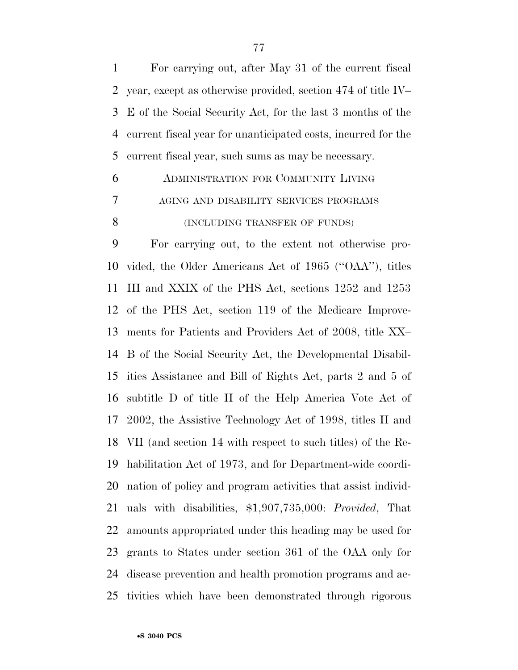For carrying out, after May 31 of the current fiscal year, except as otherwise provided, section 474 of title IV– E of the Social Security Act, for the last 3 months of the current fiscal year for unanticipated costs, incurred for the current fiscal year, such sums as may be necessary.

 ADMINISTRATION FOR COMMUNITY LIVING AGING AND DISABILITY SERVICES PROGRAMS 8 (INCLUDING TRANSFER OF FUNDS)

 For carrying out, to the extent not otherwise pro- vided, the Older Americans Act of 1965 (''OAA''), titles III and XXIX of the PHS Act, sections 1252 and 1253 of the PHS Act, section 119 of the Medicare Improve- ments for Patients and Providers Act of 2008, title XX– B of the Social Security Act, the Developmental Disabil- ities Assistance and Bill of Rights Act, parts 2 and 5 of subtitle D of title II of the Help America Vote Act of 2002, the Assistive Technology Act of 1998, titles II and VII (and section 14 with respect to such titles) of the Re- habilitation Act of 1973, and for Department-wide coordi- nation of policy and program activities that assist individ- uals with disabilities, \$1,907,735,000: *Provided*, That amounts appropriated under this heading may be used for grants to States under section 361 of the OAA only for disease prevention and health promotion programs and ac-tivities which have been demonstrated through rigorous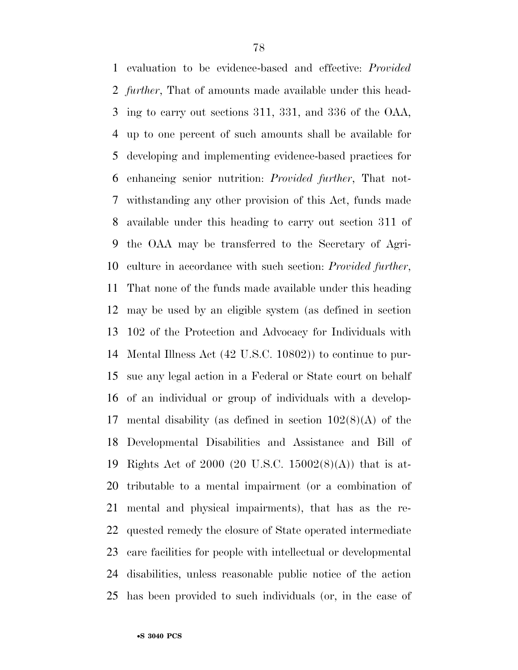evaluation to be evidence-based and effective: *Provided further*, That of amounts made available under this head- ing to carry out sections 311, 331, and 336 of the OAA, up to one percent of such amounts shall be available for developing and implementing evidence-based practices for enhancing senior nutrition: *Provided further*, That not- withstanding any other provision of this Act, funds made available under this heading to carry out section 311 of the OAA may be transferred to the Secretary of Agri- culture in accordance with such section: *Provided further*, That none of the funds made available under this heading may be used by an eligible system (as defined in section 102 of the Protection and Advocacy for Individuals with Mental Illness Act (42 U.S.C. 10802)) to continue to pur- sue any legal action in a Federal or State court on behalf of an individual or group of individuals with a develop-17 mental disability (as defined in section  $102(8)(A)$  of the Developmental Disabilities and Assistance and Bill of Rights Act of 2000 (20 U.S.C. 15002(8)(A)) that is at- tributable to a mental impairment (or a combination of mental and physical impairments), that has as the re- quested remedy the closure of State operated intermediate care facilities for people with intellectual or developmental disabilities, unless reasonable public notice of the action has been provided to such individuals (or, in the case of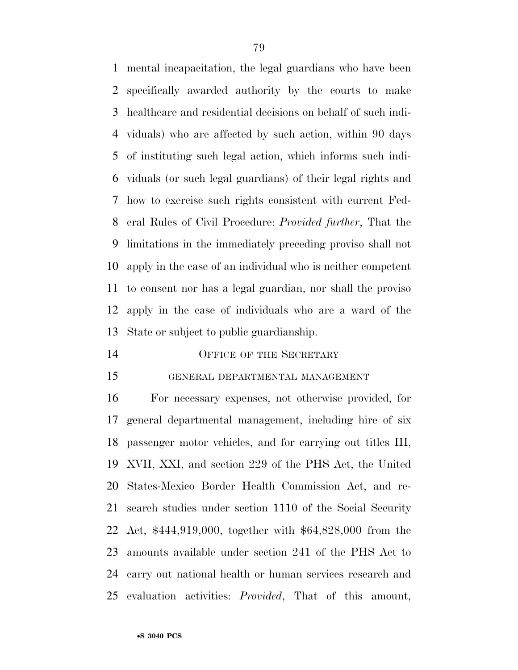mental incapacitation, the legal guardians who have been specifically awarded authority by the courts to make healthcare and residential decisions on behalf of such indi- viduals) who are affected by such action, within 90 days of instituting such legal action, which informs such indi- viduals (or such legal guardians) of their legal rights and how to exercise such rights consistent with current Fed- eral Rules of Civil Procedure: *Provided further*, That the limitations in the immediately preceding proviso shall not apply in the case of an individual who is neither competent to consent nor has a legal guardian, nor shall the proviso apply in the case of individuals who are a ward of the State or subject to public guardianship.

## 14 OFFICE OF THE SECRETARY

### GENERAL DEPARTMENTAL MANAGEMENT

 For necessary expenses, not otherwise provided, for general departmental management, including hire of six passenger motor vehicles, and for carrying out titles III, XVII, XXI, and section 229 of the PHS Act, the United States-Mexico Border Health Commission Act, and re- search studies under section 1110 of the Social Security Act, \$444,919,000, together with \$64,828,000 from the amounts available under section 241 of the PHS Act to carry out national health or human services research and evaluation activities: *Provided*, That of this amount,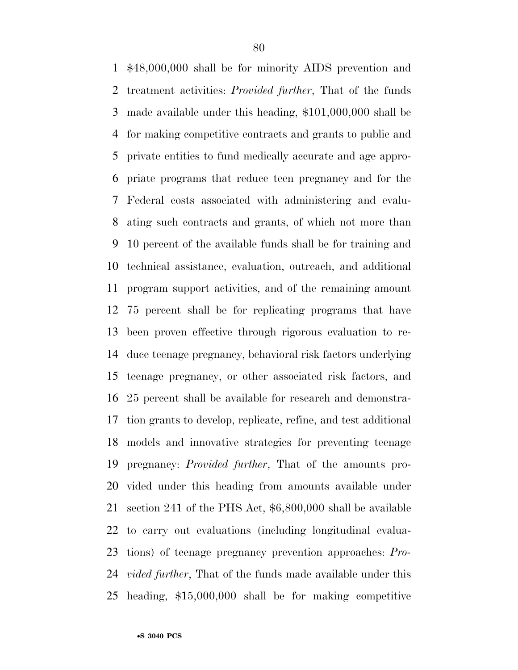\$48,000,000 shall be for minority AIDS prevention and treatment activities: *Provided further*, That of the funds made available under this heading, \$101,000,000 shall be for making competitive contracts and grants to public and private entities to fund medically accurate and age appro- priate programs that reduce teen pregnancy and for the Federal costs associated with administering and evalu- ating such contracts and grants, of which not more than 10 percent of the available funds shall be for training and technical assistance, evaluation, outreach, and additional program support activities, and of the remaining amount 75 percent shall be for replicating programs that have been proven effective through rigorous evaluation to re- duce teenage pregnancy, behavioral risk factors underlying teenage pregnancy, or other associated risk factors, and 25 percent shall be available for research and demonstra- tion grants to develop, replicate, refine, and test additional models and innovative strategies for preventing teenage pregnancy: *Provided further*, That of the amounts pro- vided under this heading from amounts available under section 241 of the PHS Act, \$6,800,000 shall be available to carry out evaluations (including longitudinal evalua- tions) of teenage pregnancy prevention approaches: *Pro- vided further*, That of the funds made available under this heading, \$15,000,000 shall be for making competitive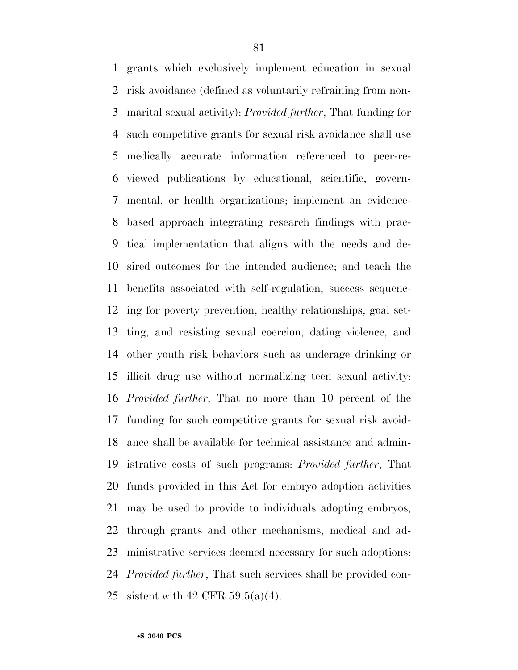grants which exclusively implement education in sexual risk avoidance (defined as voluntarily refraining from non- marital sexual activity): *Provided further*, That funding for such competitive grants for sexual risk avoidance shall use medically accurate information referenced to peer-re- viewed publications by educational, scientific, govern- mental, or health organizations; implement an evidence- based approach integrating research findings with prac- tical implementation that aligns with the needs and de- sired outcomes for the intended audience; and teach the benefits associated with self-regulation, success sequenc- ing for poverty prevention, healthy relationships, goal set- ting, and resisting sexual coercion, dating violence, and other youth risk behaviors such as underage drinking or illicit drug use without normalizing teen sexual activity: *Provided further*, That no more than 10 percent of the funding for such competitive grants for sexual risk avoid- ance shall be available for technical assistance and admin- istrative costs of such programs: *Provided further*, That funds provided in this Act for embryo adoption activities may be used to provide to individuals adopting embryos, through grants and other mechanisms, medical and ad- ministrative services deemed necessary for such adoptions: *Provided further*, That such services shall be provided con-sistent with 42 CFR 59.5(a)(4).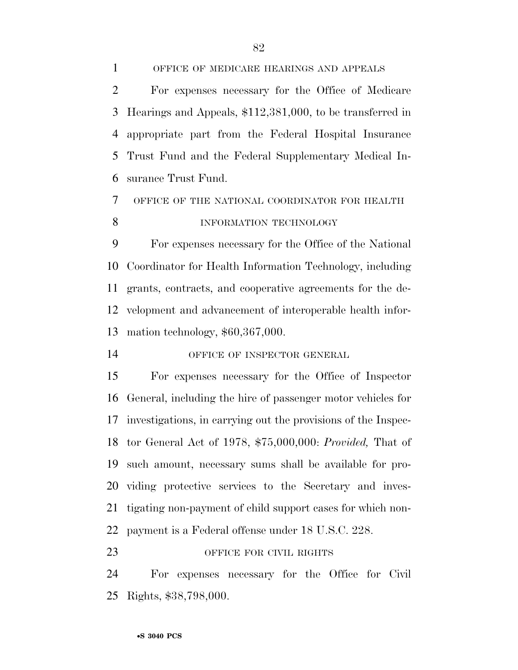OFFICE OF MEDICARE HEARINGS AND APPEALS For expenses necessary for the Office of Medicare Hearings and Appeals, \$112,381,000, to be transferred in appropriate part from the Federal Hospital Insurance Trust Fund and the Federal Supplementary Medical In-surance Trust Fund.

 OFFICE OF THE NATIONAL COORDINATOR FOR HEALTH INFORMATION TECHNOLOGY

 For expenses necessary for the Office of the National Coordinator for Health Information Technology, including grants, contracts, and cooperative agreements for the de- velopment and advancement of interoperable health infor-mation technology, \$60,367,000.

14 OFFICE OF INSPECTOR GENERAL

 For expenses necessary for the Office of Inspector General, including the hire of passenger motor vehicles for investigations, in carrying out the provisions of the Inspec- tor General Act of 1978, \$75,000,000: *Provided,* That of such amount, necessary sums shall be available for pro- viding protective services to the Secretary and inves- tigating non-payment of child support cases for which non-payment is a Federal offense under 18 U.S.C. 228.

## 23 OFFICE FOR CIVIL RIGHTS

 For expenses necessary for the Office for Civil Rights, \$38,798,000.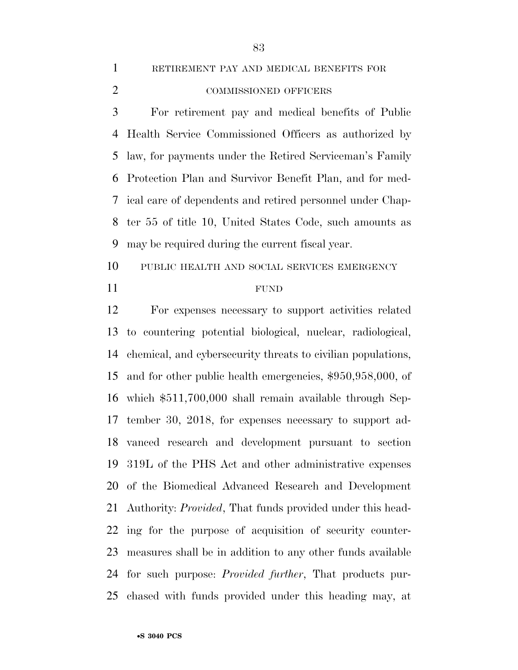RETIREMENT PAY AND MEDICAL BENEFITS FOR

COMMISSIONED OFFICERS

 For retirement pay and medical benefits of Public Health Service Commissioned Officers as authorized by law, for payments under the Retired Serviceman's Family Protection Plan and Survivor Benefit Plan, and for med- ical care of dependents and retired personnel under Chap- ter 55 of title 10, United States Code, such amounts as may be required during the current fiscal year.

 PUBLIC HEALTH AND SOCIAL SERVICES EMERGENCY FUND

 For expenses necessary to support activities related to countering potential biological, nuclear, radiological, chemical, and cybersecurity threats to civilian populations, and for other public health emergencies, \$950,958,000, of which \$511,700,000 shall remain available through Sep- tember 30, 2018, for expenses necessary to support ad- vanced research and development pursuant to section 319L of the PHS Act and other administrative expenses of the Biomedical Advanced Research and Development Authority: *Provided*, That funds provided under this head- ing for the purpose of acquisition of security counter- measures shall be in addition to any other funds available for such purpose: *Provided further*, That products pur-chased with funds provided under this heading may, at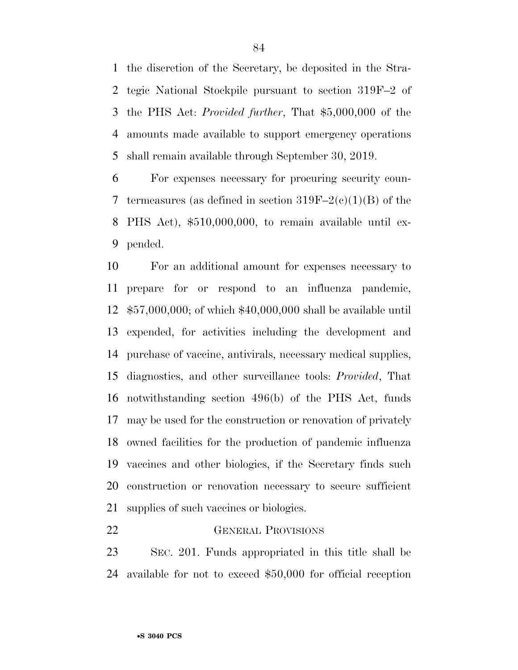the discretion of the Secretary, be deposited in the Stra- tegic National Stockpile pursuant to section 319F–2 of the PHS Act: *Provided further*, That \$5,000,000 of the amounts made available to support emergency operations shall remain available through September 30, 2019.

 For expenses necessary for procuring security coun-7 termeasures (as defined in section  $319F-2(c)(1)(B)$  of the PHS Act), \$510,000,000, to remain available until ex-pended.

 For an additional amount for expenses necessary to prepare for or respond to an influenza pandemic, \$57,000,000; of which \$40,000,000 shall be available until expended, for activities including the development and purchase of vaccine, antivirals, necessary medical supplies, diagnostics, and other surveillance tools: *Provided*, That notwithstanding section 496(b) of the PHS Act, funds may be used for the construction or renovation of privately owned facilities for the production of pandemic influenza vaccines and other biologics, if the Secretary finds such construction or renovation necessary to secure sufficient supplies of such vaccines or biologics.

### GENERAL PROVISIONS

 SEC. 201. Funds appropriated in this title shall be available for not to exceed \$50,000 for official reception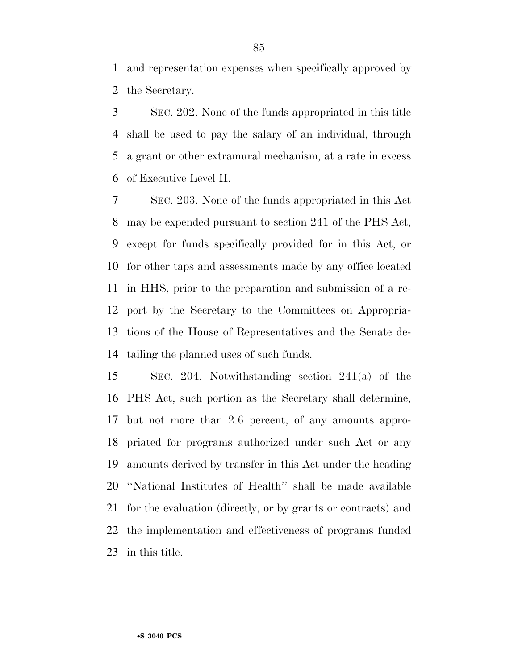and representation expenses when specifically approved by the Secretary.

 SEC. 202. None of the funds appropriated in this title shall be used to pay the salary of an individual, through a grant or other extramural mechanism, at a rate in excess of Executive Level II.

 SEC. 203. None of the funds appropriated in this Act may be expended pursuant to section 241 of the PHS Act, except for funds specifically provided for in this Act, or for other taps and assessments made by any office located in HHS, prior to the preparation and submission of a re- port by the Secretary to the Committees on Appropria- tions of the House of Representatives and the Senate de-tailing the planned uses of such funds.

 SEC. 204. Notwithstanding section 241(a) of the PHS Act, such portion as the Secretary shall determine, but not more than 2.6 percent, of any amounts appro- priated for programs authorized under such Act or any amounts derived by transfer in this Act under the heading ''National Institutes of Health'' shall be made available for the evaluation (directly, or by grants or contracts) and the implementation and effectiveness of programs funded in this title.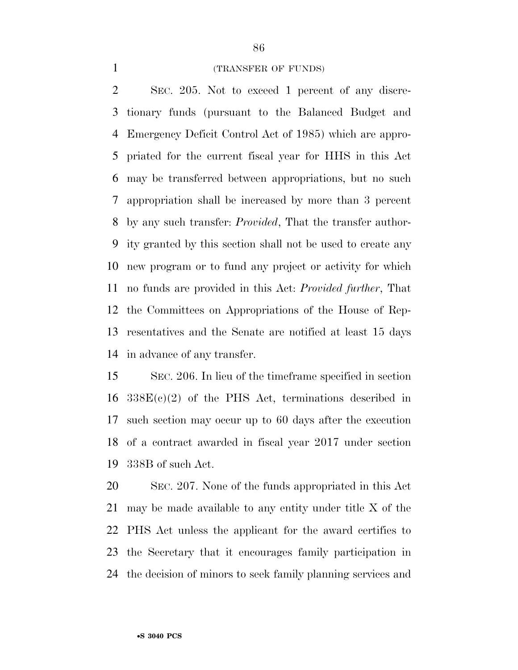### (TRANSFER OF FUNDS)

 SEC. 205. Not to exceed 1 percent of any discre- tionary funds (pursuant to the Balanced Budget and Emergency Deficit Control Act of 1985) which are appro- priated for the current fiscal year for HHS in this Act may be transferred between appropriations, but no such appropriation shall be increased by more than 3 percent by any such transfer: *Provided*, That the transfer author- ity granted by this section shall not be used to create any new program or to fund any project or activity for which no funds are provided in this Act: *Provided further*, That the Committees on Appropriations of the House of Rep- resentatives and the Senate are notified at least 15 days in advance of any transfer.

 SEC. 206. In lieu of the timeframe specified in section  $16 \quad 338E(c)(2)$  of the PHS Act, terminations described in such section may occur up to 60 days after the execution of a contract awarded in fiscal year 2017 under section 338B of such Act.

 SEC. 207. None of the funds appropriated in this Act may be made available to any entity under title X of the PHS Act unless the applicant for the award certifies to the Secretary that it encourages family participation in the decision of minors to seek family planning services and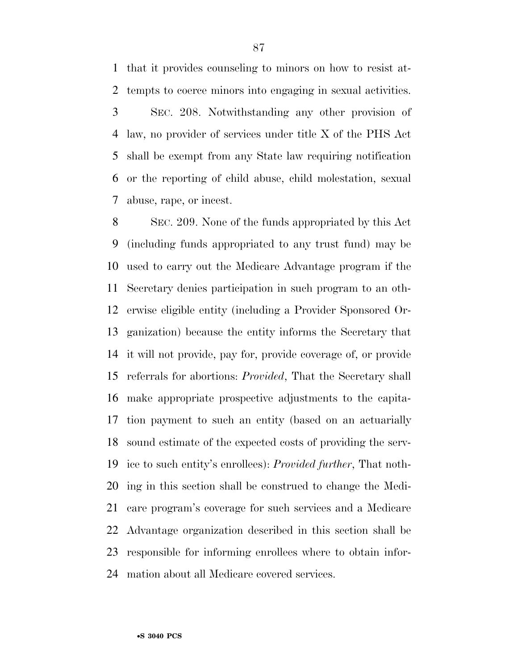that it provides counseling to minors on how to resist at-tempts to coerce minors into engaging in sexual activities.

 SEC. 208. Notwithstanding any other provision of law, no provider of services under title X of the PHS Act shall be exempt from any State law requiring notification or the reporting of child abuse, child molestation, sexual abuse, rape, or incest.

 SEC. 209. None of the funds appropriated by this Act (including funds appropriated to any trust fund) may be used to carry out the Medicare Advantage program if the Secretary denies participation in such program to an oth- erwise eligible entity (including a Provider Sponsored Or- ganization) because the entity informs the Secretary that it will not provide, pay for, provide coverage of, or provide referrals for abortions: *Provided*, That the Secretary shall make appropriate prospective adjustments to the capita- tion payment to such an entity (based on an actuarially sound estimate of the expected costs of providing the serv- ice to such entity's enrollees): *Provided further*, That noth- ing in this section shall be construed to change the Medi- care program's coverage for such services and a Medicare Advantage organization described in this section shall be responsible for informing enrollees where to obtain infor-mation about all Medicare covered services.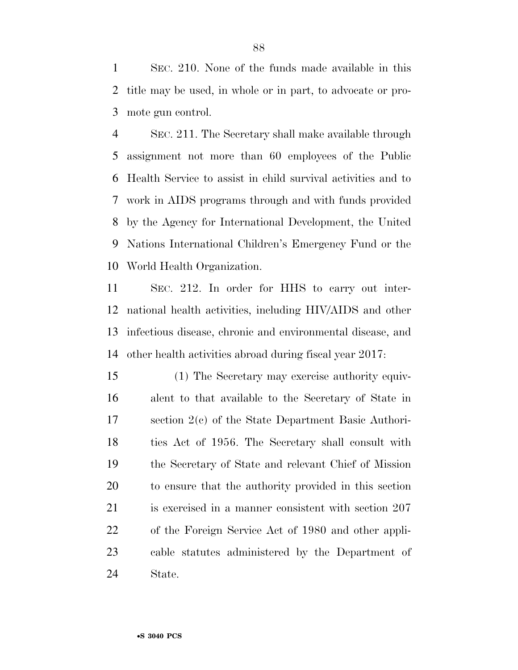SEC. 210. None of the funds made available in this title may be used, in whole or in part, to advocate or pro-mote gun control.

 SEC. 211. The Secretary shall make available through assignment not more than 60 employees of the Public Health Service to assist in child survival activities and to work in AIDS programs through and with funds provided by the Agency for International Development, the United Nations International Children's Emergency Fund or the World Health Organization.

 SEC. 212. In order for HHS to carry out inter- national health activities, including HIV/AIDS and other infectious disease, chronic and environmental disease, and other health activities abroad during fiscal year 2017:

 (1) The Secretary may exercise authority equiv- alent to that available to the Secretary of State in section 2(c) of the State Department Basic Authori- ties Act of 1956. The Secretary shall consult with the Secretary of State and relevant Chief of Mission to ensure that the authority provided in this section is exercised in a manner consistent with section 207 of the Foreign Service Act of 1980 and other appli- cable statutes administered by the Department of State.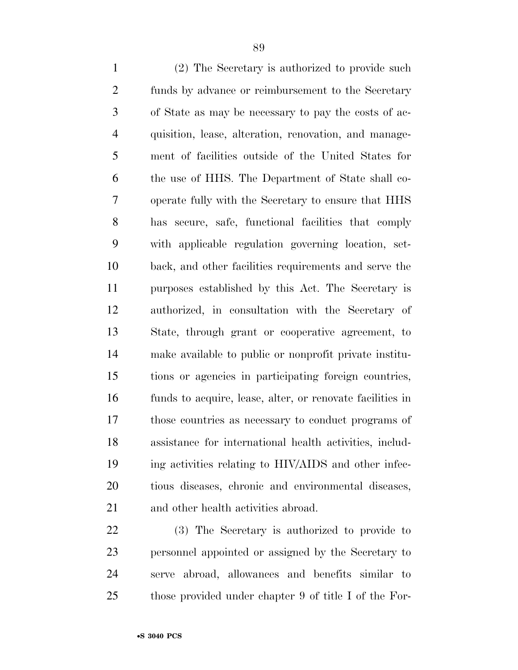funds by advance or reimbursement to the Secretary of State as may be necessary to pay the costs of ac- quisition, lease, alteration, renovation, and manage- ment of facilities outside of the United States for the use of HHS. The Department of State shall co- operate fully with the Secretary to ensure that HHS has secure, safe, functional facilities that comply with applicable regulation governing location, set- back, and other facilities requirements and serve the purposes established by this Act. The Secretary is authorized, in consultation with the Secretary of State, through grant or cooperative agreement, to make available to public or nonprofit private institu- tions or agencies in participating foreign countries, funds to acquire, lease, alter, or renovate facilities in those countries as necessary to conduct programs of assistance for international health activities, includ- ing activities relating to HIV/AIDS and other infec- tious diseases, chronic and environmental diseases, and other health activities abroad.

 (3) The Secretary is authorized to provide to personnel appointed or assigned by the Secretary to serve abroad, allowances and benefits similar to those provided under chapter 9 of title I of the For-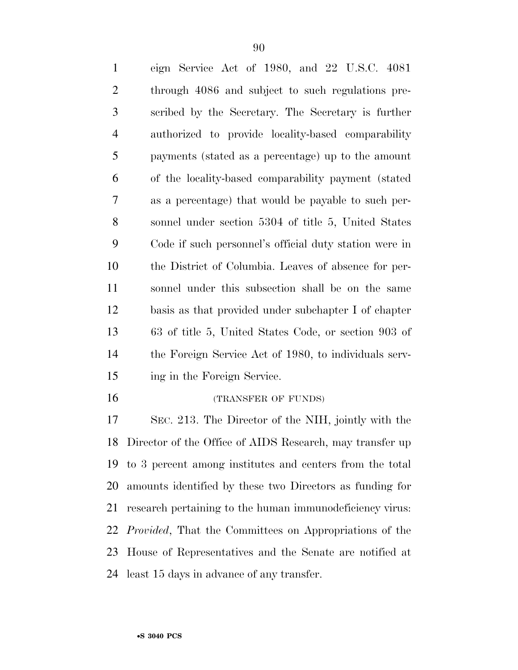| $\mathbf{1}$   | eign Service Act of 1980, and 22 U.S.C. 4081                   |
|----------------|----------------------------------------------------------------|
| $\overline{2}$ | through 4086 and subject to such regulations pre-              |
| 3              | scribed by the Secretary. The Secretary is further             |
| $\overline{4}$ | authorized to provide locality-based comparability             |
| 5              | payments (stated as a percentage) up to the amount             |
| 6              | of the locality-based comparability payment (stated)           |
| 7              | as a percentage) that would be payable to such per-            |
| 8              | sonnel under section 5304 of title 5, United States            |
| 9              | Code if such personnel's official duty station were in         |
| 10             | the District of Columbia. Leaves of absence for per-           |
| 11             | sonnel under this subsection shall be on the same              |
| 12             | basis as that provided under subchapter I of chapter           |
| 13             | 63 of title 5, United States Code, or section 903 of           |
| 14             | the Foreign Service Act of 1980, to individuals serv-          |
| 15             | ing in the Foreign Service.                                    |
| 16             | (TRANSFER OF FUNDS)                                            |
| 17             | SEC. 213. The Director of the NIH, jointly with the            |
|                | 18 Director of the Office of AIDS Research, may transfer up    |
| 19             | to 3 percent among institutes and centers from the total       |
| 20             | amounts identified by these two Directors as funding for       |
| 21             | research pertaining to the human immunodeficiency virus:       |
| 22             | <i>Provided</i> , That the Committees on Appropriations of the |
| 23             | House of Representatives and the Senate are notified at        |
| 24             | least 15 days in advance of any transfer.                      |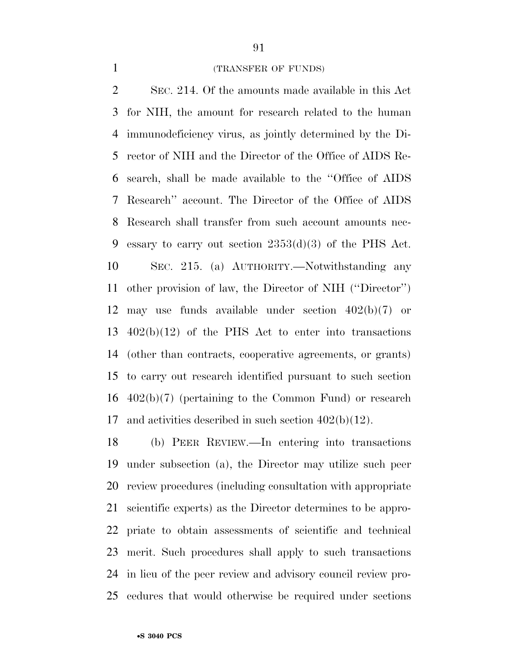#### (TRANSFER OF FUNDS)

 SEC. 214. Of the amounts made available in this Act for NIH, the amount for research related to the human immunodeficiency virus, as jointly determined by the Di- rector of NIH and the Director of the Office of AIDS Re- search, shall be made available to the ''Office of AIDS Research'' account. The Director of the Office of AIDS Research shall transfer from such account amounts nec- essary to carry out section 2353(d)(3) of the PHS Act. SEC. 215. (a) AUTHORITY.—Notwithstanding any other provision of law, the Director of NIH (''Director'') may use funds available under section 402(b)(7) or 402(b)(12) of the PHS Act to enter into transactions (other than contracts, cooperative agreements, or grants) to carry out research identified pursuant to such section 402(b)(7) (pertaining to the Common Fund) or research and activities described in such section 402(b)(12).

 (b) PEER REVIEW.—In entering into transactions under subsection (a), the Director may utilize such peer review procedures (including consultation with appropriate scientific experts) as the Director determines to be appro- priate to obtain assessments of scientific and technical merit. Such procedures shall apply to such transactions in lieu of the peer review and advisory council review pro-cedures that would otherwise be required under sections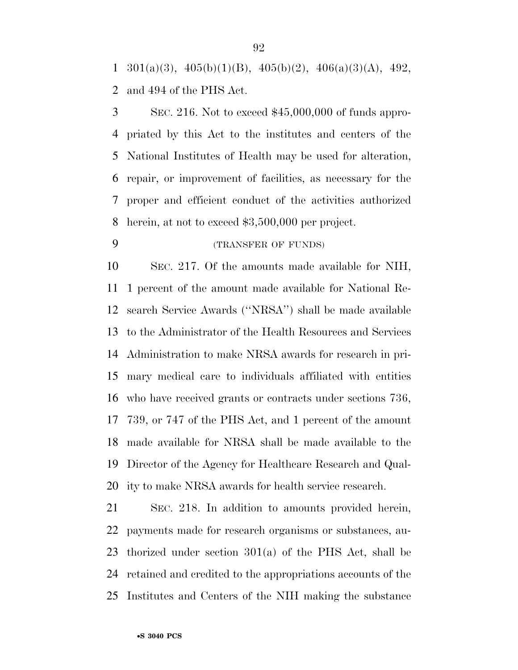$1 \quad 301(a)(3), \quad 405(b)(1)(B), \quad 405(b)(2), \quad 406(a)(3)(A), \quad 492,$ and 494 of the PHS Act.

 SEC. 216. Not to exceed \$45,000,000 of funds appro- priated by this Act to the institutes and centers of the National Institutes of Health may be used for alteration, repair, or improvement of facilities, as necessary for the proper and efficient conduct of the activities authorized herein, at not to exceed \$3,500,000 per project.

# (TRANSFER OF FUNDS)

 SEC. 217. Of the amounts made available for NIH, 1 percent of the amount made available for National Re- search Service Awards (''NRSA'') shall be made available to the Administrator of the Health Resources and Services Administration to make NRSA awards for research in pri- mary medical care to individuals affiliated with entities who have received grants or contracts under sections 736, 739, or 747 of the PHS Act, and 1 percent of the amount made available for NRSA shall be made available to the Director of the Agency for Healthcare Research and Qual-ity to make NRSA awards for health service research.

 SEC. 218. In addition to amounts provided herein, payments made for research organisms or substances, au- thorized under section 301(a) of the PHS Act, shall be retained and credited to the appropriations accounts of the Institutes and Centers of the NIH making the substance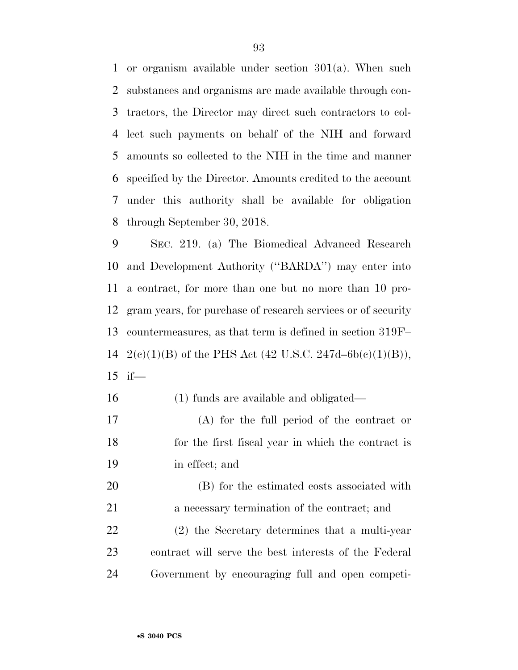or organism available under section 301(a). When such substances and organisms are made available through con- tractors, the Director may direct such contractors to col- lect such payments on behalf of the NIH and forward amounts so collected to the NIH in the time and manner specified by the Director. Amounts credited to the account under this authority shall be available for obligation through September 30, 2018.

 SEC. 219. (a) The Biomedical Advanced Research and Development Authority (''BARDA'') may enter into a contract, for more than one but no more than 10 pro- gram years, for purchase of research services or of security countermeasures, as that term is defined in section 319F– 14 2(e)(1)(B) of the PHS Act (42 U.S.C. 247d–6b(e)(1)(B)), if—

- (1) funds are available and obligated—
- (A) for the full period of the contract or for the first fiscal year in which the contract is in effect; and

 (B) for the estimated costs associated with a necessary termination of the contract; and (2) the Secretary determines that a multi-year contract will serve the best interests of the Federal Government by encouraging full and open competi-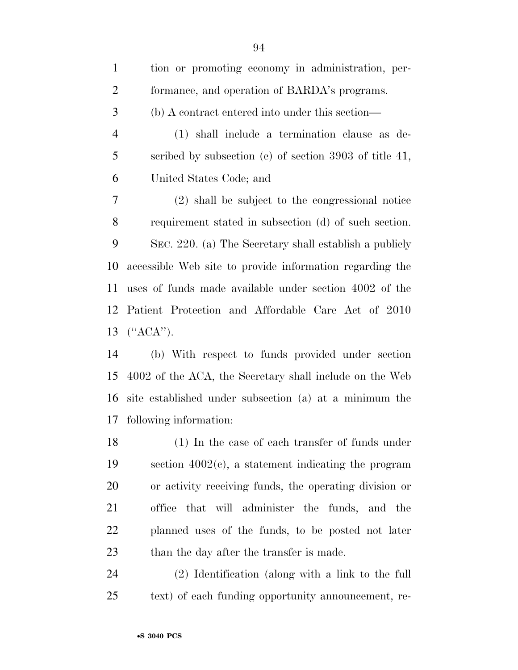| $\mathbf{1}$   | tion or promoting economy in administration, per-         |
|----------------|-----------------------------------------------------------|
| $\overline{2}$ | formance, and operation of BARDA's programs.              |
| 3              | (b) A contract entered into under this section—           |
| $\overline{4}$ | (1) shall include a termination clause as de-             |
| 5              | scribed by subsection (c) of section 3903 of title 41,    |
| 6              | United States Code; and                                   |
| $\tau$         | (2) shall be subject to the congressional notice          |
| 8              | requirement stated in subsection (d) of such section.     |
| 9              | SEC. 220. (a) The Secretary shall establish a publicly    |
| 10             | accessible Web site to provide information regarding the  |
| 11             | uses of funds made available under section 4002 of the    |
|                | 12 Patient Protection and Affordable Care Act of 2010     |
|                | 13 $(^{\prime}ACA^{\prime\prime})$ .                      |
| 14             | (b) With respect to funds provided under section          |
|                | 15 4002 of the ACA the Secretary shall include on the Web |

 4002 of the ACA, the Secretary shall include on the Web site established under subsection (a) at a minimum the following information:

 (1) In the case of each transfer of funds under section 4002(c), a statement indicating the program or activity receiving funds, the operating division or office that will administer the funds, and the planned uses of the funds, to be posted not later 23 than the day after the transfer is made.

 (2) Identification (along with a link to the full text) of each funding opportunity announcement, re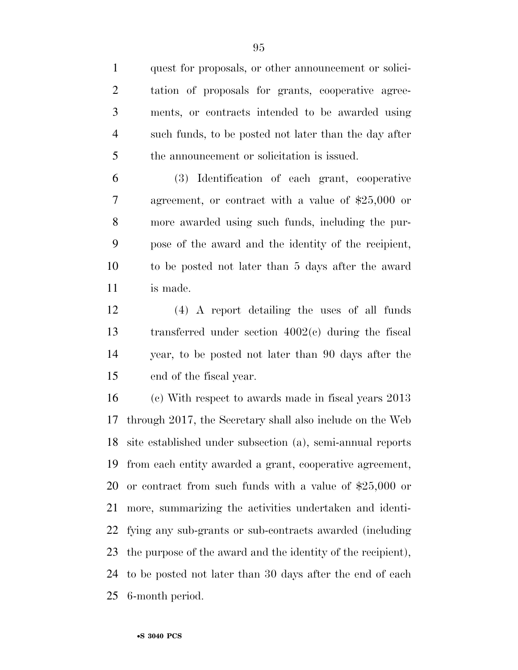quest for proposals, or other announcement or solici- tation of proposals for grants, cooperative agree- ments, or contracts intended to be awarded using such funds, to be posted not later than the day after the announcement or solicitation is issued.

 (3) Identification of each grant, cooperative agreement, or contract with a value of \$25,000 or more awarded using such funds, including the pur- pose of the award and the identity of the recipient, to be posted not later than 5 days after the award is made.

 (4) A report detailing the uses of all funds transferred under section 4002(c) during the fiscal year, to be posted not later than 90 days after the end of the fiscal year.

 (c) With respect to awards made in fiscal years 2013 through 2017, the Secretary shall also include on the Web site established under subsection (a), semi-annual reports from each entity awarded a grant, cooperative agreement, or contract from such funds with a value of \$25,000 or more, summarizing the activities undertaken and identi- fying any sub-grants or sub-contracts awarded (including the purpose of the award and the identity of the recipient), to be posted not later than 30 days after the end of each 6-month period.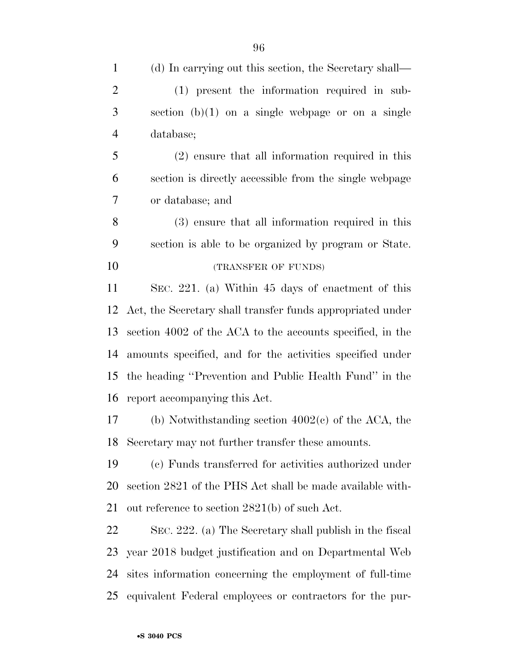| $\mathbf{1}$   | (d) In carrying out this section, the Secretary shall—     |
|----------------|------------------------------------------------------------|
| $\overline{2}$ | (1) present the information required in sub-               |
| 3              | section $(b)(1)$ on a single webpage or on a single        |
| $\overline{4}$ | database;                                                  |
| 5              | $(2)$ ensure that all information required in this         |
| 6              | section is directly accessible from the single webpage     |
| $\overline{7}$ | or database; and                                           |
| 8              | (3) ensure that all information required in this           |
| 9              | section is able to be organized by program or State.       |
| 10             | (TRANSFER OF FUNDS)                                        |
| 11             | SEC. 221. (a) Within 45 days of enactment of this          |
| 12             | Act, the Secretary shall transfer funds appropriated under |
| 13             | section 4002 of the ACA to the accounts specified, in the  |
| 14             | amounts specified, and for the activities specified under  |
| 15             | the heading "Prevention and Public Health Fund" in the     |
| 16             | report accompanying this Act.                              |
| 17             | (b) Notwithstanding section $4002(c)$ of the ACA, the      |
|                | 18 Secretary may not further transfer these amounts.       |
| 19             | (c) Funds transferred for activities authorized under      |
| 20             | section 2821 of the PHS Act shall be made available with-  |
| 21             | out reference to section 2821(b) of such Act.              |
| 22             | SEC. 222. (a) The Secretary shall publish in the fiscal    |
| 23             | year 2018 budget justification and on Departmental Web     |
| 24             | sites information concerning the employment of full-time   |
| 25             | equivalent Federal employees or contractors for the pur-   |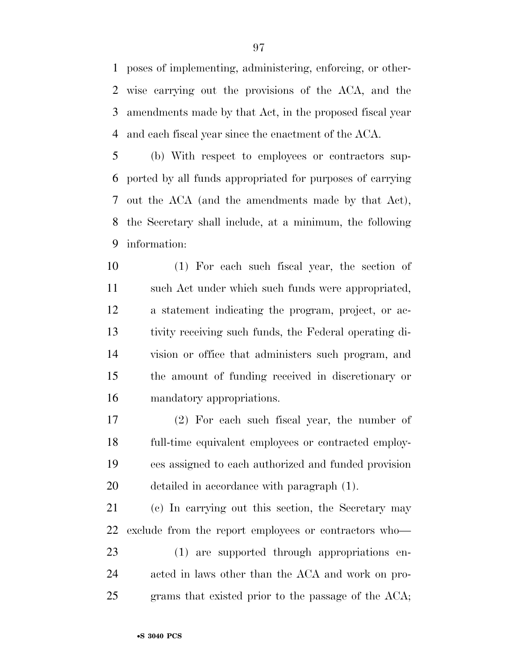poses of implementing, administering, enforcing, or other- wise carrying out the provisions of the ACA, and the amendments made by that Act, in the proposed fiscal year and each fiscal year since the enactment of the ACA.

 (b) With respect to employees or contractors sup- ported by all funds appropriated for purposes of carrying out the ACA (and the amendments made by that Act), the Secretary shall include, at a minimum, the following information:

 (1) For each such fiscal year, the section of such Act under which such funds were appropriated, a statement indicating the program, project, or ac- tivity receiving such funds, the Federal operating di- vision or office that administers such program, and the amount of funding received in discretionary or mandatory appropriations.

 (2) For each such fiscal year, the number of full-time equivalent employees or contracted employ- ees assigned to each authorized and funded provision detailed in accordance with paragraph (1).

 (c) In carrying out this section, the Secretary may exclude from the report employees or contractors who—

 (1) are supported through appropriations en- acted in laws other than the ACA and work on pro-grams that existed prior to the passage of the ACA;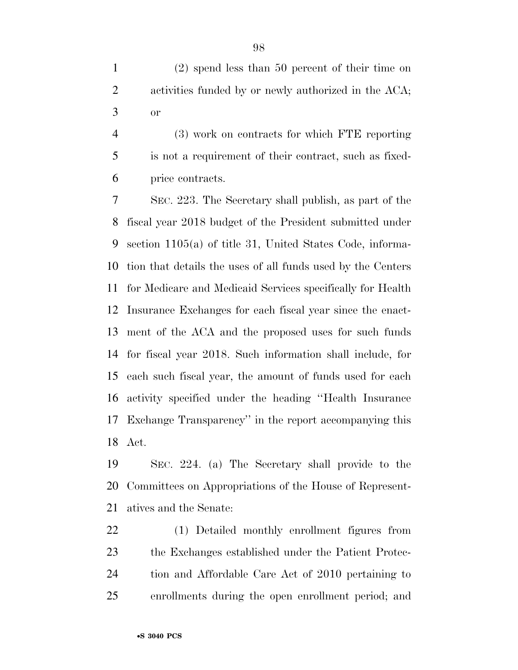(2) spend less than 50 percent of their time on activities funded by or newly authorized in the ACA; or

 (3) work on contracts for which FTE reporting is not a requirement of their contract, such as fixed-price contracts.

 SEC. 223. The Secretary shall publish, as part of the fiscal year 2018 budget of the President submitted under section 1105(a) of title 31, United States Code, informa- tion that details the uses of all funds used by the Centers for Medicare and Medicaid Services specifically for Health Insurance Exchanges for each fiscal year since the enact- ment of the ACA and the proposed uses for such funds for fiscal year 2018. Such information shall include, for each such fiscal year, the amount of funds used for each activity specified under the heading ''Health Insurance Exchange Transparency'' in the report accompanying this Act.

 SEC. 224. (a) The Secretary shall provide to the Committees on Appropriations of the House of Represent-atives and the Senate:

 (1) Detailed monthly enrollment figures from the Exchanges established under the Patient Protec- tion and Affordable Care Act of 2010 pertaining to enrollments during the open enrollment period; and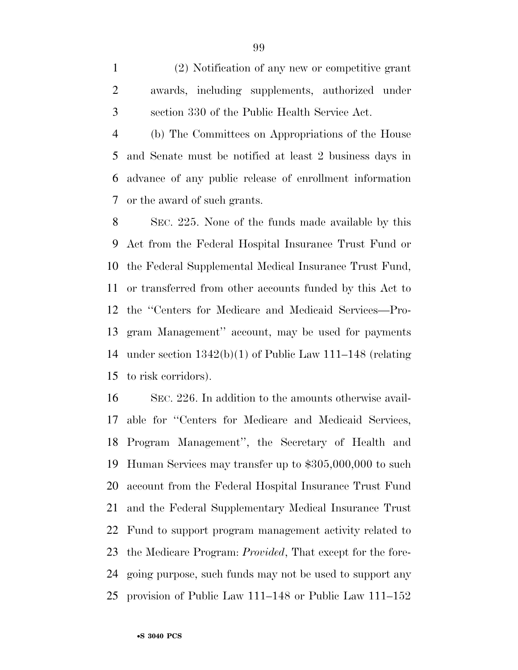(2) Notification of any new or competitive grant awards, including supplements, authorized under section 330 of the Public Health Service Act.

 (b) The Committees on Appropriations of the House and Senate must be notified at least 2 business days in advance of any public release of enrollment information or the award of such grants.

 SEC. 225. None of the funds made available by this Act from the Federal Hospital Insurance Trust Fund or the Federal Supplemental Medical Insurance Trust Fund, or transferred from other accounts funded by this Act to the ''Centers for Medicare and Medicaid Services—Pro- gram Management'' account, may be used for payments under section 1342(b)(1) of Public Law 111–148 (relating to risk corridors).

 SEC. 226. In addition to the amounts otherwise avail- able for ''Centers for Medicare and Medicaid Services, Program Management'', the Secretary of Health and Human Services may transfer up to \$305,000,000 to such account from the Federal Hospital Insurance Trust Fund and the Federal Supplementary Medical Insurance Trust Fund to support program management activity related to the Medicare Program: *Provided*, That except for the fore- going purpose, such funds may not be used to support any provision of Public Law 111–148 or Public Law 111–152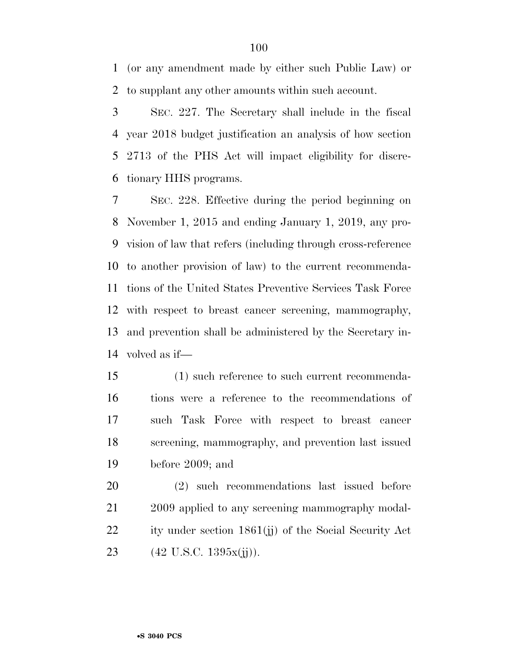(or any amendment made by either such Public Law) or to supplant any other amounts within such account.

 SEC. 227. The Secretary shall include in the fiscal year 2018 budget justification an analysis of how section 2713 of the PHS Act will impact eligibility for discre-tionary HHS programs.

 SEC. 228. Effective during the period beginning on November 1, 2015 and ending January 1, 2019, any pro- vision of law that refers (including through cross-reference to another provision of law) to the current recommenda- tions of the United States Preventive Services Task Force with respect to breast cancer screening, mammography, and prevention shall be administered by the Secretary in-volved as if—

 (1) such reference to such current recommenda- tions were a reference to the recommendations of such Task Force with respect to breast cancer screening, mammography, and prevention last issued before 2009; and

 (2) such recommendations last issued before 2009 applied to any screening mammography modal-22 ity under section 1861(j) of the Social Security Act  $(42 \text{ U.S.C. } 1395x(ij)).$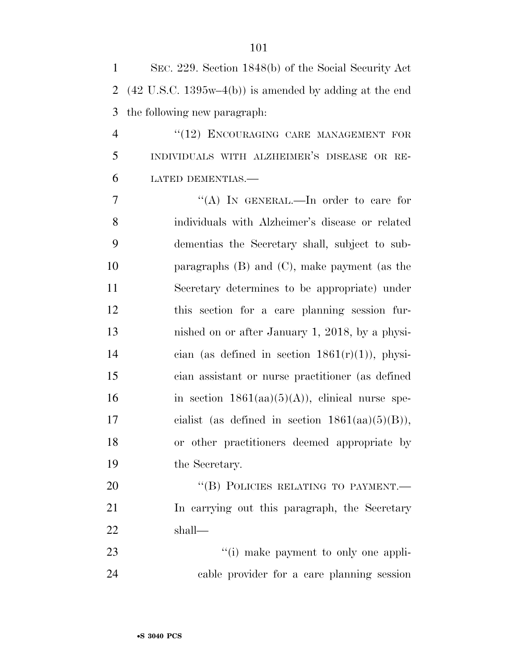| $\mathbf{1}$   | SEC. 229. Section 1848(b) of the Social Security Act                     |
|----------------|--------------------------------------------------------------------------|
| 2              | $(42 \text{ U.S.C. } 1395\text{w}-4(b))$ is amended by adding at the end |
| 3              | the following new paragraph:                                             |
| $\overline{4}$ | "(12) ENCOURAGING CARE MANAGEMENT FOR                                    |
| 5              | INDIVIDUALS WITH ALZHEIMER'S DISEASE OR RE-                              |
| 6              | LATED DEMENTIAS.-                                                        |
| 7              | "(A) IN GENERAL.—In order to care for                                    |
| 8              | individuals with Alzheimer's disease or related                          |
| 9              | dementias the Secretary shall, subject to sub-                           |
| 10             | paragraphs $(B)$ and $(C)$ , make payment (as the                        |
| 11             | Secretary determines to be appropriate) under                            |
| 12             | this section for a care planning session fur-                            |
| 13             | nished on or after January 1, 2018, by a physi-                          |
| 14             | cian (as defined in section $1861(r)(1)$ ), physi-                       |
| 15             | cian assistant or nurse practitioner (as defined                         |
| 16             | in section $1861(aa)(5)(A)$ , clinical nurse spe-                        |
| 17             | cialist (as defined in section $1861(aa)(5)(B)$ ),                       |
| 18             | or other practitioners deemed appropriate by                             |
| 19             | the Secretary.                                                           |
| 20             | "(B) POLICIES RELATING TO PAYMENT.—                                      |
| 21             | In carrying out this paragraph, the Secretary                            |
| 22             | shall—                                                                   |
| 23             | "(i) make payment to only one appli-                                     |
| 24             | cable provider for a care planning session                               |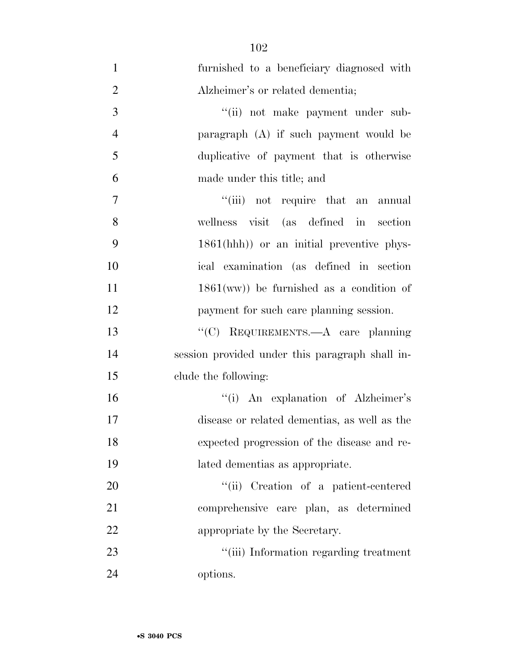furnished to a beneficiary diagnosed with Alzheimer's or related dementia; 3 ''(ii) not make payment under sub- paragraph (A) if such payment would be duplicative of payment that is otherwise made under this title; and 7 ''(iii) not require that an annual wellness visit (as defined in section 1861(hhh)) or an initial preventive phys- ical examination (as defined in section 11 1861(ww)) be furnished as a condition of payment for such care planning session. ''(C) REQUIREMENTS.—A care planning session provided under this paragraph shall in- clude the following: ''(i) An explanation of Alzheimer's disease or related dementias, as well as the expected progression of the disease and re- lated dementias as appropriate.  $"$ (ii) Creation of a patient-centered comprehensive care plan, as determined appropriate by the Secretary.  $\frac{1}{1}$  The Text (iii) Information regarding treatment options.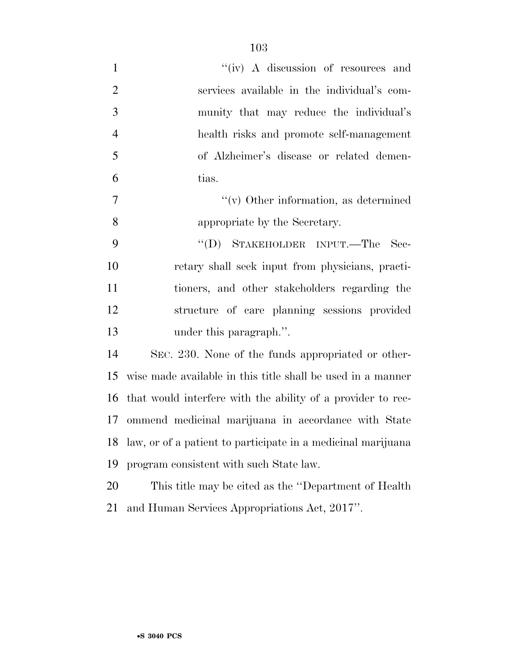| $\mathbf{1}$   | "(iv) A discussion of resources and                          |
|----------------|--------------------------------------------------------------|
| $\overline{2}$ | services available in the individual's com-                  |
| 3              | munity that may reduce the individual's                      |
| $\overline{4}$ | health risks and promote self-management                     |
| 5              | of Alzheimer's disease or related demen-                     |
| 6              | tias.                                                        |
| 7              | $\lq\lq$ Other information, as determined                    |
| 8              | appropriate by the Secretary.                                |
| 9              | "(D) STAKEHOLDER INPUT.—The<br>- Sec-                        |
| 10             | retary shall seek input from physicians, practi-             |
| 11             | tioners, and other stakeholders regarding the                |
| 12             | structure of care planning sessions provided                 |
| 13             | under this paragraph.".                                      |
| 14             | SEC. 230. None of the funds appropriated or other-           |
| 15             | wise made available in this title shall be used in a manner  |
| 16             | that would interfere with the ability of a provider to rec-  |
| 17             | ommend medicinal marijuana in accordance with State          |
| 18             | law, or of a patient to participate in a medicinal marijuana |
| 19             | program consistent with such State law.                      |
| 20             | This title may be cited as the "Department of Health"        |
| 21             | and Human Services Appropriations Act, 2017".                |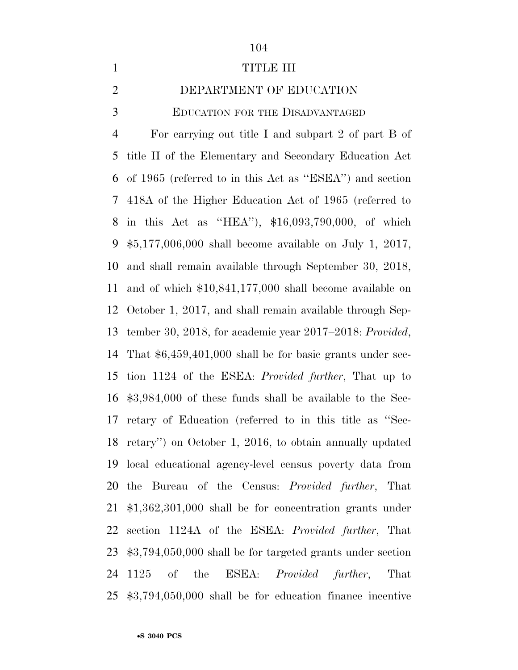#### 1 TITLE III

DEPARTMENT OF EDUCATION

EDUCATION FOR THE DISADVANTAGED

 For carrying out title I and subpart 2 of part B of title II of the Elementary and Secondary Education Act of 1965 (referred to in this Act as ''ESEA'') and section 418A of the Higher Education Act of 1965 (referred to in this Act as ''HEA''), \$16,093,790,000, of which \$5,177,006,000 shall become available on July 1, 2017, and shall remain available through September 30, 2018, and of which \$10,841,177,000 shall become available on October 1, 2017, and shall remain available through Sep- tember 30, 2018, for academic year 2017–2018: *Provided*, That \$6,459,401,000 shall be for basic grants under sec- tion 1124 of the ESEA: *Provided further*, That up to \$3,984,000 of these funds shall be available to the Sec- retary of Education (referred to in this title as ''Sec- retary'') on October 1, 2016, to obtain annually updated local educational agency-level census poverty data from the Bureau of the Census: *Provided further*, That \$1,362,301,000 shall be for concentration grants under section 1124A of the ESEA: *Provided further*, That \$3,794,050,000 shall be for targeted grants under section 1125 of the ESEA: *Provided further*, That \$3,794,050,000 shall be for education finance incentive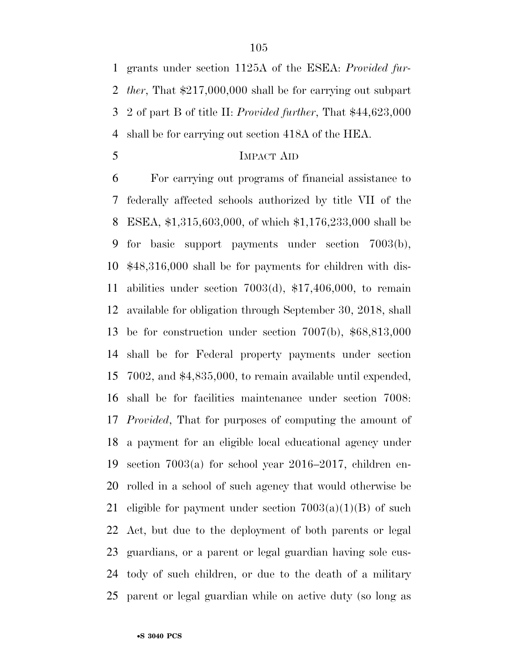grants under section 1125A of the ESEA: *Provided fur- ther*, That \$217,000,000 shall be for carrying out subpart 2 of part B of title II: *Provided further*, That \$44,623,000 shall be for carrying out section 418A of the HEA.

IMPACT AID

 For carrying out programs of financial assistance to federally affected schools authorized by title VII of the ESEA, \$1,315,603,000, of which \$1,176,233,000 shall be for basic support payments under section 7003(b), \$48,316,000 shall be for payments for children with dis- abilities under section 7003(d), \$17,406,000, to remain available for obligation through September 30, 2018, shall be for construction under section 7007(b), \$68,813,000 shall be for Federal property payments under section 7002, and \$4,835,000, to remain available until expended, shall be for facilities maintenance under section 7008: *Provided*, That for purposes of computing the amount of a payment for an eligible local educational agency under section 7003(a) for school year 2016–2017, children en- rolled in a school of such agency that would otherwise be 21 eligible for payment under section  $7003(a)(1)(B)$  of such Act, but due to the deployment of both parents or legal guardians, or a parent or legal guardian having sole cus- tody of such children, or due to the death of a military parent or legal guardian while on active duty (so long as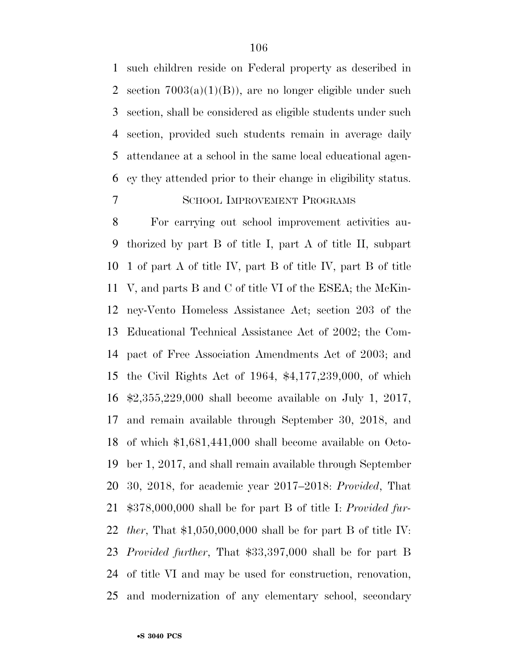such children reside on Federal property as described in 2 section  $7003(a)(1)(B)$ , are no longer eligible under such section, shall be considered as eligible students under such section, provided such students remain in average daily attendance at a school in the same local educational agen- cy they attended prior to their change in eligibility status. SCHOOL IMPROVEMENT PROGRAMS

 For carrying out school improvement activities au- thorized by part B of title I, part A of title II, subpart 1 of part A of title IV, part B of title IV, part B of title V, and parts B and C of title VI of the ESEA; the McKin- ney-Vento Homeless Assistance Act; section 203 of the Educational Technical Assistance Act of 2002; the Com- pact of Free Association Amendments Act of 2003; and the Civil Rights Act of 1964, \$4,177,239,000, of which \$2,355,229,000 shall become available on July 1, 2017, and remain available through September 30, 2018, and of which \$1,681,441,000 shall become available on Octo- ber 1, 2017, and shall remain available through September 30, 2018, for academic year 2017–2018: *Provided*, That \$378,000,000 shall be for part B of title I: *Provided fur- ther*, That \$1,050,000,000 shall be for part B of title IV: *Provided further*, That \$33,397,000 shall be for part B of title VI and may be used for construction, renovation, and modernization of any elementary school, secondary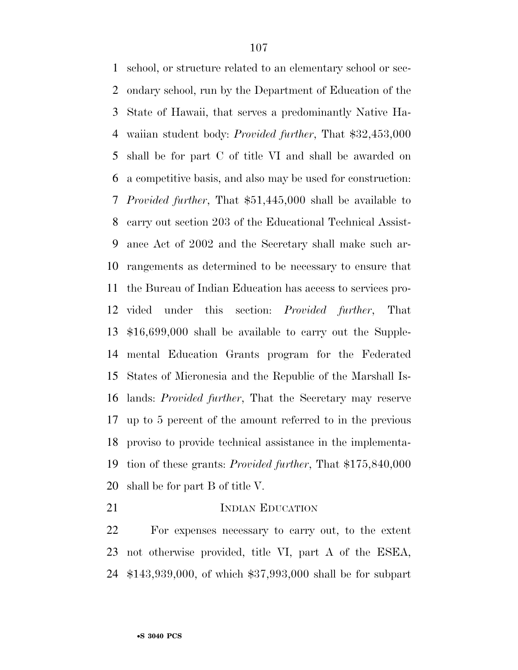school, or structure related to an elementary school or sec- ondary school, run by the Department of Education of the State of Hawaii, that serves a predominantly Native Ha- waiian student body: *Provided further*, That \$32,453,000 shall be for part C of title VI and shall be awarded on a competitive basis, and also may be used for construction: *Provided further*, That \$51,445,000 shall be available to carry out section 203 of the Educational Technical Assist- ance Act of 2002 and the Secretary shall make such ar- rangements as determined to be necessary to ensure that the Bureau of Indian Education has access to services pro- vided under this section: *Provided further*, That \$16,699,000 shall be available to carry out the Supple- mental Education Grants program for the Federated States of Micronesia and the Republic of the Marshall Is- lands: *Provided further*, That the Secretary may reserve up to 5 percent of the amount referred to in the previous proviso to provide technical assistance in the implementa- tion of these grants: *Provided further*, That \$175,840,000 shall be for part B of title V.

21 INDIAN EDUCATION

 For expenses necessary to carry out, to the extent not otherwise provided, title VI, part A of the ESEA, \$143,939,000, of which \$37,993,000 shall be for subpart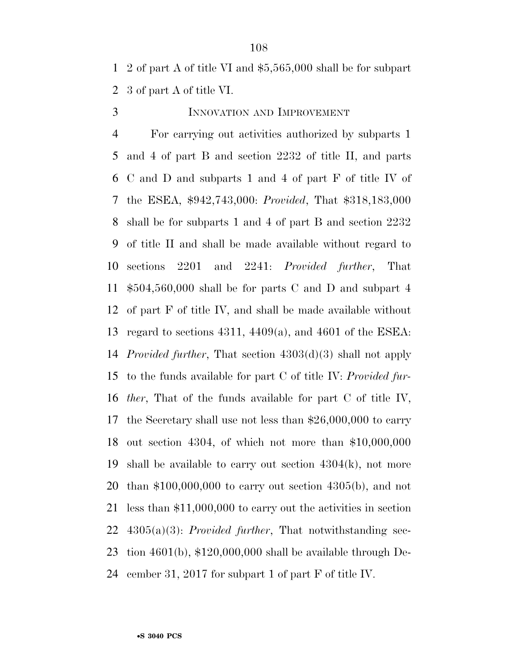2 of part A of title VI and \$5,565,000 shall be for subpart 3 of part A of title VI.

# INNOVATION AND IMPROVEMENT

 For carrying out activities authorized by subparts 1 and 4 of part B and section 2232 of title II, and parts C and D and subparts 1 and 4 of part F of title IV of the ESEA, \$942,743,000: *Provided*, That \$318,183,000 shall be for subparts 1 and 4 of part B and section 2232 of title II and shall be made available without regard to sections 2201 and 2241: *Provided further*, That \$504,560,000 shall be for parts C and D and subpart 4 of part F of title IV, and shall be made available without regard to sections 4311, 4409(a), and 4601 of the ESEA: *Provided further*, That section 4303(d)(3) shall not apply to the funds available for part C of title IV: *Provided fur- ther*, That of the funds available for part C of title IV, the Secretary shall use not less than \$26,000,000 to carry out section 4304, of which not more than \$10,000,000 shall be available to carry out section 4304(k), not more than \$100,000,000 to carry out section 4305(b), and not less than \$11,000,000 to carry out the activities in section 4305(a)(3): *Provided further*, That notwithstanding sec- tion 4601(b), \$120,000,000 shall be available through De-cember 31, 2017 for subpart 1 of part F of title IV.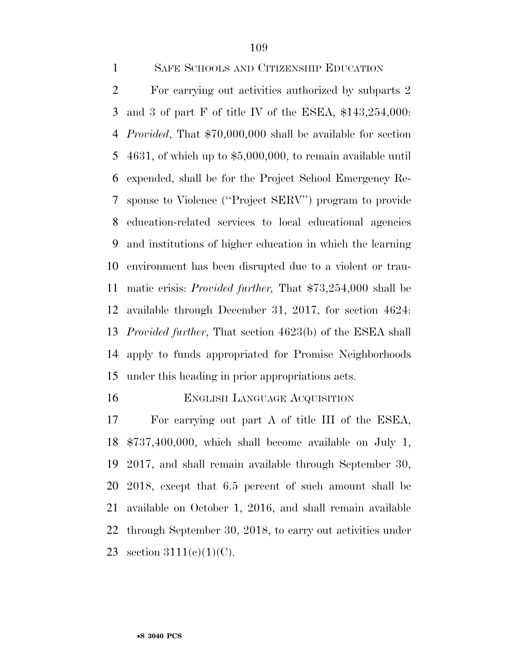SAFE SCHOOLS AND CITIZENSHIP EDUCATION

 For carrying out activities authorized by subparts 2 and 3 of part F of title IV of the ESEA, \$143,254,000: *Provided*, That \$70,000,000 shall be available for section 4631, of which up to \$5,000,000, to remain available until expended, shall be for the Project School Emergency Re- sponse to Violence (''Project SERV'') program to provide education-related services to local educational agencies and institutions of higher education in which the learning environment has been disrupted due to a violent or trau- matic crisis: *Provided further,* That \$73,254,000 shall be available through December 31, 2017, for section 4624: *Provided further*, That section 4623(b) of the ESEA shall apply to funds appropriated for Promise Neighborhoods under this heading in prior appropriations acts.

#### 16 ENGLISH LANGUAGE ACQUISITION

 For carrying out part A of title III of the ESEA, \$737,400,000, which shall become available on July 1, 2017, and shall remain available through September 30, 2018, except that 6.5 percent of such amount shall be available on October 1, 2016, and shall remain available through September 30, 2018, to carry out activities under 23 section  $3111(e)(1)(C)$ .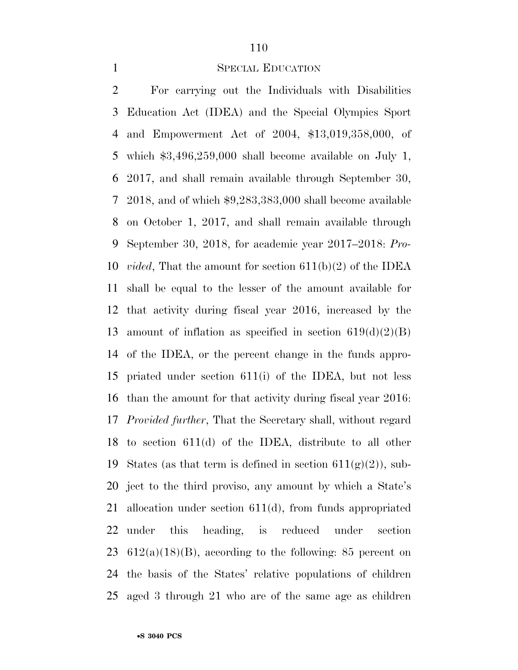## SPECIAL EDUCATION

 For carrying out the Individuals with Disabilities Education Act (IDEA) and the Special Olympics Sport and Empowerment Act of 2004, \$13,019,358,000, of which \$3,496,259,000 shall become available on July 1, 2017, and shall remain available through September 30, 2018, and of which \$9,283,383,000 shall become available on October 1, 2017, and shall remain available through September 30, 2018, for academic year 2017–2018: *Pro- vided*, That the amount for section 611(b)(2) of the IDEA shall be equal to the lesser of the amount available for that activity during fiscal year 2016, increased by the 13 amount of inflation as specified in section  $619(d)(2)(B)$  of the IDEA, or the percent change in the funds appro- priated under section 611(i) of the IDEA, but not less than the amount for that activity during fiscal year 2016: *Provided further*, That the Secretary shall, without regard to section 611(d) of the IDEA, distribute to all other 19 States (as that term is defined in section  $611(g)(2)$ ), sub- ject to the third proviso, any amount by which a State's allocation under section 611(d), from funds appropriated under this heading, is reduced under section  $612(a)(18)(B)$ , according to the following: 85 percent on the basis of the States' relative populations of children aged 3 through 21 who are of the same age as children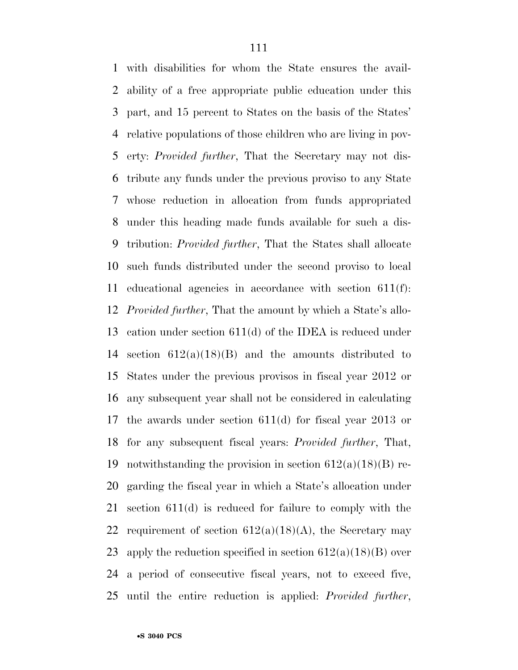with disabilities for whom the State ensures the avail- ability of a free appropriate public education under this part, and 15 percent to States on the basis of the States' relative populations of those children who are living in pov- erty: *Provided further*, That the Secretary may not dis- tribute any funds under the previous proviso to any State whose reduction in allocation from funds appropriated under this heading made funds available for such a dis- tribution: *Provided further*, That the States shall allocate such funds distributed under the second proviso to local educational agencies in accordance with section 611(f): *Provided further*, That the amount by which a State's allo- cation under section 611(d) of the IDEA is reduced under 14 section  $612(a)(18)(B)$  and the amounts distributed to States under the previous provisos in fiscal year 2012 or any subsequent year shall not be considered in calculating the awards under section 611(d) for fiscal year 2013 or for any subsequent fiscal years: *Provided further*, That, 19 notwithstanding the provision in section  $612(a)(18)(B)$  re- garding the fiscal year in which a State's allocation under section 611(d) is reduced for failure to comply with the 22 requirement of section  $612(a)(18)(A)$ , the Secretary may 23 apply the reduction specified in section  $612(a)(18)(B)$  over a period of consecutive fiscal years, not to exceed five, until the entire reduction is applied: *Provided further*,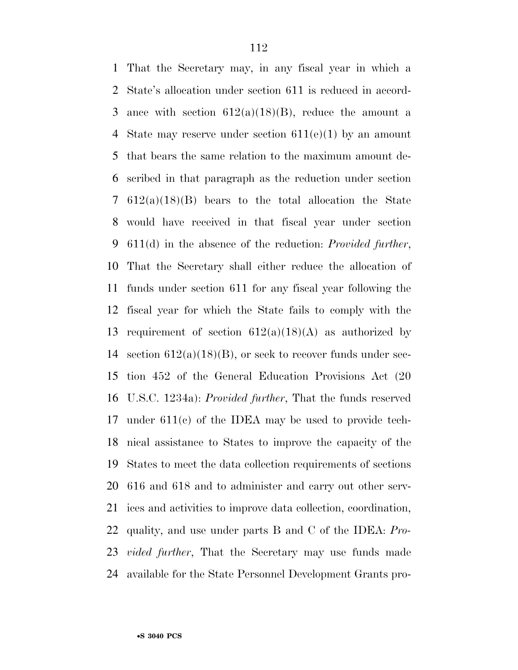That the Secretary may, in any fiscal year in which a State's allocation under section 611 is reduced in accord-3 ance with section  $612(a)(18)(B)$ , reduce the amount a State may reserve under section 611(e)(1) by an amount that bears the same relation to the maximum amount de- scribed in that paragraph as the reduction under section 612(a)(18)(B) bears to the total allocation the State would have received in that fiscal year under section 611(d) in the absence of the reduction: *Provided further*, That the Secretary shall either reduce the allocation of funds under section 611 for any fiscal year following the fiscal year for which the State fails to comply with the 13 requirement of section  $612(a)(18)(A)$  as authorized by 14 section  $612(a)(18)(B)$ , or seek to recover funds under sec- tion 452 of the General Education Provisions Act (20 U.S.C. 1234a): *Provided further*, That the funds reserved under 611(c) of the IDEA may be used to provide tech- nical assistance to States to improve the capacity of the States to meet the data collection requirements of sections 616 and 618 and to administer and carry out other serv- ices and activities to improve data collection, coordination, quality, and use under parts B and C of the IDEA: *Pro- vided further*, That the Secretary may use funds made available for the State Personnel Development Grants pro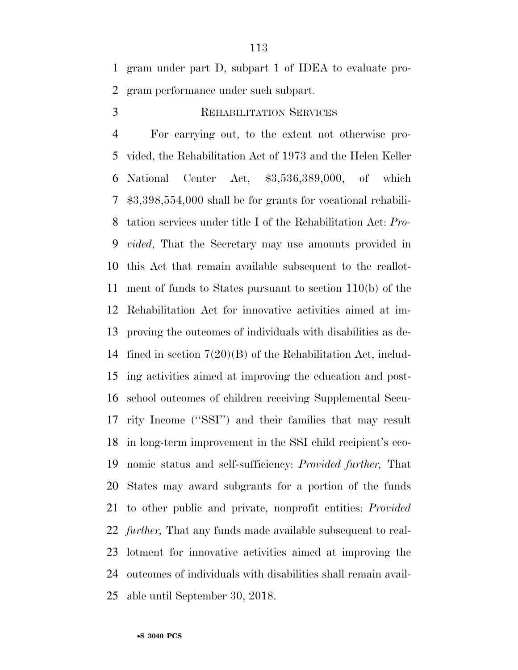gram under part D, subpart 1 of IDEA to evaluate pro-gram performance under such subpart.

# 3 REHABILITATION SERVICES

 For carrying out, to the extent not otherwise pro- vided, the Rehabilitation Act of 1973 and the Helen Keller National Center Act, \$3,536,389,000, of which \$3,398,554,000 shall be for grants for vocational rehabili- tation services under title I of the Rehabilitation Act: *Pro- vided*, That the Secretary may use amounts provided in this Act that remain available subsequent to the reallot- ment of funds to States pursuant to section 110(b) of the Rehabilitation Act for innovative activities aimed at im- proving the outcomes of individuals with disabilities as de- fined in section 7(20)(B) of the Rehabilitation Act, includ- ing activities aimed at improving the education and post- school outcomes of children receiving Supplemental Secu- rity Income (''SSI'') and their families that may result in long-term improvement in the SSI child recipient's eco- nomic status and self-sufficiency: *Provided further,* That States may award subgrants for a portion of the funds to other public and private, nonprofit entities: *Provided further,* That any funds made available subsequent to real- lotment for innovative activities aimed at improving the outcomes of individuals with disabilities shall remain avail-able until September 30, 2018.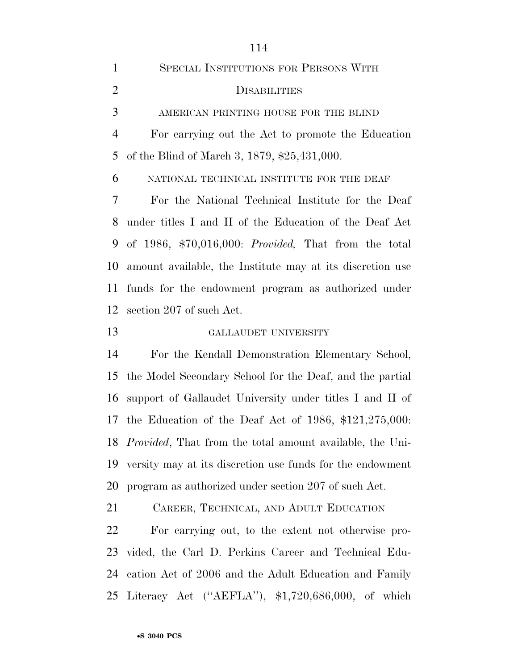SPECIAL INSTITUTIONS FOR PERSONS WITH DISABILITIES AMERICAN PRINTING HOUSE FOR THE BLIND For carrying out the Act to promote the Education of the Blind of March 3, 1879, \$25,431,000. NATIONAL TECHNICAL INSTITUTE FOR THE DEAF For the National Technical Institute for the Deaf under titles I and II of the Education of the Deaf Act of 1986, \$70,016,000: *Provided,* That from the total amount available, the Institute may at its discretion use funds for the endowment program as authorized under section 207 of such Act. GALLAUDET UNIVERSITY For the Kendall Demonstration Elementary School,

 the Model Secondary School for the Deaf, and the partial support of Gallaudet University under titles I and II of the Education of the Deaf Act of 1986, \$121,275,000: *Provided*, That from the total amount available, the Uni- versity may at its discretion use funds for the endowment program as authorized under section 207 of such Act.

CAREER, TECHNICAL, AND ADULT EDUCATION

 For carrying out, to the extent not otherwise pro- vided, the Carl D. Perkins Career and Technical Edu- cation Act of 2006 and the Adult Education and Family Literacy Act (''AEFLA''), \$1,720,686,000, of which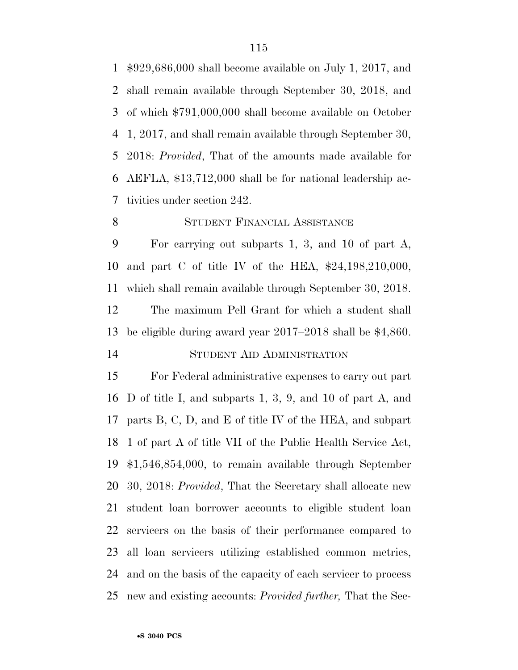\$929,686,000 shall become available on July 1, 2017, and shall remain available through September 30, 2018, and of which \$791,000,000 shall become available on October 1, 2017, and shall remain available through September 30, 2018: *Provided*, That of the amounts made available for AEFLA, \$13,712,000 shall be for national leadership ac-tivities under section 242.

## STUDENT FINANCIAL ASSISTANCE

 For carrying out subparts 1, 3, and 10 of part A, and part C of title IV of the HEA, \$24,198,210,000, which shall remain available through September 30, 2018. The maximum Pell Grant for which a student shall be eligible during award year 2017–2018 shall be \$4,860. STUDENT AID ADMINISTRATION

 For Federal administrative expenses to carry out part D of title I, and subparts 1, 3, 9, and 10 of part A, and parts B, C, D, and E of title IV of the HEA, and subpart 1 of part A of title VII of the Public Health Service Act, \$1,546,854,000, to remain available through September 30, 2018: *Provided*, That the Secretary shall allocate new student loan borrower accounts to eligible student loan servicers on the basis of their performance compared to all loan servicers utilizing established common metrics, and on the basis of the capacity of each servicer to process new and existing accounts: *Provided further,* That the Sec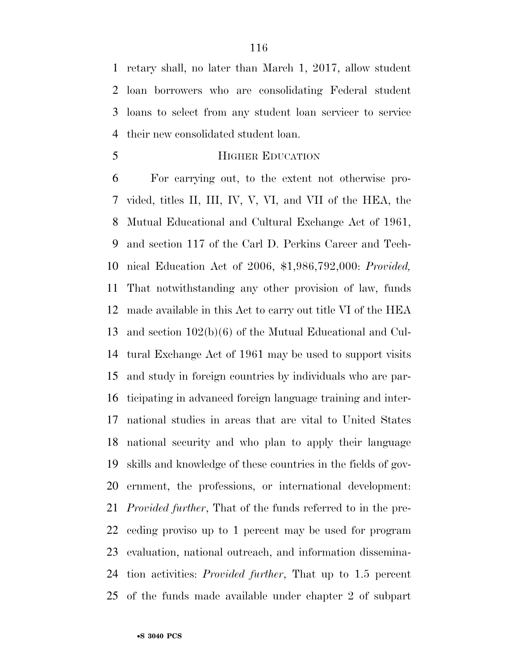retary shall, no later than March 1, 2017, allow student loan borrowers who are consolidating Federal student loans to select from any student loan servicer to service their new consolidated student loan.

**HIGHER EDUCATION** 

 For carrying out, to the extent not otherwise pro- vided, titles II, III, IV, V, VI, and VII of the HEA, the Mutual Educational and Cultural Exchange Act of 1961, and section 117 of the Carl D. Perkins Career and Tech- nical Education Act of 2006, \$1,986,792,000: *Provided,*  That notwithstanding any other provision of law, funds made available in this Act to carry out title VI of the HEA and section 102(b)(6) of the Mutual Educational and Cul- tural Exchange Act of 1961 may be used to support visits and study in foreign countries by individuals who are par- ticipating in advanced foreign language training and inter- national studies in areas that are vital to United States national security and who plan to apply their language skills and knowledge of these countries in the fields of gov- ernment, the professions, or international development: *Provided further*, That of the funds referred to in the pre- ceding proviso up to 1 percent may be used for program evaluation, national outreach, and information dissemina- tion activities: *Provided further*, That up to 1.5 percent of the funds made available under chapter 2 of subpart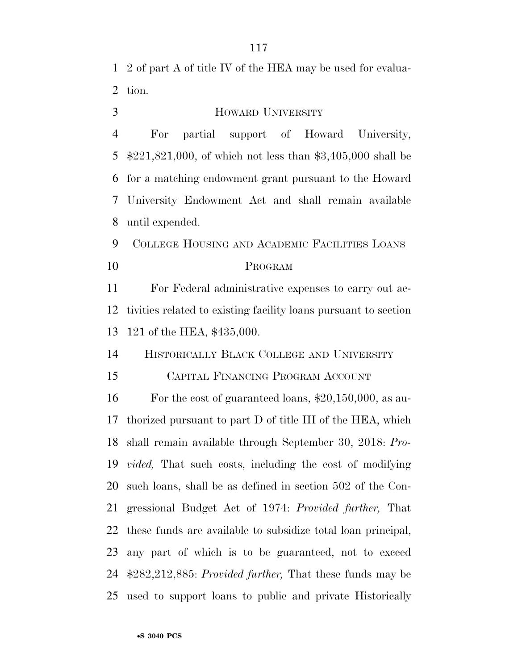2 of part A of title IV of the HEA may be used for evalua-tion.

## HOWARD UNIVERSITY

 For partial support of Howard University, \$221,821,000, of which not less than \$3,405,000 shall be for a matching endowment grant pursuant to the Howard University Endowment Act and shall remain available until expended.

 COLLEGE HOUSING AND ACADEMIC FACILITIES LOANS PROGRAM

 For Federal administrative expenses to carry out ac- tivities related to existing facility loans pursuant to section 121 of the HEA, \$435,000.

HISTORICALLY BLACK COLLEGE AND UNIVERSITY

CAPITAL FINANCING PROGRAM ACCOUNT

 For the cost of guaranteed loans, \$20,150,000, as au- thorized pursuant to part D of title III of the HEA, which shall remain available through September 30, 2018: *Pro- vided,* That such costs, including the cost of modifying such loans, shall be as defined in section 502 of the Con- gressional Budget Act of 1974: *Provided further,* That these funds are available to subsidize total loan principal, any part of which is to be guaranteed, not to exceed \$282,212,885: *Provided further,* That these funds may be used to support loans to public and private Historically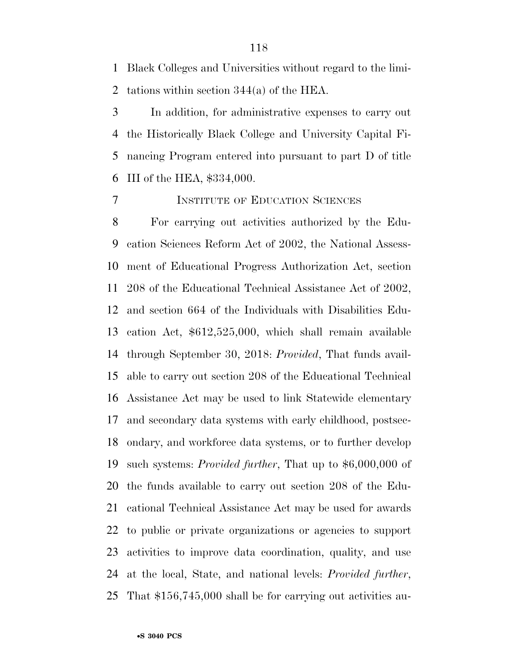Black Colleges and Universities without regard to the limi-tations within section 344(a) of the HEA.

 In addition, for administrative expenses to carry out the Historically Black College and University Capital Fi- nancing Program entered into pursuant to part D of title III of the HEA, \$334,000.

## INSTITUTE OF EDUCATION SCIENCES

 For carrying out activities authorized by the Edu- cation Sciences Reform Act of 2002, the National Assess- ment of Educational Progress Authorization Act, section 208 of the Educational Technical Assistance Act of 2002, and section 664 of the Individuals with Disabilities Edu- cation Act, \$612,525,000, which shall remain available through September 30, 2018: *Provided*, That funds avail- able to carry out section 208 of the Educational Technical Assistance Act may be used to link Statewide elementary and secondary data systems with early childhood, postsec- ondary, and workforce data systems, or to further develop such systems: *Provided further*, That up to \$6,000,000 of the funds available to carry out section 208 of the Edu- cational Technical Assistance Act may be used for awards to public or private organizations or agencies to support activities to improve data coordination, quality, and use at the local, State, and national levels: *Provided further*, That \$156,745,000 shall be for carrying out activities au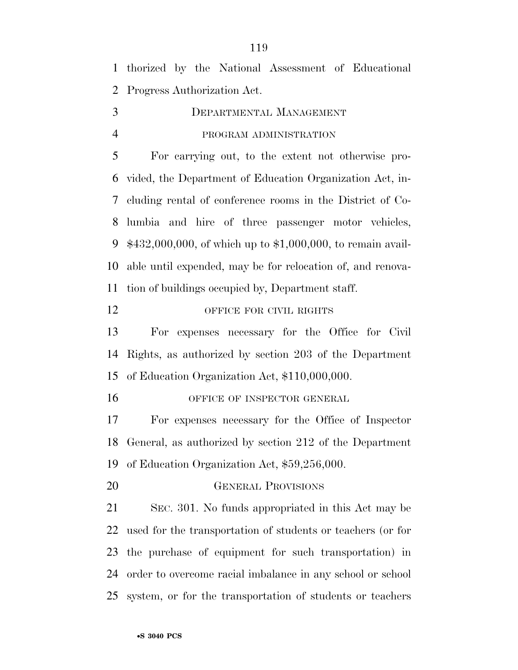thorized by the National Assessment of Educational Progress Authorization Act.

 DEPARTMENTAL MANAGEMENT PROGRAM ADMINISTRATION

 For carrying out, to the extent not otherwise pro- vided, the Department of Education Organization Act, in- cluding rental of conference rooms in the District of Co- lumbia and hire of three passenger motor vehicles, \$432,000,000, of which up to \$1,000,000, to remain avail- able until expended, may be for relocation of, and renova-tion of buildings occupied by, Department staff.

# 12 OFFICE FOR CIVIL RIGHTS

 For expenses necessary for the Office for Civil Rights, as authorized by section 203 of the Department of Education Organization Act, \$110,000,000.

16 OFFICE OF INSPECTOR GENERAL

 For expenses necessary for the Office of Inspector General, as authorized by section 212 of the Department of Education Organization Act, \$59,256,000.

GENERAL PROVISIONS

 SEC. 301. No funds appropriated in this Act may be used for the transportation of students or teachers (or for the purchase of equipment for such transportation) in order to overcome racial imbalance in any school or school system, or for the transportation of students or teachers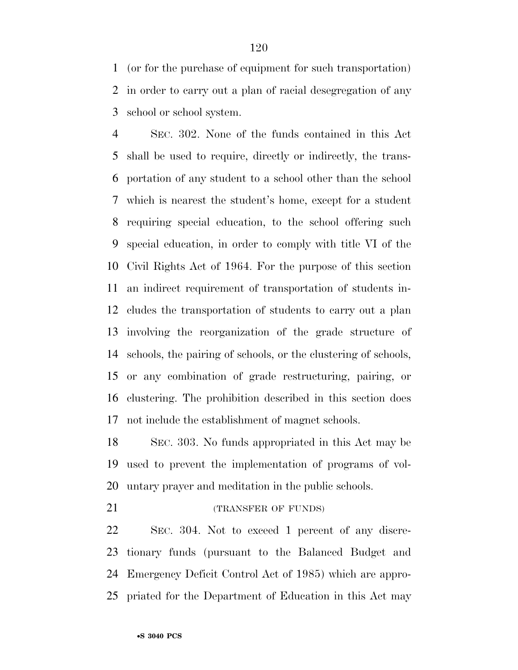(or for the purchase of equipment for such transportation) in order to carry out a plan of racial desegregation of any school or school system.

 SEC. 302. None of the funds contained in this Act shall be used to require, directly or indirectly, the trans- portation of any student to a school other than the school which is nearest the student's home, except for a student requiring special education, to the school offering such special education, in order to comply with title VI of the Civil Rights Act of 1964. For the purpose of this section an indirect requirement of transportation of students in- cludes the transportation of students to carry out a plan involving the reorganization of the grade structure of schools, the pairing of schools, or the clustering of schools, or any combination of grade restructuring, pairing, or clustering. The prohibition described in this section does not include the establishment of magnet schools.

 SEC. 303. No funds appropriated in this Act may be used to prevent the implementation of programs of vol-untary prayer and meditation in the public schools.

21 (TRANSFER OF FUNDS)

 SEC. 304. Not to exceed 1 percent of any discre- tionary funds (pursuant to the Balanced Budget and Emergency Deficit Control Act of 1985) which are appro-priated for the Department of Education in this Act may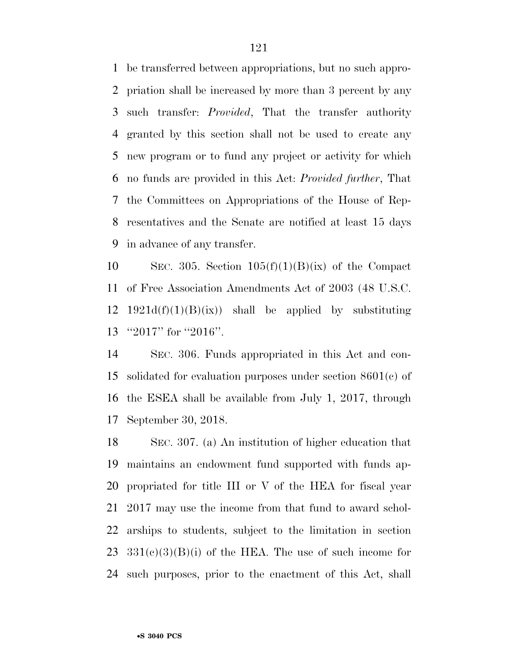be transferred between appropriations, but no such appro- priation shall be increased by more than 3 percent by any such transfer: *Provided*, That the transfer authority granted by this section shall not be used to create any new program or to fund any project or activity for which no funds are provided in this Act: *Provided further*, That the Committees on Appropriations of the House of Rep- resentatives and the Senate are notified at least 15 days in advance of any transfer.

10 SEC. 305. Section  $105(f)(1)(B)(ix)$  of the Compact of Free Association Amendments Act of 2003 (48 U.S.C. 12 1921d(f)(1)(B)(ix)) shall be applied by substituting ''2017'' for ''2016''.

 SEC. 306. Funds appropriated in this Act and con- solidated for evaluation purposes under section 8601(c) of the ESEA shall be available from July 1, 2017, through September 30, 2018.

 SEC. 307. (a) An institution of higher education that maintains an endowment fund supported with funds ap- propriated for title III or V of the HEA for fiscal year 2017 may use the income from that fund to award schol- arships to students, subject to the limitation in section  $331(c)(3)(B)(i)$  of the HEA. The use of such income for such purposes, prior to the enactment of this Act, shall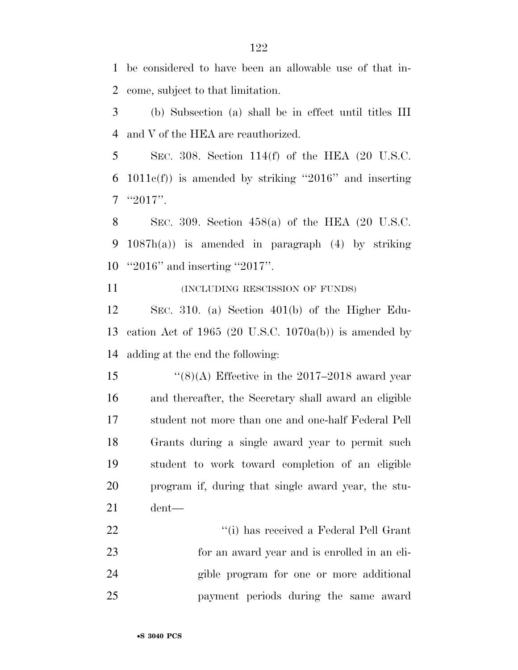be considered to have been an allowable use of that in-come, subject to that limitation.

 (b) Subsection (a) shall be in effect until titles III and V of the HEA are reauthorized.

 SEC. 308. Section 114(f) of the HEA (20 U.S.C. 1011c(f)) is amended by striking ''2016'' and inserting "2017".

 SEC. 309. Section 458(a) of the HEA (20 U.S.C. 1087h(a)) is amended in paragraph (4) by striking ''2016'' and inserting ''2017''.

**INCLUDING RESCISSION OF FUNDS** 

 SEC. 310. (a) Section 401(b) of the Higher Edu- cation Act of 1965 (20 U.S.C. 1070a(b)) is amended by adding at the end the following:

 $\frac{1}{(8)(\text{A})}$  Effective in the 2017–2018 award year and thereafter, the Secretary shall award an eligible student not more than one and one-half Federal Pell Grants during a single award year to permit such student to work toward completion of an eligible program if, during that single award year, the stu-dent—

22 ''(i) has received a Federal Pell Grant for an award year and is enrolled in an eli- gible program for one or more additional payment periods during the same award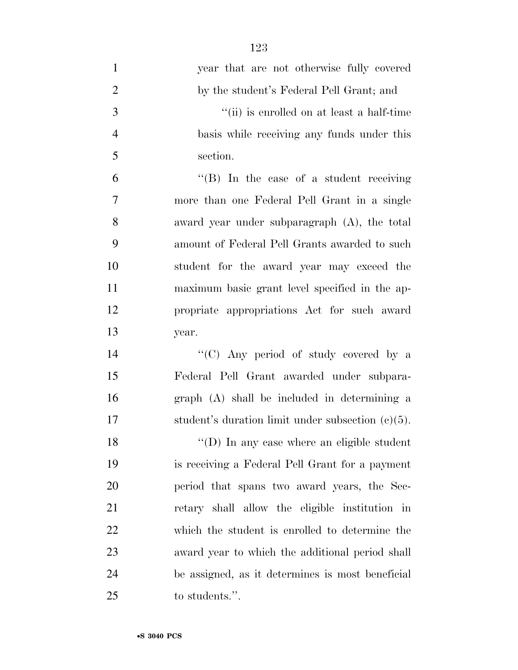| $\mathbf{1}$   | year that are not otherwise fully covered            |
|----------------|------------------------------------------------------|
| $\overline{2}$ | by the student's Federal Pell Grant; and             |
| 3              | "(ii) is enrolled on at least a half-time            |
| $\overline{4}$ | basis while receiving any funds under this           |
| 5              | section.                                             |
| 6              | $\lq\lq (B)$ In the case of a student receiving      |
| $\overline{7}$ | more than one Federal Pell Grant in a single         |
| 8              | award year under subparagraph (A), the total         |
| 9              | amount of Federal Pell Grants awarded to such        |
| 10             | student for the award year may exceed the            |
| 11             | maximum basic grant level specified in the ap-       |
| 12             | propriate appropriations Act for such award          |
| 13             | year.                                                |
| 14             | "(C) Any period of study covered by a                |
| 15             | Federal Pell Grant awarded under subpara-            |
| 16             | graph (A) shall be included in determining a         |
| 17             | student's duration limit under subsection $(c)(5)$ . |
| 18             | $\lq\lq$ (D) In any case where an eligible student   |
| 19             | is receiving a Federal Pell Grant for a payment      |
| 20             | period that spans two award years, the Sec-          |
| 21             | retary shall allow the eligible institution in       |
| 22             | which the student is enrolled to determine the       |
| 23             | award year to which the additional period shall      |
| 24             | be assigned, as it determines is most beneficial     |
| 25             | to students.".                                       |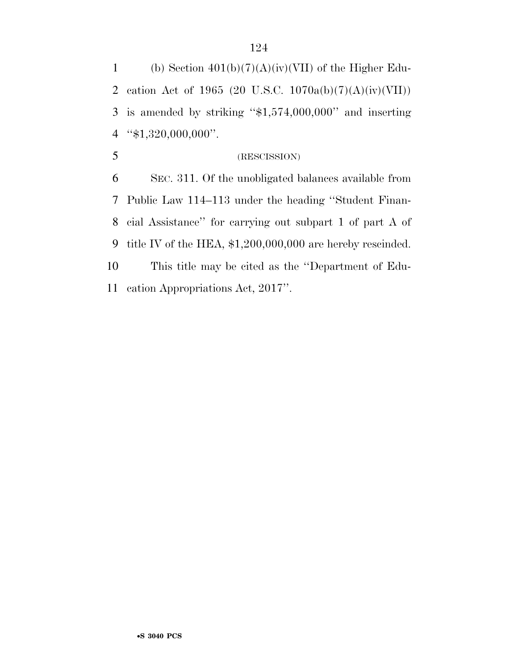1 (b) Section  $401(b)(7)(A)(iv)(VII)$  of the Higher Edu- cation Act of 1965 (20 U.S.C. 1070a(b)(7)(A)(iv)(VII)) is amended by striking ''\$1,574,000,000'' and inserting ''\$1,320,000,000''.

(RESCISSION)

 SEC. 311. Of the unobligated balances available from Public Law 114–113 under the heading ''Student Finan- cial Assistance'' for carrying out subpart 1 of part A of title IV of the HEA, \$1,200,000,000 are hereby rescinded. This title may be cited as the ''Department of Edu-cation Appropriations Act, 2017''.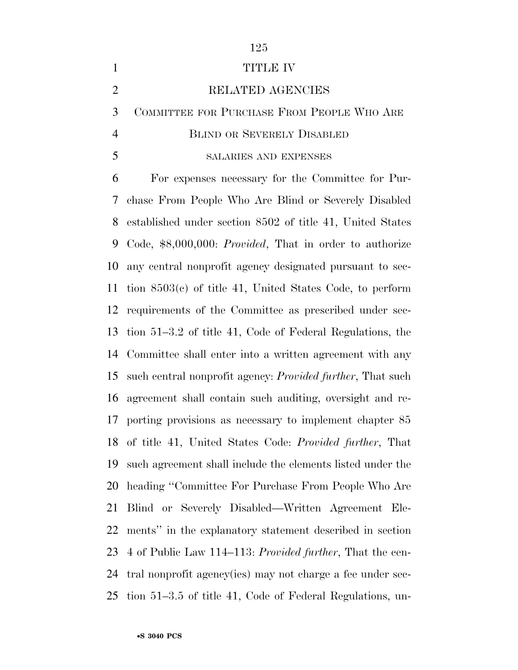| $\mathbf{1}$   | TITLE IV                                                           |
|----------------|--------------------------------------------------------------------|
| $\overline{2}$ | RELATED AGENCIES                                                   |
| 3              | COMMITTEE FOR PURCHASE FROM PEOPLE WHO ARE                         |
| $\overline{4}$ | <b>BLIND OR SEVERELY DISABLED</b>                                  |
| 5              | SALARIES AND EXPENSES                                              |
| 6              | For expenses necessary for the Committee for Pur-                  |
| 7              | chase From People Who Are Blind or Severely Disabled               |
| 8              | established under section 8502 of title 41, United States          |
| 9              | Code, \$8,000,000: <i>Provided</i> , That in order to authorize    |
| 10             | any central nonprofit agency designated pursuant to sec-           |
| 11             | tion $8503(c)$ of title 41, United States Code, to perform         |
| 12             | requirements of the Committee as prescribed under sec-             |
| 13             | tion 51–3.2 of title 41, Code of Federal Regulations, the          |
|                | 14 Committee shall enter into a written agreement with any         |
| 15             | such central nonprofit agency: <i>Provided further</i> , That such |
| 16             | agreement shall contain such auditing, oversight and re-           |
| 17             | porting provisions as necessary to implement chapter 85            |
|                | 18 of title 41, United States Code: Provided further, That         |
| 19             | such agreement shall include the elements listed under the         |
| 20             | heading "Committee For Purchase From People Who Are                |
| 21             | Blind or Severely Disabled—Written Agreement Ele-                  |
| 22             | ments" in the explanatory statement described in section           |
| 23             | 4 of Public Law 114–113: Provided further, That the cen-           |
| 24             | tral nonprofit agency (ies) may not charge a fee under sec-        |
| 25             | tion 51–3.5 of title 41, Code of Federal Regulations, un-          |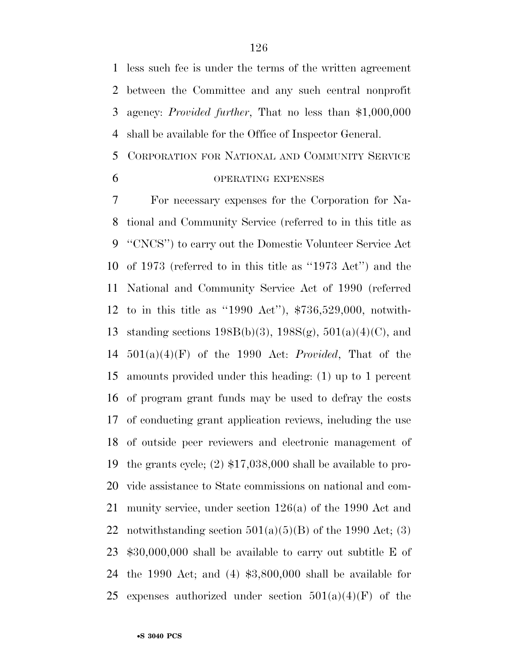less such fee is under the terms of the written agreement between the Committee and any such central nonprofit agency: *Provided further*, That no less than \$1,000,000 shall be available for the Office of Inspector General.

# CORPORATION FOR NATIONAL AND COMMUNITY SERVICE OPERATING EXPENSES

 For necessary expenses for the Corporation for Na- tional and Community Service (referred to in this title as ''CNCS'') to carry out the Domestic Volunteer Service Act of 1973 (referred to in this title as ''1973 Act'') and the National and Community Service Act of 1990 (referred to in this title as ''1990 Act''), \$736,529,000, notwith-13 standing sections  $198B(b)(3)$ ,  $198S(g)$ ,  $501(a)(4)(C)$ , and 501(a)(4)(F) of the 1990 Act: *Provided*, That of the amounts provided under this heading: (1) up to 1 percent of program grant funds may be used to defray the costs of conducting grant application reviews, including the use of outside peer reviewers and electronic management of the grants cycle; (2) \$17,038,000 shall be available to pro- vide assistance to State commissions on national and com- munity service, under section 126(a) of the 1990 Act and 22 notwithstanding section  $501(a)(5)(B)$  of the 1990 Act; (3) \$30,000,000 shall be available to carry out subtitle E of the 1990 Act; and (4) \$3,800,000 shall be available for 25 expenses authorized under section  $501(a)(4)(F)$  of the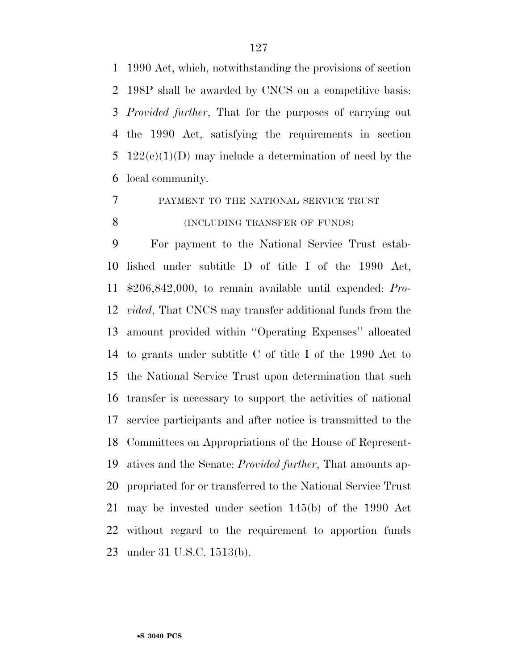1990 Act, which, notwithstanding the provisions of section 198P shall be awarded by CNCS on a competitive basis: *Provided further*, That for the purposes of carrying out the 1990 Act, satisfying the requirements in section  $122(c)(1)(D)$  may include a determination of need by the local community.

PAYMENT TO THE NATIONAL SERVICE TRUST

**(INCLUDING TRANSFER OF FUNDS)** 

 For payment to the National Service Trust estab- lished under subtitle D of title I of the 1990 Act, \$206,842,000, to remain available until expended: *Pro- vided*, That CNCS may transfer additional funds from the amount provided within ''Operating Expenses'' allocated to grants under subtitle C of title I of the 1990 Act to the National Service Trust upon determination that such transfer is necessary to support the activities of national service participants and after notice is transmitted to the Committees on Appropriations of the House of Represent- atives and the Senate: *Provided further*, That amounts ap- propriated for or transferred to the National Service Trust may be invested under section 145(b) of the 1990 Act without regard to the requirement to apportion funds under 31 U.S.C. 1513(b).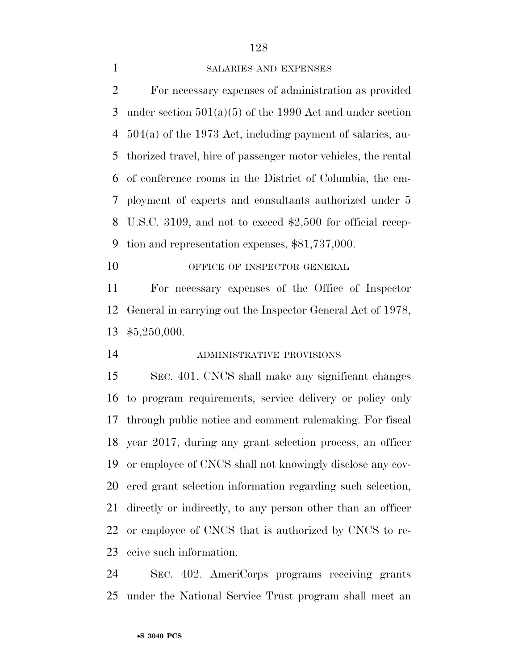### SALARIES AND EXPENSES

 For necessary expenses of administration as provided under section 501(a)(5) of the 1990 Act and under section 504(a) of the 1973 Act, including payment of salaries, au- thorized travel, hire of passenger motor vehicles, the rental of conference rooms in the District of Columbia, the em- ployment of experts and consultants authorized under 5 U.S.C. 3109, and not to exceed \$2,500 for official recep-tion and representation expenses, \$81,737,000.

10 OFFICE OF INSPECTOR GENERAL

 For necessary expenses of the Office of Inspector General in carrying out the Inspector General Act of 1978, \$5,250,000.

ADMINISTRATIVE PROVISIONS

 SEC. 401. CNCS shall make any significant changes to program requirements, service delivery or policy only through public notice and comment rulemaking. For fiscal year 2017, during any grant selection process, an officer or employee of CNCS shall not knowingly disclose any cov- ered grant selection information regarding such selection, directly or indirectly, to any person other than an officer or employee of CNCS that is authorized by CNCS to re-ceive such information.

 SEC. 402. AmeriCorps programs receiving grants under the National Service Trust program shall meet an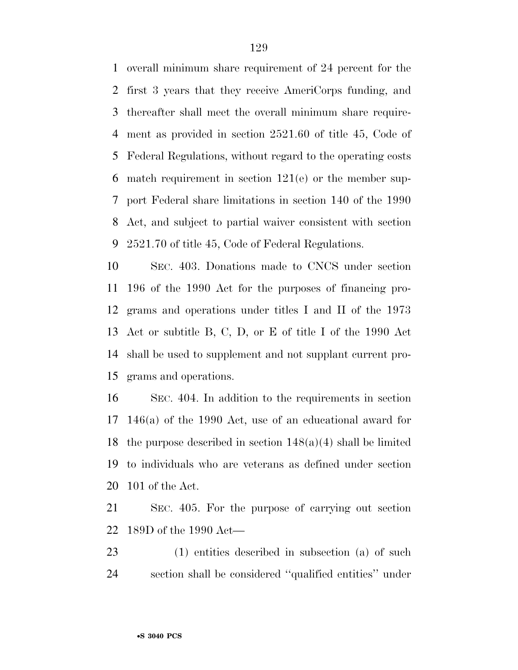overall minimum share requirement of 24 percent for the first 3 years that they receive AmeriCorps funding, and thereafter shall meet the overall minimum share require- ment as provided in section 2521.60 of title 45, Code of Federal Regulations, without regard to the operating costs match requirement in section 121(e) or the member sup- port Federal share limitations in section 140 of the 1990 Act, and subject to partial waiver consistent with section 2521.70 of title 45, Code of Federal Regulations.

 SEC. 403. Donations made to CNCS under section 196 of the 1990 Act for the purposes of financing pro- grams and operations under titles I and II of the 1973 Act or subtitle B, C, D, or E of title I of the 1990 Act shall be used to supplement and not supplant current pro-grams and operations.

 SEC. 404. In addition to the requirements in section 146(a) of the 1990 Act, use of an educational award for 18 the purpose described in section  $148(a)(4)$  shall be limited to individuals who are veterans as defined under section 101 of the Act.

 SEC. 405. For the purpose of carrying out section 189D of the 1990 Act—

 (1) entities described in subsection (a) of such section shall be considered ''qualified entities'' under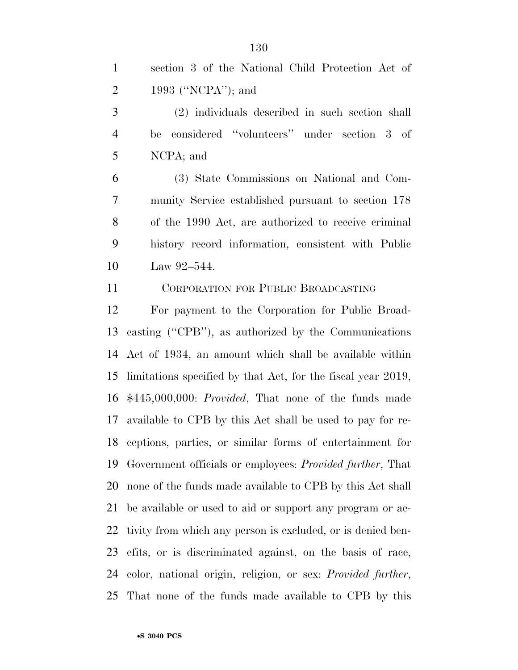(2) individuals described in such section shall be considered ''volunteers'' under section 3 of NCPA; and

 (3) State Commissions on National and Com- munity Service established pursuant to section 178 of the 1990 Act, are authorized to receive criminal history record information, consistent with Public Law 92–544.

CORPORATION FOR PUBLIC BROADCASTING

 For payment to the Corporation for Public Broad- casting (''CPB''), as authorized by the Communications Act of 1934, an amount which shall be available within limitations specified by that Act, for the fiscal year 2019, \$445,000,000: *Provided*, That none of the funds made available to CPB by this Act shall be used to pay for re- ceptions, parties, or similar forms of entertainment for Government officials or employees: *Provided further*, That none of the funds made available to CPB by this Act shall be available or used to aid or support any program or ac- tivity from which any person is excluded, or is denied ben- efits, or is discriminated against, on the basis of race, color, national origin, religion, or sex: *Provided further*, That none of the funds made available to CPB by this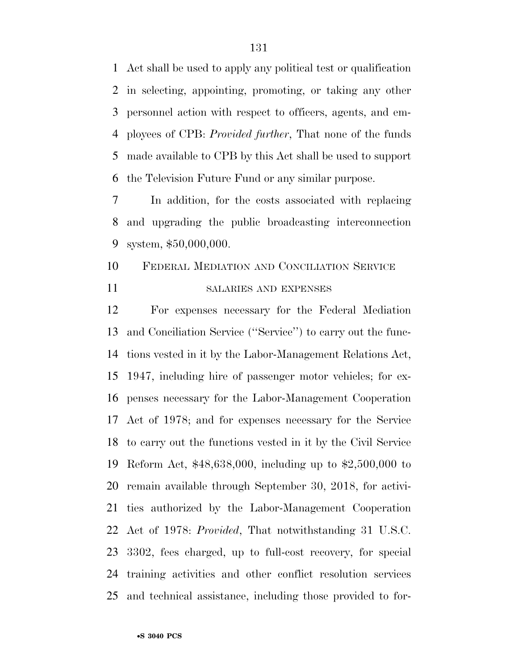Act shall be used to apply any political test or qualification in selecting, appointing, promoting, or taking any other personnel action with respect to officers, agents, and em- ployees of CPB: *Provided further*, That none of the funds made available to CPB by this Act shall be used to support the Television Future Fund or any similar purpose.

 In addition, for the costs associated with replacing and upgrading the public broadcasting interconnection system, \$50,000,000.

# FEDERAL MEDIATION AND CONCILIATION SERVICE SALARIES AND EXPENSES

 For expenses necessary for the Federal Mediation and Conciliation Service (''Service'') to carry out the func- tions vested in it by the Labor-Management Relations Act, 1947, including hire of passenger motor vehicles; for ex- penses necessary for the Labor-Management Cooperation Act of 1978; and for expenses necessary for the Service to carry out the functions vested in it by the Civil Service Reform Act, \$48,638,000, including up to \$2,500,000 to remain available through September 30, 2018, for activi- ties authorized by the Labor-Management Cooperation Act of 1978: *Provided*, That notwithstanding 31 U.S.C. 3302, fees charged, up to full-cost recovery, for special training activities and other conflict resolution services and technical assistance, including those provided to for-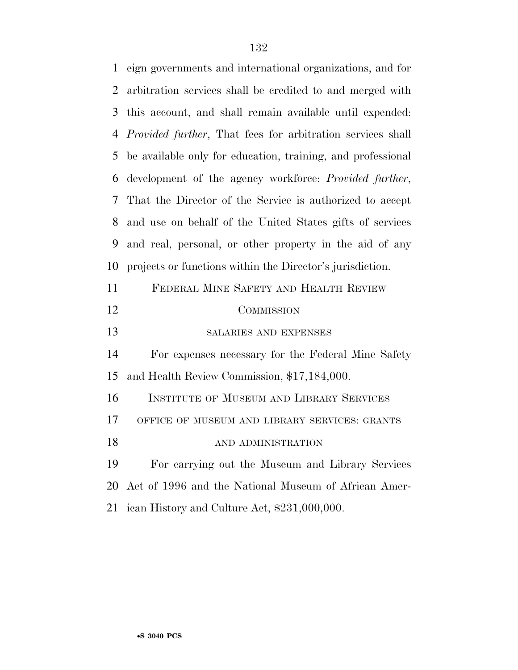| 1  | eign governments and international organizations, and for          |
|----|--------------------------------------------------------------------|
| 2  | arbitration services shall be credited to and merged with          |
| 3  | this account, and shall remain available until expended:           |
| 4  | <i>Provided further</i> , That fees for arbitration services shall |
| 5  | be available only for education, training, and professional        |
| 6  | development of the agency workforce: Provided further,             |
| 7  | That the Director of the Service is authorized to accept           |
| 8  | and use on behalf of the United States gifts of services           |
| 9  | and real, personal, or other property in the aid of any            |
| 10 | projects or functions within the Director's jurisdiction.          |
| 11 | FEDERAL MINE SAFETY AND HEALTH REVIEW                              |
| 12 | COMMISSION                                                         |
| 13 | SALARIES AND EXPENSES                                              |
| 14 | For expenses necessary for the Federal Mine Safety                 |
| 15 | and Health Review Commission, \$17,184,000.                        |
| 16 | INSTITUTE OF MUSEUM AND LIBRARY SERVICES                           |
| 17 | OFFICE OF MUSEUM AND LIBRARY SERVICES: GRANTS                      |
| 18 | AND ADMINISTRATION                                                 |
| 19 | For carrying out the Museum and Library Services                   |
| 20 | Act of 1996 and the National Museum of African Amer-               |
|    |                                                                    |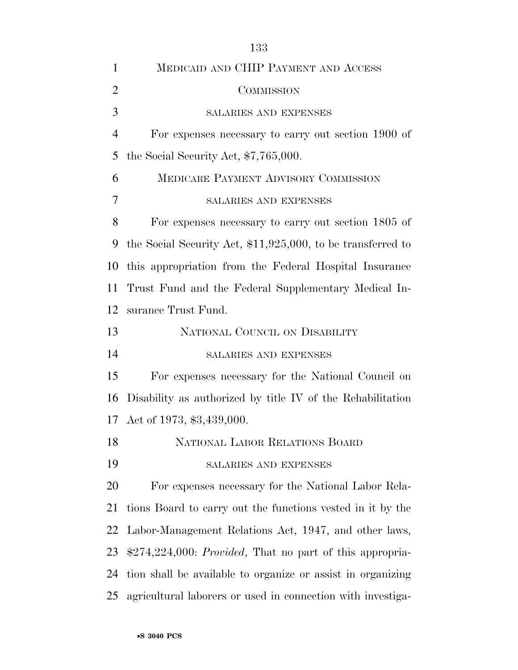| $\mathbf{1}$   | MEDICAID AND CHIP PAYMENT AND ACCESS                          |
|----------------|---------------------------------------------------------------|
| $\overline{2}$ | COMMISSION                                                    |
| 3              | SALARIES AND EXPENSES                                         |
| $\overline{4}$ | For expenses necessary to carry out section 1900 of           |
| 5              | the Social Security Act, $$7,765,000$ .                       |
| 6              | MEDICARE PAYMENT ADVISORY COMMISSION                          |
| $\overline{7}$ | SALARIES AND EXPENSES                                         |
| 8              | For expenses necessary to carry out section 1805 of           |
| 9              | the Social Security Act, $$11,925,000$ , to be transferred to |
| 10             | this appropriation from the Federal Hospital Insurance        |
| 11             | Trust Fund and the Federal Supplementary Medical In-          |
| 12             | surance Trust Fund.                                           |
| 13             | NATIONAL COUNCIL ON DISABILITY                                |
| 14             | SALARIES AND EXPENSES                                         |
| 15             | For expenses necessary for the National Council on            |
| 16             | Disability as authorized by title IV of the Rehabilitation    |
| 17             | Act of 1973, \$3,439,000.                                     |
| 18             | NATIONAL LABOR RELATIONS BOARD                                |
| 19             | SALARIES AND EXPENSES                                         |
| 20             | For expenses necessary for the National Labor Rela-           |
| 21             | tions Board to carry out the functions vested in it by the    |
| 22             | Labor-Management Relations Act, 1947, and other laws,         |
| 23             | \$274,224,000: Provided, That no part of this appropria-      |
| 24             | tion shall be available to organize or assist in organizing   |
| 25             | agricultural laborers or used in connection with investiga-   |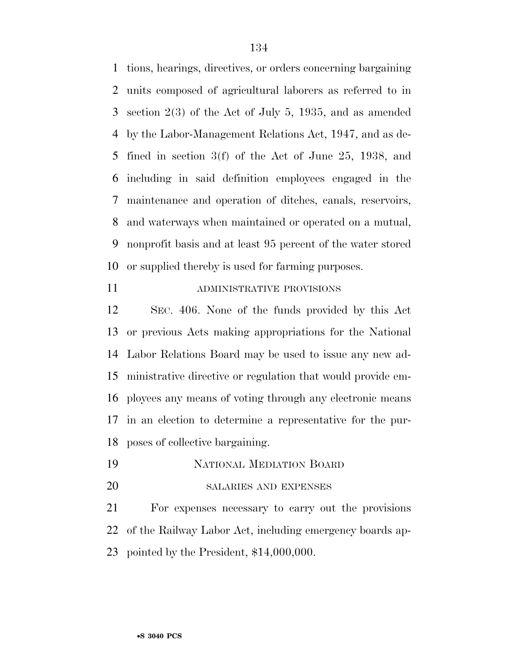tions, hearings, directives, or orders concerning bargaining units composed of agricultural laborers as referred to in section 2(3) of the Act of July 5, 1935, and as amended by the Labor-Management Relations Act, 1947, and as de- fined in section 3(f) of the Act of June 25, 1938, and including in said definition employees engaged in the maintenance and operation of ditches, canals, reservoirs, and waterways when maintained or operated on a mutual, nonprofit basis and at least 95 percent of the water stored or supplied thereby is used for farming purposes.

11 ADMINISTRATIVE PROVISIONS

 SEC. 406. None of the funds provided by this Act or previous Acts making appropriations for the National Labor Relations Board may be used to issue any new ad- ministrative directive or regulation that would provide em- ployees any means of voting through any electronic means in an election to determine a representative for the pur-poses of collective bargaining.

- NATIONAL MEDIATION BOARD
- SALARIES AND EXPENSES

 For expenses necessary to carry out the provisions of the Railway Labor Act, including emergency boards ap-pointed by the President, \$14,000,000.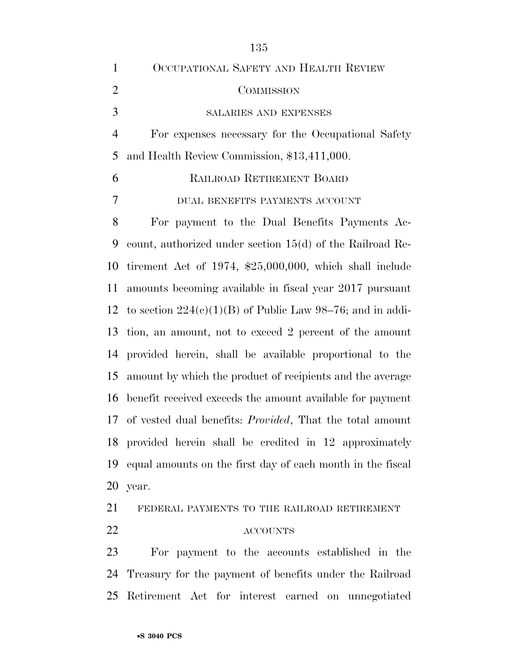| $\mathbf{1}$   | OCCUPATIONAL SAFETY AND HEALTH REVIEW                            |
|----------------|------------------------------------------------------------------|
| $\overline{2}$ | COMMISSION                                                       |
| 3              | SALARIES AND EXPENSES                                            |
| $\overline{4}$ | For expenses necessary for the Occupational Safety               |
| 5              | and Health Review Commission, \$13,411,000.                      |
| 6              | RAILROAD RETIREMENT BOARD                                        |
| 7              | DUAL BENEFITS PAYMENTS ACCOUNT                                   |
| 8              | For payment to the Dual Benefits Payments Ac-                    |
| 9              | count, authorized under section $15(d)$ of the Railroad Re-      |
| 10             | tirement Act of 1974, $$25,000,000$ , which shall include        |
| 11             | amounts becoming available in fiscal year 2017 pursuant          |
|                | 12 to section $224(c)(1)(B)$ of Public Law 98–76; and in addi-   |
| 13             | tion, an amount, not to exceed 2 percent of the amount           |
| 14             | provided herein, shall be available proportional to the          |
| 15             | amount by which the product of recipients and the average        |
| 16             | benefit received exceeds the amount available for payment        |
| 17             | of vested dual benefits: <i>Provided</i> , That the total amount |
|                | 18 provided herein shall be credited in 12 approximately         |
| 19             | equal amounts on the first day of each month in the fiscal       |
| 20             | year.                                                            |
| 21             | FEDERAL PAYMENTS TO THE RAILROAD RETIREMENT                      |
|                |                                                                  |

# ACCOUNTS

 For payment to the accounts established in the Treasury for the payment of benefits under the Railroad Retirement Act for interest earned on unnegotiated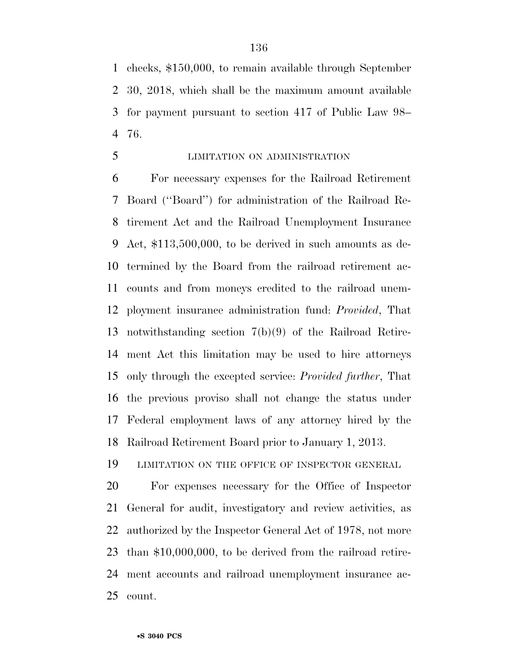checks, \$150,000, to remain available through September 30, 2018, which shall be the maximum amount available for payment pursuant to section 417 of Public Law 98– 76.

LIMITATION ON ADMINISTRATION

 For necessary expenses for the Railroad Retirement Board (''Board'') for administration of the Railroad Re- tirement Act and the Railroad Unemployment Insurance Act, \$113,500,000, to be derived in such amounts as de- termined by the Board from the railroad retirement ac- counts and from moneys credited to the railroad unem- ployment insurance administration fund: *Provided*, That notwithstanding section 7(b)(9) of the Railroad Retire- ment Act this limitation may be used to hire attorneys only through the excepted service: *Provided further*, That the previous proviso shall not change the status under Federal employment laws of any attorney hired by the Railroad Retirement Board prior to January 1, 2013.

LIMITATION ON THE OFFICE OF INSPECTOR GENERAL

 For expenses necessary for the Office of Inspector General for audit, investigatory and review activities, as authorized by the Inspector General Act of 1978, not more than \$10,000,000, to be derived from the railroad retire- ment accounts and railroad unemployment insurance ac-count.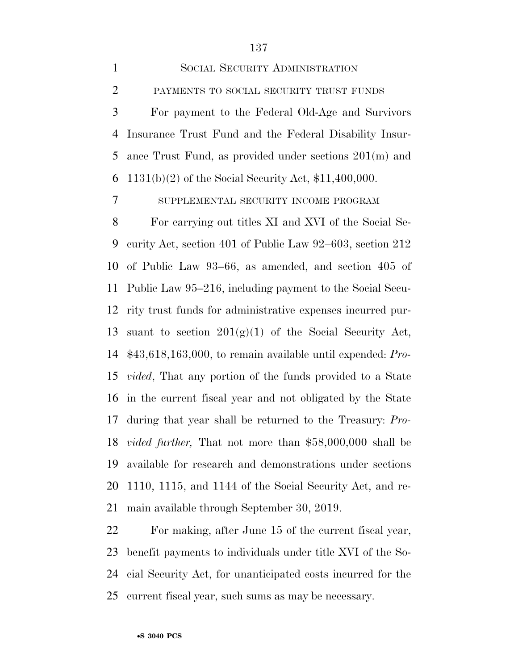SOCIAL SECURITY ADMINISTRATION PAYMENTS TO SOCIAL SECURITY TRUST FUNDS For payment to the Federal Old-Age and Survivors Insurance Trust Fund and the Federal Disability Insur- ance Trust Fund, as provided under sections 201(m) and 1131(b)(2) of the Social Security Act, \$11,400,000.

SUPPLEMENTAL SECURITY INCOME PROGRAM

 For carrying out titles XI and XVI of the Social Se- curity Act, section 401 of Public Law 92–603, section 212 of Public Law 93–66, as amended, and section 405 of Public Law 95–216, including payment to the Social Secu- rity trust funds for administrative expenses incurred pur-13 suant to section  $201(g)(1)$  of the Social Security Act, \$43,618,163,000, to remain available until expended: *Pro- vided*, That any portion of the funds provided to a State in the current fiscal year and not obligated by the State during that year shall be returned to the Treasury: *Pro- vided further,* That not more than \$58,000,000 shall be available for research and demonstrations under sections 1110, 1115, and 1144 of the Social Security Act, and re-main available through September 30, 2019.

 For making, after June 15 of the current fiscal year, benefit payments to individuals under title XVI of the So- cial Security Act, for unanticipated costs incurred for the current fiscal year, such sums as may be necessary.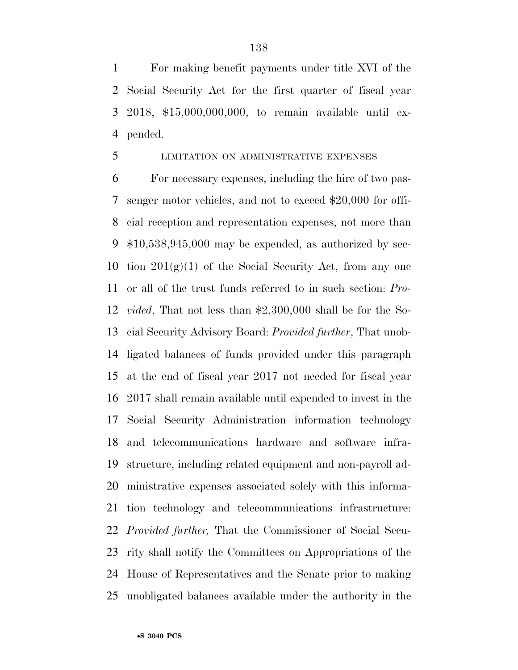For making benefit payments under title XVI of the Social Security Act for the first quarter of fiscal year 2018, \$15,000,000,000, to remain available until ex-pended.

## LIMITATION ON ADMINISTRATIVE EXPENSES

 For necessary expenses, including the hire of two pas- senger motor vehicles, and not to exceed \$20,000 for offi- cial reception and representation expenses, not more than \$10,538,945,000 may be expended, as authorized by sec-10 tion  $201(g)(1)$  of the Social Security Act, from any one or all of the trust funds referred to in such section: *Pro- vided*, That not less than \$2,300,000 shall be for the So- cial Security Advisory Board: *Provided further*, That unob- ligated balances of funds provided under this paragraph at the end of fiscal year 2017 not needed for fiscal year 2017 shall remain available until expended to invest in the Social Security Administration information technology and telecommunications hardware and software infra- structure, including related equipment and non-payroll ad- ministrative expenses associated solely with this informa- tion technology and telecommunications infrastructure: *Provided further,* That the Commissioner of Social Secu- rity shall notify the Committees on Appropriations of the House of Representatives and the Senate prior to making unobligated balances available under the authority in the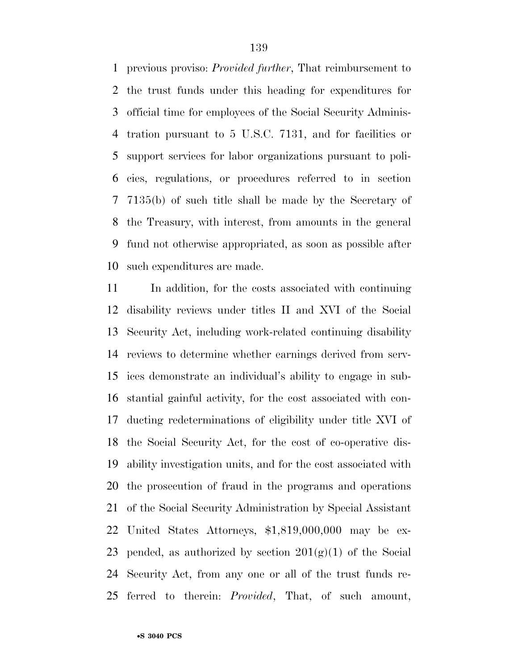previous proviso: *Provided further*, That reimbursement to the trust funds under this heading for expenditures for official time for employees of the Social Security Adminis- tration pursuant to 5 U.S.C. 7131, and for facilities or support services for labor organizations pursuant to poli- cies, regulations, or procedures referred to in section 7135(b) of such title shall be made by the Secretary of the Treasury, with interest, from amounts in the general fund not otherwise appropriated, as soon as possible after such expenditures are made.

 In addition, for the costs associated with continuing disability reviews under titles II and XVI of the Social Security Act, including work-related continuing disability reviews to determine whether earnings derived from serv- ices demonstrate an individual's ability to engage in sub- stantial gainful activity, for the cost associated with con- ducting redeterminations of eligibility under title XVI of the Social Security Act, for the cost of co-operative dis- ability investigation units, and for the cost associated with the prosecution of fraud in the programs and operations of the Social Security Administration by Special Assistant United States Attorneys, \$1,819,000,000 may be ex-23 pended, as authorized by section  $201(g)(1)$  of the Social Security Act, from any one or all of the trust funds re-ferred to therein: *Provided*, That, of such amount,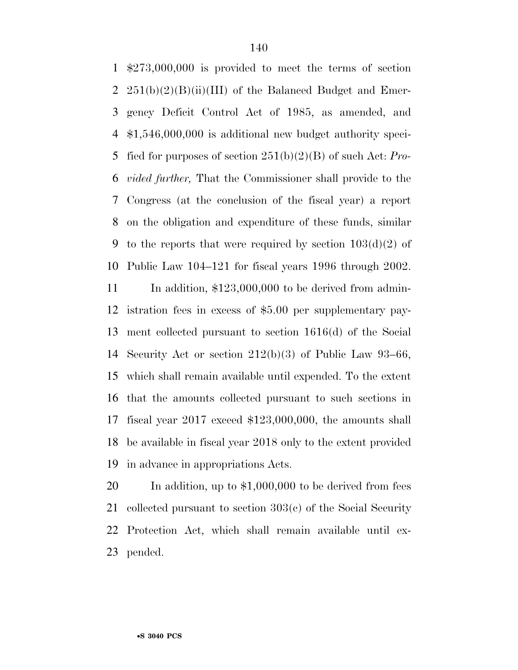\$273,000,000 is provided to meet the terms of section  $251(b)(2)(B)(ii)(III)$  of the Balanced Budget and Emer- gency Deficit Control Act of 1985, as amended, and \$1,546,000,000 is additional new budget authority speci- fied for purposes of section 251(b)(2)(B) of such Act: *Pro- vided further,* That the Commissioner shall provide to the Congress (at the conclusion of the fiscal year) a report on the obligation and expenditure of these funds, similar 9 to the reports that were required by section  $103(d)(2)$  of Public Law 104–121 for fiscal years 1996 through 2002. 11 In addition, \$123,000,000 to be derived from admin- istration fees in excess of \$5.00 per supplementary pay- ment collected pursuant to section 1616(d) of the Social Security Act or section 212(b)(3) of Public Law 93–66, which shall remain available until expended. To the extent that the amounts collected pursuant to such sections in fiscal year 2017 exceed \$123,000,000, the amounts shall be available in fiscal year 2018 only to the extent provided

in advance in appropriations Acts.

 In addition, up to \$1,000,000 to be derived from fees collected pursuant to section 303(c) of the Social Security Protection Act, which shall remain available until ex-pended.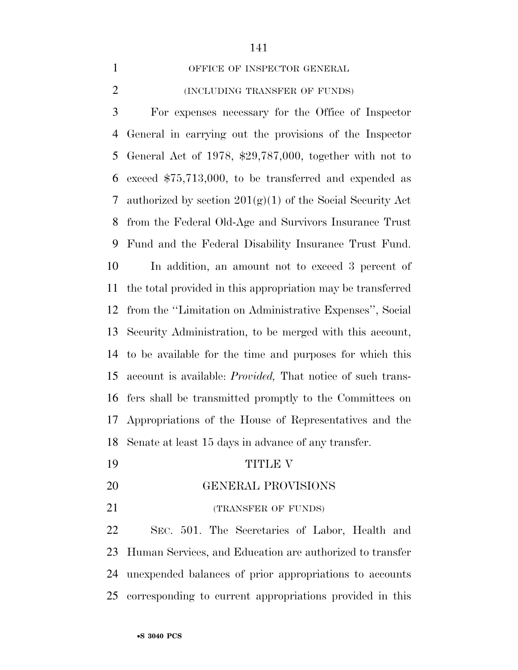1 OFFICE OF INSPECTOR GENERAL

## (INCLUDING TRANSFER OF FUNDS)

 For expenses necessary for the Office of Inspector General in carrying out the provisions of the Inspector General Act of 1978, \$29,787,000, together with not to exceed \$75,713,000, to be transferred and expended as 7 authorized by section  $201(g)(1)$  of the Social Security Act from the Federal Old-Age and Survivors Insurance Trust Fund and the Federal Disability Insurance Trust Fund. In addition, an amount not to exceed 3 percent of the total provided in this appropriation may be transferred from the ''Limitation on Administrative Expenses'', Social Security Administration, to be merged with this account, to be available for the time and purposes for which this account is available: *Provided,* That notice of such trans- fers shall be transmitted promptly to the Committees on Appropriations of the House of Representatives and the Senate at least 15 days in advance of any transfer.

- TITLE V
- GENERAL PROVISIONS
- 21 (TRANSFER OF FUNDS)

 SEC. 501. The Secretaries of Labor, Health and Human Services, and Education are authorized to transfer unexpended balances of prior appropriations to accounts corresponding to current appropriations provided in this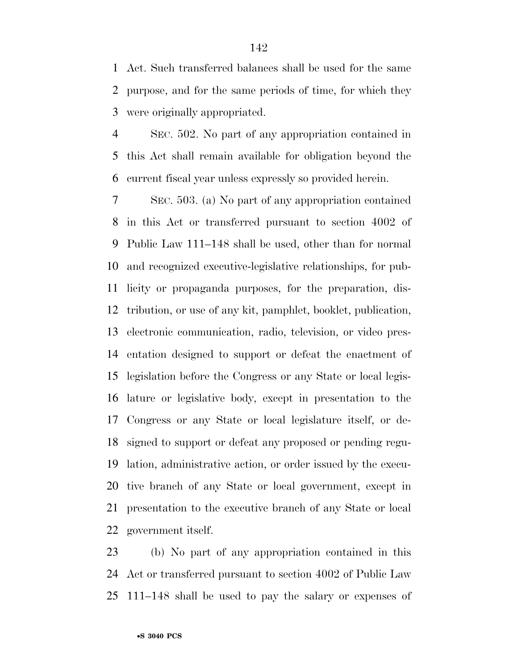Act. Such transferred balances shall be used for the same purpose, and for the same periods of time, for which they were originally appropriated.

 SEC. 502. No part of any appropriation contained in this Act shall remain available for obligation beyond the current fiscal year unless expressly so provided herein.

 SEC. 503. (a) No part of any appropriation contained in this Act or transferred pursuant to section 4002 of Public Law 111–148 shall be used, other than for normal and recognized executive-legislative relationships, for pub- licity or propaganda purposes, for the preparation, dis- tribution, or use of any kit, pamphlet, booklet, publication, electronic communication, radio, television, or video pres- entation designed to support or defeat the enactment of legislation before the Congress or any State or local legis- lature or legislative body, except in presentation to the Congress or any State or local legislature itself, or de- signed to support or defeat any proposed or pending regu- lation, administrative action, or order issued by the execu- tive branch of any State or local government, except in presentation to the executive branch of any State or local government itself.

 (b) No part of any appropriation contained in this Act or transferred pursuant to section 4002 of Public Law 111–148 shall be used to pay the salary or expenses of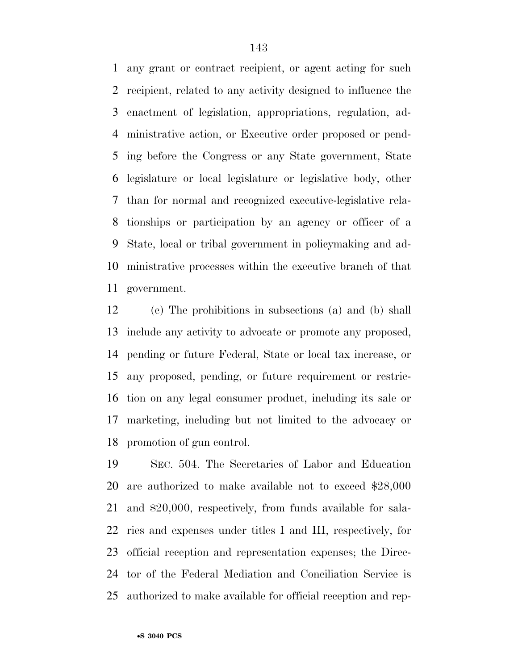any grant or contract recipient, or agent acting for such recipient, related to any activity designed to influence the enactment of legislation, appropriations, regulation, ad- ministrative action, or Executive order proposed or pend- ing before the Congress or any State government, State legislature or local legislature or legislative body, other than for normal and recognized executive-legislative rela- tionships or participation by an agency or officer of a State, local or tribal government in policymaking and ad- ministrative processes within the executive branch of that government.

 (c) The prohibitions in subsections (a) and (b) shall include any activity to advocate or promote any proposed, pending or future Federal, State or local tax increase, or any proposed, pending, or future requirement or restric- tion on any legal consumer product, including its sale or marketing, including but not limited to the advocacy or promotion of gun control.

 SEC. 504. The Secretaries of Labor and Education are authorized to make available not to exceed \$28,000 and \$20,000, respectively, from funds available for sala- ries and expenses under titles I and III, respectively, for official reception and representation expenses; the Direc- tor of the Federal Mediation and Conciliation Service is authorized to make available for official reception and rep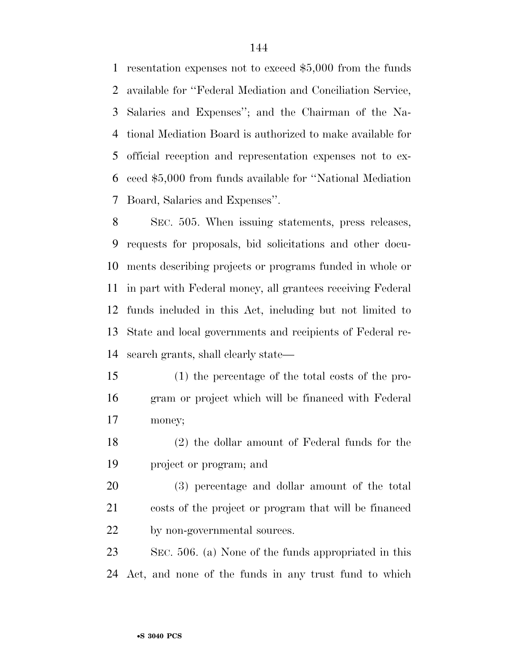resentation expenses not to exceed \$5,000 from the funds available for ''Federal Mediation and Conciliation Service, Salaries and Expenses''; and the Chairman of the Na- tional Mediation Board is authorized to make available for official reception and representation expenses not to ex- ceed \$5,000 from funds available for ''National Mediation Board, Salaries and Expenses''.

 SEC. 505. When issuing statements, press releases, requests for proposals, bid solicitations and other docu- ments describing projects or programs funded in whole or in part with Federal money, all grantees receiving Federal funds included in this Act, including but not limited to State and local governments and recipients of Federal re-search grants, shall clearly state—

 (1) the percentage of the total costs of the pro- gram or project which will be financed with Federal money;

 (2) the dollar amount of Federal funds for the project or program; and

 (3) percentage and dollar amount of the total costs of the project or program that will be financed 22 by non-governmental sources.

 SEC. 506. (a) None of the funds appropriated in this Act, and none of the funds in any trust fund to which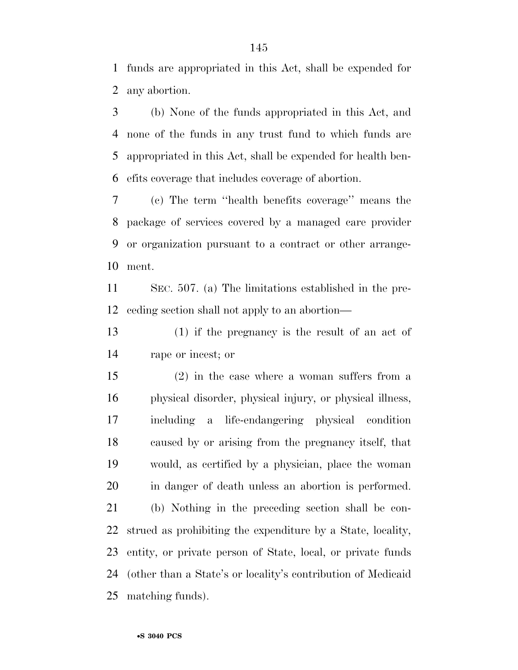funds are appropriated in this Act, shall be expended for any abortion.

 (b) None of the funds appropriated in this Act, and none of the funds in any trust fund to which funds are appropriated in this Act, shall be expended for health ben-efits coverage that includes coverage of abortion.

 (c) The term ''health benefits coverage'' means the package of services covered by a managed care provider or organization pursuant to a contract or other arrange-ment.

 SEC. 507. (a) The limitations established in the pre-ceding section shall not apply to an abortion—

 (1) if the pregnancy is the result of an act of rape or incest; or

 (2) in the case where a woman suffers from a physical disorder, physical injury, or physical illness, including a life-endangering physical condition caused by or arising from the pregnancy itself, that would, as certified by a physician, place the woman in danger of death unless an abortion is performed. (b) Nothing in the preceding section shall be con- strued as prohibiting the expenditure by a State, locality, entity, or private person of State, local, or private funds (other than a State's or locality's contribution of Medicaid matching funds).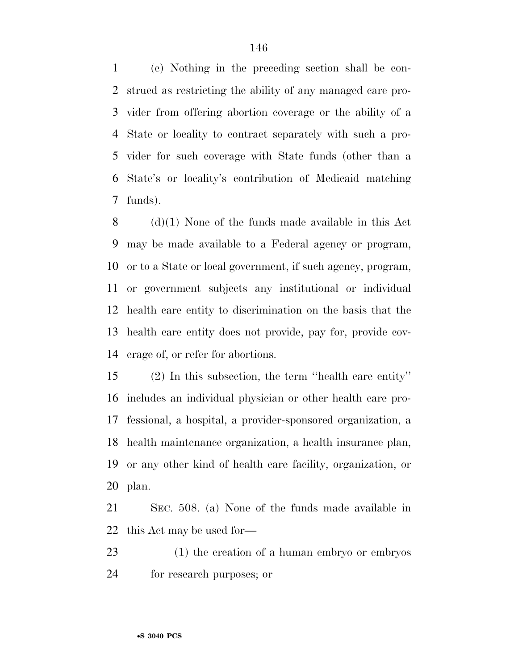(c) Nothing in the preceding section shall be con- strued as restricting the ability of any managed care pro- vider from offering abortion coverage or the ability of a State or locality to contract separately with such a pro- vider for such coverage with State funds (other than a State's or locality's contribution of Medicaid matching funds).

 (d)(1) None of the funds made available in this Act may be made available to a Federal agency or program, or to a State or local government, if such agency, program, or government subjects any institutional or individual health care entity to discrimination on the basis that the health care entity does not provide, pay for, provide cov-erage of, or refer for abortions.

 (2) In this subsection, the term ''health care entity'' includes an individual physician or other health care pro- fessional, a hospital, a provider-sponsored organization, a health maintenance organization, a health insurance plan, or any other kind of health care facility, organization, or plan.

 SEC. 508. (a) None of the funds made available in this Act may be used for—

 (1) the creation of a human embryo or embryos for research purposes; or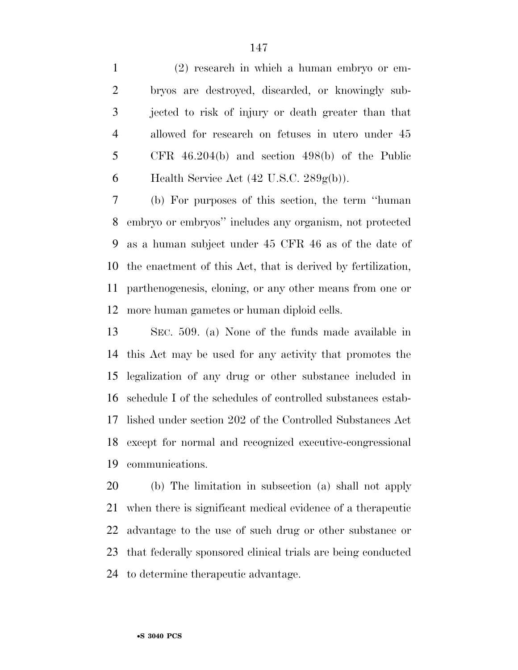(2) research in which a human embryo or em- bryos are destroyed, discarded, or knowingly sub- jected to risk of injury or death greater than that allowed for research on fetuses in utero under 45 CFR 46.204(b) and section 498(b) of the Public 6 Health Service Act  $(42 \text{ U.S.C. } 289 \text{g(b)})$ .

 (b) For purposes of this section, the term ''human embryo or embryos'' includes any organism, not protected as a human subject under 45 CFR 46 as of the date of the enactment of this Act, that is derived by fertilization, parthenogenesis, cloning, or any other means from one or more human gametes or human diploid cells.

 SEC. 509. (a) None of the funds made available in this Act may be used for any activity that promotes the legalization of any drug or other substance included in schedule I of the schedules of controlled substances estab- lished under section 202 of the Controlled Substances Act except for normal and recognized executive-congressional communications.

 (b) The limitation in subsection (a) shall not apply when there is significant medical evidence of a therapeutic advantage to the use of such drug or other substance or that federally sponsored clinical trials are being conducted to determine therapeutic advantage.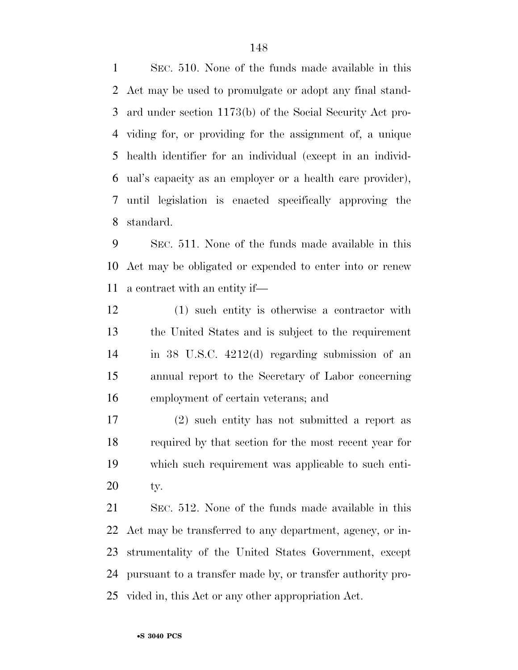SEC. 510. None of the funds made available in this Act may be used to promulgate or adopt any final stand- ard under section 1173(b) of the Social Security Act pro- viding for, or providing for the assignment of, a unique health identifier for an individual (except in an individ- ual's capacity as an employer or a health care provider), until legislation is enacted specifically approving the standard.

 SEC. 511. None of the funds made available in this Act may be obligated or expended to enter into or renew a contract with an entity if—

 (1) such entity is otherwise a contractor with the United States and is subject to the requirement in 38 U.S.C. 4212(d) regarding submission of an annual report to the Secretary of Labor concerning employment of certain veterans; and

 (2) such entity has not submitted a report as required by that section for the most recent year for which such requirement was applicable to such enti-ty.

 SEC. 512. None of the funds made available in this Act may be transferred to any department, agency, or in- strumentality of the United States Government, except pursuant to a transfer made by, or transfer authority pro-vided in, this Act or any other appropriation Act.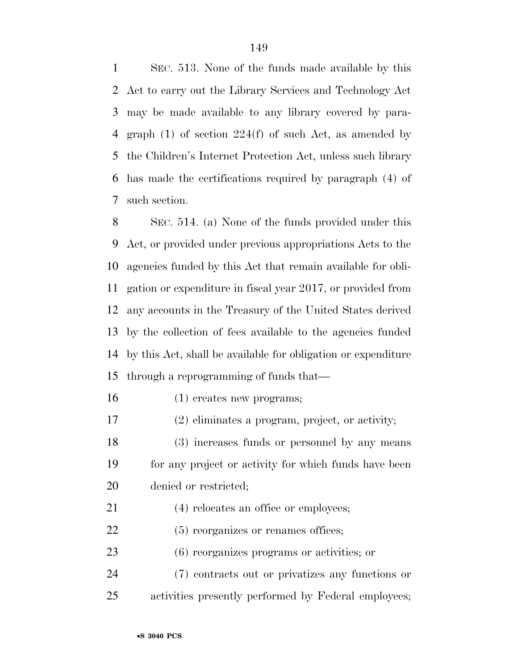SEC. 513. None of the funds made available by this Act to carry out the Library Services and Technology Act may be made available to any library covered by para- graph (1) of section 224(f) of such Act, as amended by the Children's Internet Protection Act, unless such library has made the certifications required by paragraph (4) of such section.

 SEC. 514. (a) None of the funds provided under this Act, or provided under previous appropriations Acts to the agencies funded by this Act that remain available for obli- gation or expenditure in fiscal year 2017, or provided from any accounts in the Treasury of the United States derived by the collection of fees available to the agencies funded by this Act, shall be available for obligation or expenditure through a reprogramming of funds that—

- (1) creates new programs;
- (2) eliminates a program, project, or activity;
- (3) increases funds or personnel by any means for any project or activity for which funds have been denied or restricted;
- 21 (4) relocates an office or employees;
- 22 (5) reorganizes or renames offices;
- (6) reorganizes programs or activities; or
- (7) contracts out or privatizes any functions or activities presently performed by Federal employees;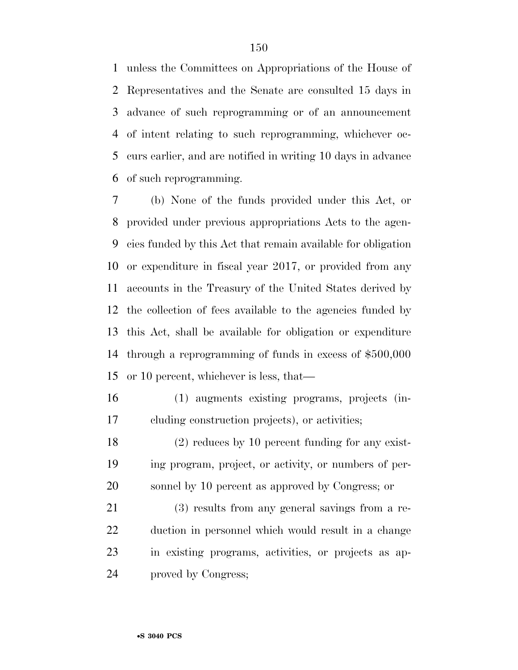unless the Committees on Appropriations of the House of Representatives and the Senate are consulted 15 days in advance of such reprogramming or of an announcement of intent relating to such reprogramming, whichever oc- curs earlier, and are notified in writing 10 days in advance of such reprogramming.

 (b) None of the funds provided under this Act, or provided under previous appropriations Acts to the agen- cies funded by this Act that remain available for obligation or expenditure in fiscal year 2017, or provided from any accounts in the Treasury of the United States derived by the collection of fees available to the agencies funded by this Act, shall be available for obligation or expenditure through a reprogramming of funds in excess of \$500,000 or 10 percent, whichever is less, that—

- (1) augments existing programs, projects (in-cluding construction projects), or activities;
- (2) reduces by 10 percent funding for any exist- ing program, project, or activity, or numbers of per-sonnel by 10 percent as approved by Congress; or

 (3) results from any general savings from a re- duction in personnel which would result in a change in existing programs, activities, or projects as ap-proved by Congress;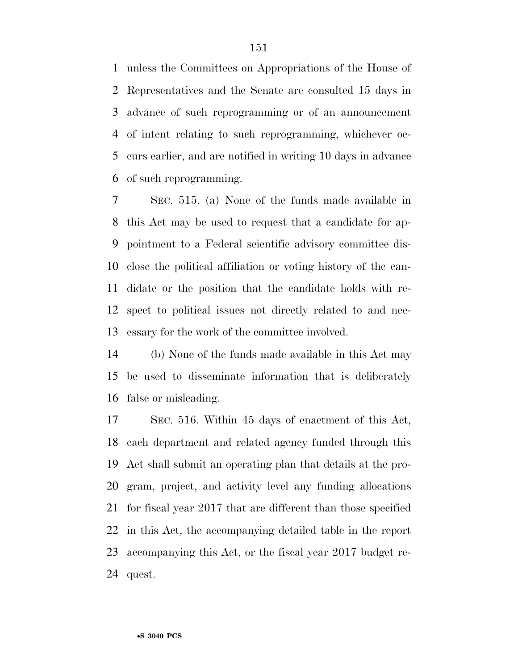unless the Committees on Appropriations of the House of Representatives and the Senate are consulted 15 days in advance of such reprogramming or of an announcement of intent relating to such reprogramming, whichever oc- curs earlier, and are notified in writing 10 days in advance of such reprogramming.

 SEC. 515. (a) None of the funds made available in this Act may be used to request that a candidate for ap- pointment to a Federal scientific advisory committee dis- close the political affiliation or voting history of the can- didate or the position that the candidate holds with re- spect to political issues not directly related to and nec-essary for the work of the committee involved.

 (b) None of the funds made available in this Act may be used to disseminate information that is deliberately false or misleading.

 SEC. 516. Within 45 days of enactment of this Act, each department and related agency funded through this Act shall submit an operating plan that details at the pro- gram, project, and activity level any funding allocations for fiscal year 2017 that are different than those specified in this Act, the accompanying detailed table in the report accompanying this Act, or the fiscal year 2017 budget re-quest.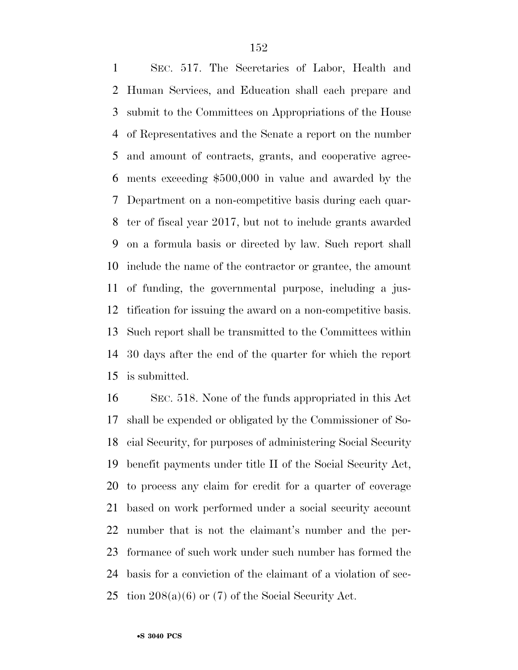SEC. 517. The Secretaries of Labor, Health and Human Services, and Education shall each prepare and submit to the Committees on Appropriations of the House of Representatives and the Senate a report on the number and amount of contracts, grants, and cooperative agree- ments exceeding \$500,000 in value and awarded by the Department on a non-competitive basis during each quar- ter of fiscal year 2017, but not to include grants awarded on a formula basis or directed by law. Such report shall include the name of the contractor or grantee, the amount of funding, the governmental purpose, including a jus- tification for issuing the award on a non-competitive basis. Such report shall be transmitted to the Committees within 30 days after the end of the quarter for which the report is submitted.

 SEC. 518. None of the funds appropriated in this Act shall be expended or obligated by the Commissioner of So- cial Security, for purposes of administering Social Security benefit payments under title II of the Social Security Act, to process any claim for credit for a quarter of coverage based on work performed under a social security account number that is not the claimant's number and the per- formance of such work under such number has formed the basis for a conviction of the claimant of a violation of sec-25 tion  $208(a)(6)$  or  $(7)$  of the Social Security Act.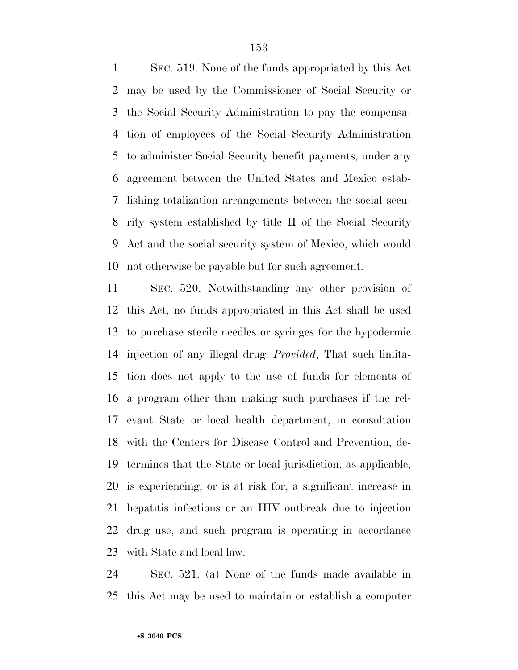SEC. 519. None of the funds appropriated by this Act may be used by the Commissioner of Social Security or the Social Security Administration to pay the compensa- tion of employees of the Social Security Administration to administer Social Security benefit payments, under any agreement between the United States and Mexico estab- lishing totalization arrangements between the social secu- rity system established by title II of the Social Security Act and the social security system of Mexico, which would not otherwise be payable but for such agreement.

 SEC. 520. Notwithstanding any other provision of this Act, no funds appropriated in this Act shall be used to purchase sterile needles or syringes for the hypodermic injection of any illegal drug: *Provided*, That such limita- tion does not apply to the use of funds for elements of a program other than making such purchases if the rel- evant State or local health department, in consultation with the Centers for Disease Control and Prevention, de- termines that the State or local jurisdiction, as applicable, is experiencing, or is at risk for, a significant increase in hepatitis infections or an HIV outbreak due to injection drug use, and such program is operating in accordance with State and local law.

 SEC. 521. (a) None of the funds made available in this Act may be used to maintain or establish a computer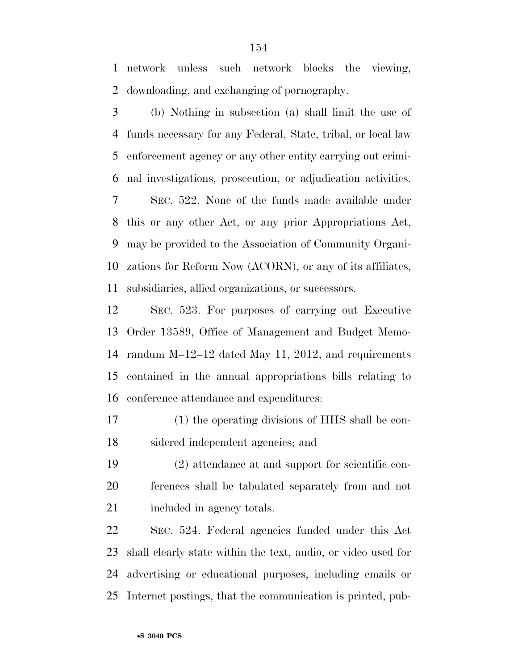network unless such network blocks the viewing, downloading, and exchanging of pornography.

 (b) Nothing in subsection (a) shall limit the use of funds necessary for any Federal, State, tribal, or local law enforcement agency or any other entity carrying out crimi- nal investigations, prosecution, or adjudication activities. SEC. 522. None of the funds made available under this or any other Act, or any prior Appropriations Act, may be provided to the Association of Community Organi- zations for Reform Now (ACORN), or any of its affiliates, subsidiaries, allied organizations, or successors.

 SEC. 523. For purposes of carrying out Executive Order 13589, Office of Management and Budget Memo- randum M–12–12 dated May 11, 2012, and requirements contained in the annual appropriations bills relating to conference attendance and expenditures:

 (1) the operating divisions of HHS shall be con-sidered independent agencies; and

 (2) attendance at and support for scientific con- ferences shall be tabulated separately from and not 21 included in agency totals.

 SEC. 524. Federal agencies funded under this Act shall clearly state within the text, audio, or video used for advertising or educational purposes, including emails or Internet postings, that the communication is printed, pub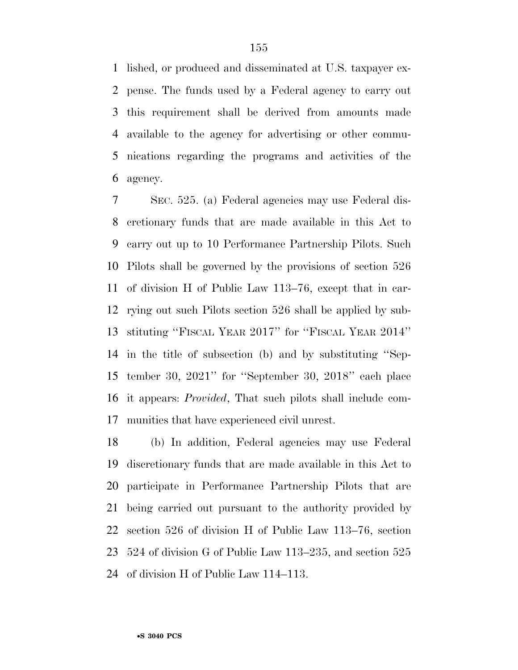lished, or produced and disseminated at U.S. taxpayer ex- pense. The funds used by a Federal agency to carry out this requirement shall be derived from amounts made available to the agency for advertising or other commu- nications regarding the programs and activities of the agency.

 SEC. 525. (a) Federal agencies may use Federal dis- cretionary funds that are made available in this Act to carry out up to 10 Performance Partnership Pilots. Such Pilots shall be governed by the provisions of section 526 of division H of Public Law 113–76, except that in car- rying out such Pilots section 526 shall be applied by sub- stituting ''FISCAL YEAR 2017'' for ''FISCAL YEAR 2014'' in the title of subsection (b) and by substituting ''Sep- tember 30, 2021'' for ''September 30, 2018'' each place it appears: *Provided*, That such pilots shall include com-munities that have experienced civil unrest.

 (b) In addition, Federal agencies may use Federal discretionary funds that are made available in this Act to participate in Performance Partnership Pilots that are being carried out pursuant to the authority provided by section 526 of division H of Public Law 113–76, section 524 of division G of Public Law 113–235, and section 525 of division H of Public Law 114–113.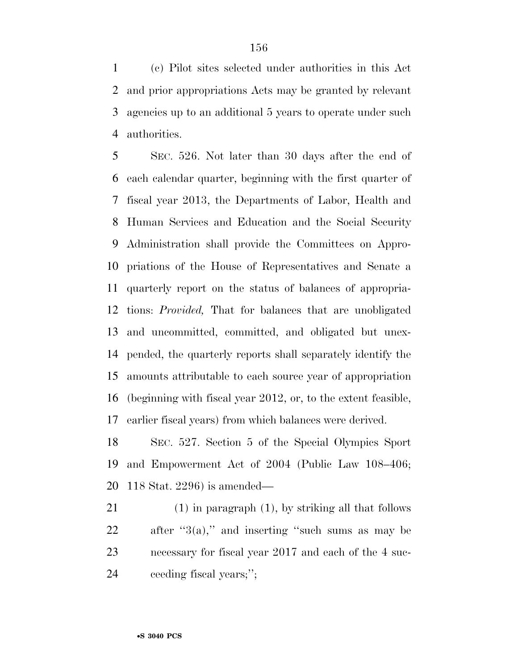(c) Pilot sites selected under authorities in this Act and prior appropriations Acts may be granted by relevant agencies up to an additional 5 years to operate under such authorities.

 SEC. 526. Not later than 30 days after the end of each calendar quarter, beginning with the first quarter of fiscal year 2013, the Departments of Labor, Health and Human Services and Education and the Social Security Administration shall provide the Committees on Appro- priations of the House of Representatives and Senate a quarterly report on the status of balances of appropria- tions: *Provided,* That for balances that are unobligated and uncommitted, committed, and obligated but unex- pended, the quarterly reports shall separately identify the amounts attributable to each source year of appropriation (beginning with fiscal year 2012, or, to the extent feasible, earlier fiscal years) from which balances were derived.

 SEC. 527. Section 5 of the Special Olympics Sport and Empowerment Act of 2004 (Public Law 108–406; 118 Stat. 2296) is amended—

 (1) in paragraph (1), by striking all that follows 22 after  $"3(a)$ ," and inserting "such sums as may be necessary for fiscal year 2017 and each of the 4 suc-ceeding fiscal years;'';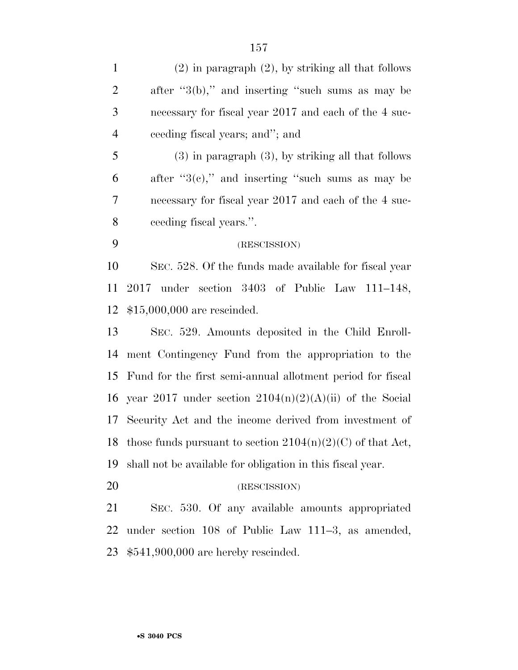| $\mathbf{1}$   | $(2)$ in paragraph $(2)$ , by striking all that follows      |
|----------------|--------------------------------------------------------------|
| $\mathbf{2}$   | after " $3(b)$ ," and inserting "such sums as may be         |
| 3              | necessary for fiscal year 2017 and each of the 4 suc-        |
| $\overline{4}$ | ceeding fiscal years; and"; and                              |
| 5              | $(3)$ in paragraph $(3)$ , by striking all that follows      |
| 6              | after " $3(e)$ ," and inserting "such sums as may be         |
| 7              | necessary for fiscal year 2017 and each of the 4 suc-        |
| 8              | ceeding fiscal years.".                                      |
| 9              | (RESCISSION)                                                 |
| 10             | SEC. 528. Of the funds made available for fiscal year        |
| 11             | under section 3403 of Public Law 111–148,<br>2017            |
| 12             | $$15,000,000$ are rescinded.                                 |
| 13             | SEC. 529. Amounts deposited in the Child Enroll-             |
| 14             | ment Contingency Fund from the appropriation to the          |
| 15             | Fund for the first semi-annual allotment period for fiscal   |
| 16             | year 2017 under section $2104(n)(2)(A)(ii)$ of the Social    |
| 17             | Security Act and the income derived from investment of       |
| 18             | those funds pursuant to section $2104(n)(2)(C)$ of that Act, |
| 19             | shall not be available for obligation in this fiscal year.   |
| 20             | (RESCISSION)                                                 |
|                |                                                              |

 SEC. 530. Of any available amounts appropriated under section 108 of Public Law 111–3, as amended, \$541,900,000 are hereby rescinded.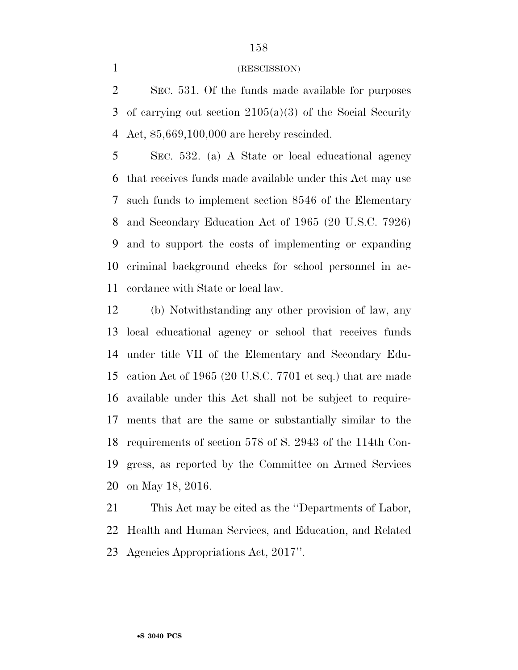## (RESCISSION)

 SEC. 531. Of the funds made available for purposes of carrying out section 2105(a)(3) of the Social Security Act, \$5,669,100,000 are hereby rescinded.

 SEC. 532. (a) A State or local educational agency that receives funds made available under this Act may use such funds to implement section 8546 of the Elementary and Secondary Education Act of 1965 (20 U.S.C. 7926) and to support the costs of implementing or expanding criminal background checks for school personnel in ac-cordance with State or local law.

 (b) Notwithstanding any other provision of law, any local educational agency or school that receives funds under title VII of the Elementary and Secondary Edu- cation Act of 1965 (20 U.S.C. 7701 et seq.) that are made available under this Act shall not be subject to require- ments that are the same or substantially similar to the requirements of section 578 of S. 2943 of the 114th Con- gress, as reported by the Committee on Armed Services on May 18, 2016.

 This Act may be cited as the ''Departments of Labor, Health and Human Services, and Education, and Related Agencies Appropriations Act, 2017''.